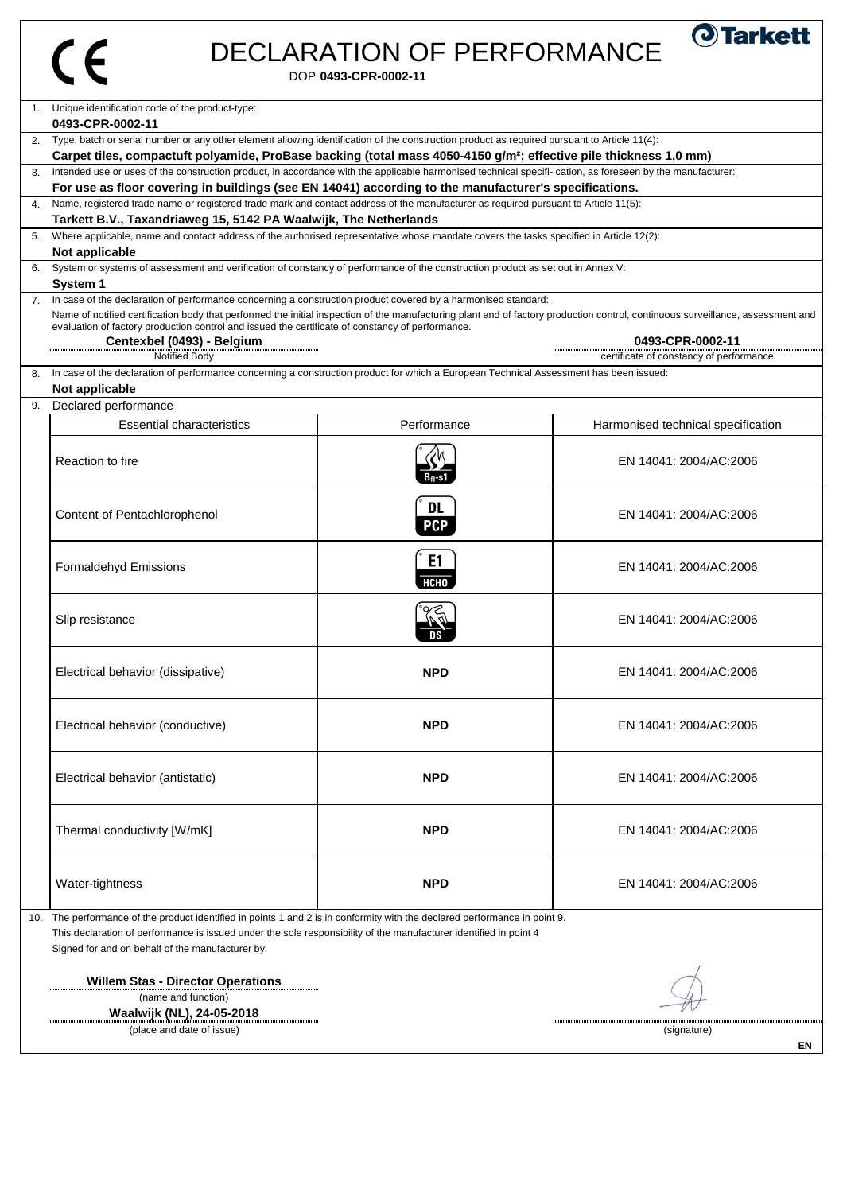| Í |
|---|
|   |

## DECLARATION OF PERFORMANCE

DOP **0493-CPR-0002-11**

|    | 1. Unique identification code of the product-type:<br>0493-CPR-0002-11                                                                                                                                                                                                                                                                                                                                                                                                                                                |                               |                                    |  |
|----|-----------------------------------------------------------------------------------------------------------------------------------------------------------------------------------------------------------------------------------------------------------------------------------------------------------------------------------------------------------------------------------------------------------------------------------------------------------------------------------------------------------------------|-------------------------------|------------------------------------|--|
|    | 2. Type, batch or serial number or any other element allowing identification of the construction product as required pursuant to Article 11(4):                                                                                                                                                                                                                                                                                                                                                                       |                               |                                    |  |
|    | Carpet tiles, compactuft polyamide, ProBase backing (total mass 4050-4150 g/m <sup>2</sup> ; effective pile thickness 1,0 mm)<br>Intended use or uses of the construction product, in accordance with the applicable harmonised technical specifi- cation, as foreseen by the manufacturer:                                                                                                                                                                                                                           |                               |                                    |  |
|    | For use as floor covering in buildings (see EN 14041) according to the manufacturer's specifications.                                                                                                                                                                                                                                                                                                                                                                                                                 |                               |                                    |  |
|    | Name, registered trade name or registered trade mark and contact address of the manufacturer as required pursuant to Article 11(5):<br>Tarkett B.V., Taxandriaweg 15, 5142 PA Waalwijk, The Netherlands                                                                                                                                                                                                                                                                                                               |                               |                                    |  |
| 5. | Where applicable, name and contact address of the authorised representative whose mandate covers the tasks specified in Article 12(2):                                                                                                                                                                                                                                                                                                                                                                                |                               |                                    |  |
|    | Not applicable<br>System or systems of assessment and verification of constancy of performance of the construction product as set out in Annex V:                                                                                                                                                                                                                                                                                                                                                                     |                               |                                    |  |
| 6. | System 1                                                                                                                                                                                                                                                                                                                                                                                                                                                                                                              |                               |                                    |  |
|    | 7. In case of the declaration of performance concerning a construction product covered by a harmonised standard:<br>Name of notified certification body that performed the initial inspection of the manufacturing plant and of factory production control, continuous surveillance, assessment and<br>evaluation of factory production control and issued the certificate of constancy of performance.<br>Centexbel (0493) - Belgium<br>0493-CPR-0002-11<br>Notified Body<br>certificate of constancy of performance |                               |                                    |  |
| 8. | In case of the declaration of performance concerning a construction product for which a European Technical Assessment has been issued:                                                                                                                                                                                                                                                                                                                                                                                |                               |                                    |  |
|    | Not applicable                                                                                                                                                                                                                                                                                                                                                                                                                                                                                                        |                               |                                    |  |
| 9. | Declared performance<br><b>Essential characteristics</b>                                                                                                                                                                                                                                                                                                                                                                                                                                                              | Performance                   | Harmonised technical specification |  |
|    |                                                                                                                                                                                                                                                                                                                                                                                                                                                                                                                       |                               |                                    |  |
|    | Reaction to fire                                                                                                                                                                                                                                                                                                                                                                                                                                                                                                      |                               | EN 14041: 2004/AC:2006             |  |
|    | Content of Pentachlorophenol                                                                                                                                                                                                                                                                                                                                                                                                                                                                                          | <b>DL</b><br><b>PCP</b>       | EN 14041: 2004/AC:2006             |  |
|    | <b>Formaldehyd Emissions</b>                                                                                                                                                                                                                                                                                                                                                                                                                                                                                          | E <sub>1</sub><br><b>НСНО</b> | EN 14041: 2004/AC:2006             |  |
|    | Slip resistance                                                                                                                                                                                                                                                                                                                                                                                                                                                                                                       |                               | EN 14041: 2004/AC:2006             |  |
|    | Electrical behavior (dissipative)                                                                                                                                                                                                                                                                                                                                                                                                                                                                                     | <b>NPD</b>                    | EN 14041: 2004/AC:2006             |  |
|    | Electrical behavior (conductive)                                                                                                                                                                                                                                                                                                                                                                                                                                                                                      | <b>NPD</b>                    | EN 14041: 2004/AC:2006             |  |
|    | Electrical behavior (antistatic)                                                                                                                                                                                                                                                                                                                                                                                                                                                                                      | <b>NPD</b>                    | EN 14041: 2004/AC:2006             |  |
|    | Thermal conductivity [W/mK]                                                                                                                                                                                                                                                                                                                                                                                                                                                                                           | <b>NPD</b>                    | EN 14041: 2004/AC:2006             |  |
|    | Water-tightness                                                                                                                                                                                                                                                                                                                                                                                                                                                                                                       | <b>NPD</b>                    | EN 14041: 2004/AC:2006             |  |
|    | 10. The performance of the product identified in points 1 and 2 is in conformity with the declared performance in point 9.<br>This declaration of performance is issued under the sole responsibility of the manufacturer identified in point 4<br>Signed for and on behalf of the manufacturer by:                                                                                                                                                                                                                   |                               |                                    |  |
|    | <b>Willem Stas - Director Operations</b>                                                                                                                                                                                                                                                                                                                                                                                                                                                                              |                               |                                    |  |
|    | (name and function)                                                                                                                                                                                                                                                                                                                                                                                                                                                                                                   |                               |                                    |  |
|    | Waalwijk (NL), 24-05-2018<br>(place and date of issue)<br>(signature)                                                                                                                                                                                                                                                                                                                                                                                                                                                 |                               |                                    |  |

**EN**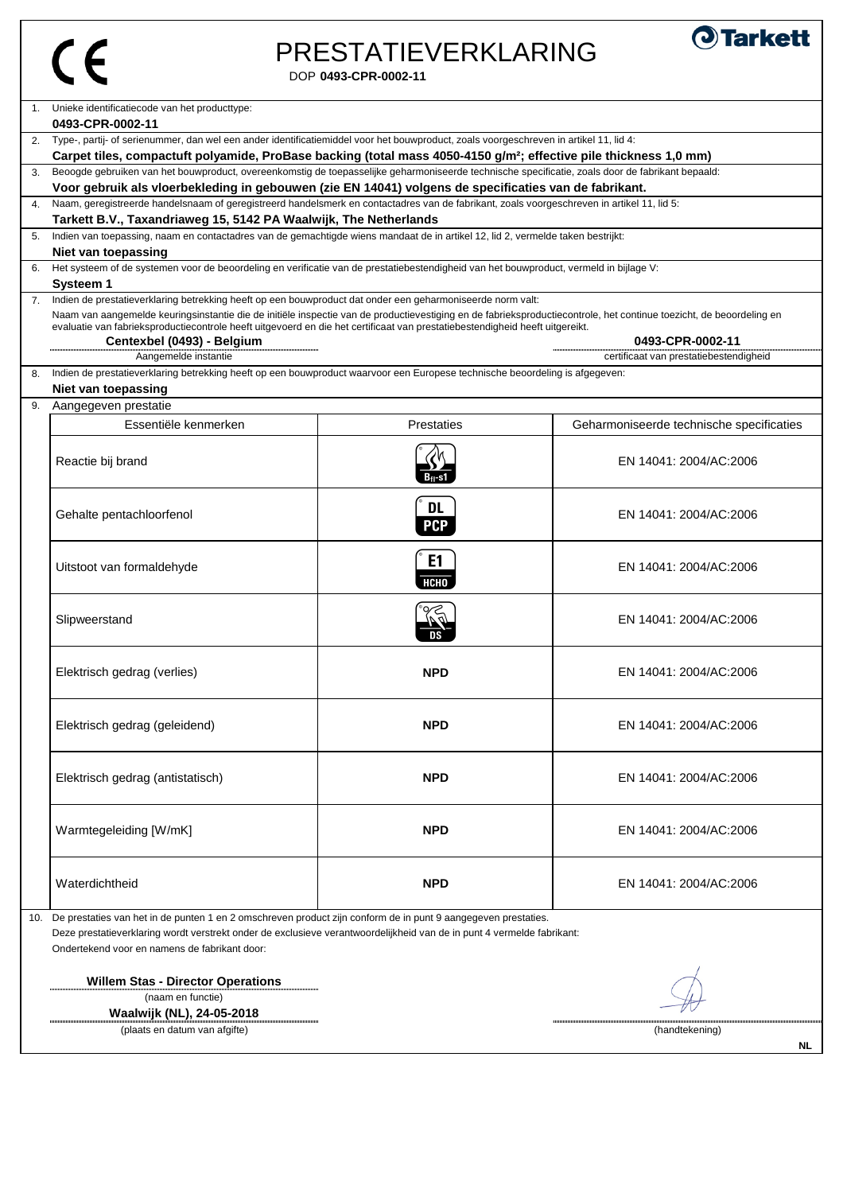### DOP **0493-CPR-0002-11** PRESTATIEVERKLARING



| $1_{\cdot}$ | Unieke identificatiecode van het producttype:                                                                                                                                                                                                                          |                |                                          |
|-------------|------------------------------------------------------------------------------------------------------------------------------------------------------------------------------------------------------------------------------------------------------------------------|----------------|------------------------------------------|
|             | 0493-CPR-0002-11                                                                                                                                                                                                                                                       |                |                                          |
| 2.          | Type-, partij- of serienummer, dan wel een ander identificatiemiddel voor het bouwproduct, zoals voorgeschreven in artikel 11, lid 4:<br>Carpet tiles, compactuft polyamide, ProBase backing (total mass 4050-4150 g/m <sup>2</sup> ; effective pile thickness 1,0 mm) |                |                                          |
| 3.          |                                                                                                                                                                                                                                                                        |                |                                          |
|             | Beoogde gebruiken van het bouwproduct, overeenkomstig de toepasselijke geharmoniseerde technische specificatie, zoals door de fabrikant bepaald:<br>Voor gebruik als vloerbekleding in gebouwen (zie EN 14041) volgens de specificaties van de fabrikant.              |                |                                          |
|             | Naam, geregistreerde handelsnaam of geregistreerd handelsmerk en contactadres van de fabrikant, zoals voorgeschreven in artikel 11, lid 5:                                                                                                                             |                |                                          |
| 4.          | Tarkett B.V., Taxandriaweg 15, 5142 PA Waalwijk, The Netherlands                                                                                                                                                                                                       |                |                                          |
| 5.          | Indien van toepassing, naam en contactadres van de gemachtigde wiens mandaat de in artikel 12, lid 2, vermelde taken bestrijkt:                                                                                                                                        |                |                                          |
|             | Niet van toepassing                                                                                                                                                                                                                                                    |                |                                          |
| 6.          | Het systeem of de systemen voor de beoordeling en verificatie van de prestatiebestendigheid van het bouwproduct, vermeld in bijlage V:                                                                                                                                 |                |                                          |
|             | <b>Systeem 1</b>                                                                                                                                                                                                                                                       |                |                                          |
| 7.          | Indien de prestatieverklaring betrekking heeft op een bouwproduct dat onder een geharmoniseerde norm valt:                                                                                                                                                             |                |                                          |
|             | Naam van aangemelde keuringsinstantie die de initiële inspectie van de productievestiging en de fabrieksproductiecontrole, het continue toezicht, de beoordeling en                                                                                                    |                |                                          |
|             | evaluatie van fabrieksproductiecontrole heeft uitgevoerd en die het certificaat van prestatiebestendigheid heeft uitgereikt.                                                                                                                                           |                |                                          |
|             | Centexbel (0493) - Belgium                                                                                                                                                                                                                                             |                | 0493-CPR-0002-11                         |
|             | Aangemelde instantie                                                                                                                                                                                                                                                   |                | certificaat van prestatiebestendigheid   |
| 8.          | Indien de prestatieverklaring betrekking heeft op een bouwproduct waarvoor een Europese technische beoordeling is afgegeven:                                                                                                                                           |                |                                          |
|             | Niet van toepassing                                                                                                                                                                                                                                                    |                |                                          |
| 9.          | Aangegeven prestatie                                                                                                                                                                                                                                                   |                |                                          |
|             | Essentiële kenmerken                                                                                                                                                                                                                                                   | Prestaties     | Geharmoniseerde technische specificaties |
|             |                                                                                                                                                                                                                                                                        |                |                                          |
|             | Reactie bij brand                                                                                                                                                                                                                                                      |                | EN 14041: 2004/AC:2006                   |
|             |                                                                                                                                                                                                                                                                        |                |                                          |
|             |                                                                                                                                                                                                                                                                        |                |                                          |
|             |                                                                                                                                                                                                                                                                        | <b>DL</b>      |                                          |
|             | Gehalte pentachloorfenol                                                                                                                                                                                                                                               | <b>PCP</b>     | EN 14041: 2004/AC:2006                   |
|             |                                                                                                                                                                                                                                                                        |                |                                          |
|             |                                                                                                                                                                                                                                                                        | E <sub>1</sub> |                                          |
|             | Uitstoot van formaldehyde                                                                                                                                                                                                                                              |                | EN 14041: 2004/AC:2006                   |
|             |                                                                                                                                                                                                                                                                        | нсно           |                                          |
|             |                                                                                                                                                                                                                                                                        |                |                                          |
|             | Slipweerstand                                                                                                                                                                                                                                                          |                | EN 14041: 2004/AC:2006                   |
|             |                                                                                                                                                                                                                                                                        |                |                                          |
|             |                                                                                                                                                                                                                                                                        |                |                                          |
|             | Elektrisch gedrag (verlies)                                                                                                                                                                                                                                            | <b>NPD</b>     | EN 14041: 2004/AC:2006                   |
|             |                                                                                                                                                                                                                                                                        |                |                                          |
|             |                                                                                                                                                                                                                                                                        |                |                                          |
|             |                                                                                                                                                                                                                                                                        | <b>NPD</b>     | EN 14041: 2004/AC:2006                   |
|             | Elektrisch gedrag (geleidend)                                                                                                                                                                                                                                          |                |                                          |
|             |                                                                                                                                                                                                                                                                        |                |                                          |
|             |                                                                                                                                                                                                                                                                        |                |                                          |
|             | Elektrisch gedrag (antistatisch)                                                                                                                                                                                                                                       | <b>NPD</b>     | EN 14041: 2004/AC:2006                   |
|             |                                                                                                                                                                                                                                                                        |                |                                          |
|             |                                                                                                                                                                                                                                                                        |                |                                          |
|             | Warmtegeleiding [W/mK]                                                                                                                                                                                                                                                 | <b>NPD</b>     | EN 14041: 2004/AC:2006                   |
|             |                                                                                                                                                                                                                                                                        |                |                                          |
|             |                                                                                                                                                                                                                                                                        |                |                                          |
|             | Waterdichtheid                                                                                                                                                                                                                                                         | <b>NPD</b>     | EN 14041: 2004/AC:2006                   |
|             |                                                                                                                                                                                                                                                                        |                |                                          |
|             | 10. De prestaties van het in de punten 1 en 2 omschreven product zijn conform de in punt 9 aangegeven prestaties.                                                                                                                                                      |                |                                          |
|             | and with a complete the starting of a construction of a complete control 1911 to a future of a complete th                                                                                                                                                             |                |                                          |

Deze prestatieverklaring wordt verstrekt onder de exclusieve verantwoordelijkheid van de in punt 4 vermelde fabrikant: Ondertekend voor en namens de fabrikant door:

**Willem Stas - Director Operations** .................. (naam en functie)

**Waalwijk (NL), 24-05-2018** (plaats en datum van afgifte) (handtekening)

 $-\nu$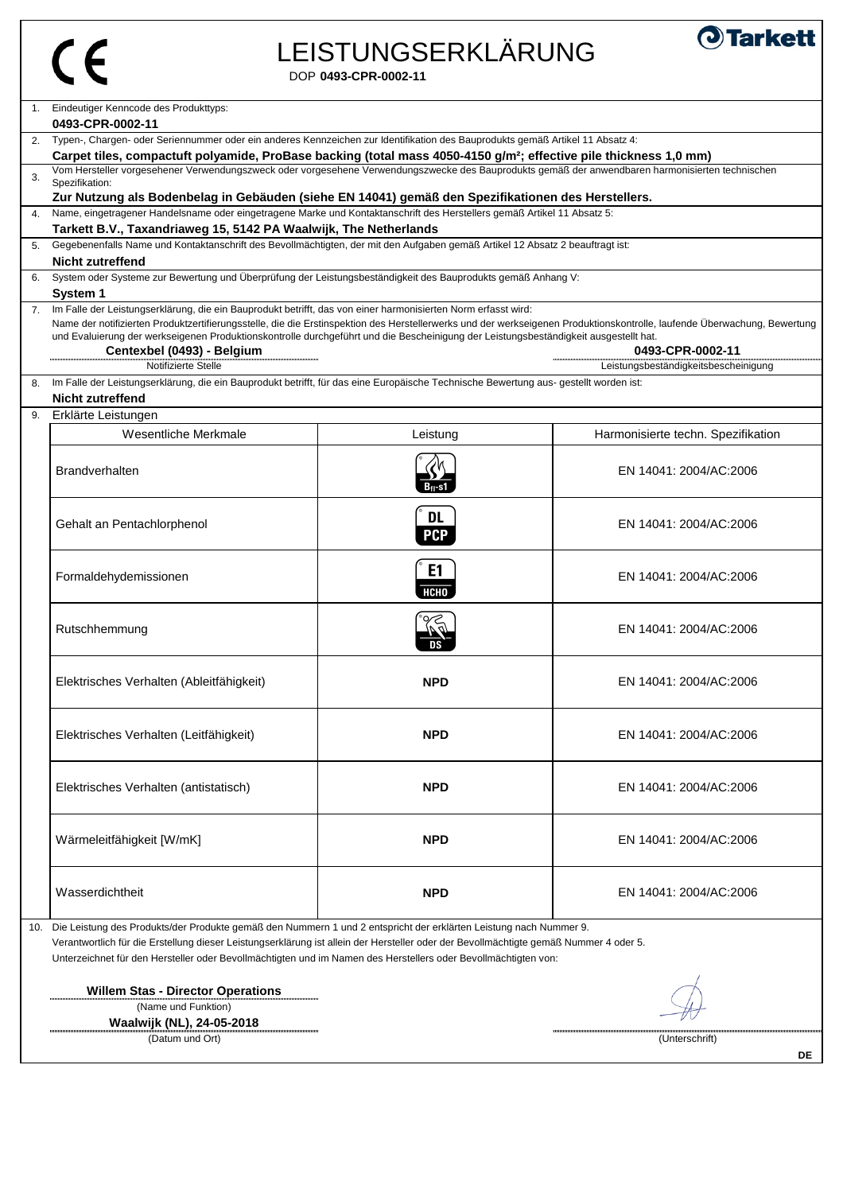| P<br>وجا |
|----------|
|          |

# LEISTUNGSERKLÄRUNG



DOP **0493-CPR-0002-11**

| 1.  | Eindeutiger Kenncode des Produkttyps:                                                                                                                                                                                                                      |                         |                                      |
|-----|------------------------------------------------------------------------------------------------------------------------------------------------------------------------------------------------------------------------------------------------------------|-------------------------|--------------------------------------|
|     | 0493-CPR-0002-11                                                                                                                                                                                                                                           |                         |                                      |
|     | 2. Typen-, Chargen- oder Seriennummer oder ein anderes Kennzeichen zur Identifikation des Bauprodukts gemäß Artikel 11 Absatz 4:                                                                                                                           |                         |                                      |
|     | Carpet tiles, compactuft polyamide, ProBase backing (total mass 4050-4150 g/m <sup>2</sup> ; effective pile thickness 1,0 mm)                                                                                                                              |                         |                                      |
| 3.  | Vom Hersteller vorgesehener Verwendungszweck oder vorgesehene Verwendungszwecke des Bauprodukts gemäß der anwendbaren harmonisierten technischen<br>Spezifikation:                                                                                         |                         |                                      |
|     | Zur Nutzung als Bodenbelag in Gebäuden (siehe EN 14041) gemäß den Spezifikationen des Herstellers.                                                                                                                                                         |                         |                                      |
| 4.  | Name, eingetragener Handelsname oder eingetragene Marke und Kontaktanschrift des Herstellers gemäß Artikel 11 Absatz 5:                                                                                                                                    |                         |                                      |
|     | Tarkett B.V., Taxandriaweg 15, 5142 PA Waalwijk, The Netherlands                                                                                                                                                                                           |                         |                                      |
| 5.  | Gegebenenfalls Name und Kontaktanschrift des Bevollmächtigten, der mit den Aufgaben gemäß Artikel 12 Absatz 2 beauftragt ist:<br><b>Nicht zutreffend</b>                                                                                                   |                         |                                      |
|     | System oder Systeme zur Bewertung und Überprüfung der Leistungsbeständigkeit des Bauprodukts gemäß Anhang V:                                                                                                                                               |                         |                                      |
|     | <b>System 1</b>                                                                                                                                                                                                                                            |                         |                                      |
| 7.  | Im Falle der Leistungserklärung, die ein Bauprodukt betrifft, das von einer harmonisierten Norm erfasst wird:                                                                                                                                              |                         |                                      |
|     | Name der notifizierten Produktzertifierungsstelle, die die Erstinspektion des Herstellerwerks und der werkseigenen Produktionskontrolle, laufende Überwachung, Bewertung                                                                                   |                         |                                      |
|     | und Evaluierung der werkseigenen Produktionskontrolle durchgeführt und die Bescheinigung der Leistungsbeständigkeit ausgestellt hat.                                                                                                                       |                         |                                      |
|     | Centexbel (0493) - Belgium                                                                                                                                                                                                                                 |                         | 0493-CPR-0002-11                     |
|     | Notifizierte Stelle                                                                                                                                                                                                                                        |                         | Leistungsbeständigkeitsbescheinigung |
| 8.  | Im Falle der Leistungserklärung, die ein Bauprodukt betrifft, für das eine Europäische Technische Bewertung aus- gestellt worden ist:                                                                                                                      |                         |                                      |
|     | <b>Nicht zutreffend</b>                                                                                                                                                                                                                                    |                         |                                      |
| 9.  | Erklärte Leistungen                                                                                                                                                                                                                                        |                         |                                      |
|     | Wesentliche Merkmale                                                                                                                                                                                                                                       | Leistung                | Harmonisierte techn. Spezifikation   |
|     |                                                                                                                                                                                                                                                            |                         |                                      |
|     | <b>Brandverhalten</b>                                                                                                                                                                                                                                      | Bn-s1                   | EN 14041: 2004/AC:2006               |
|     | Gehalt an Pentachlorphenol                                                                                                                                                                                                                                 | <b>DL</b><br><b>PCP</b> | EN 14041: 2004/AC:2006               |
|     | Formaldehydemissionen                                                                                                                                                                                                                                      | E1<br><b>НСНО</b>       | EN 14041: 2004/AC:2006               |
|     | Rutschhemmung                                                                                                                                                                                                                                              |                         | EN 14041: 2004/AC:2006               |
|     | Elektrisches Verhalten (Ableitfähigkeit)                                                                                                                                                                                                                   | <b>NPD</b>              | EN 14041: 2004/AC:2006               |
|     | Elektrisches Verhalten (Leitfähigkeit)                                                                                                                                                                                                                     | <b>NPD</b>              | EN 14041: 2004/AC:2006               |
|     | Elektrisches Verhalten (antistatisch)                                                                                                                                                                                                                      | <b>NPD</b>              | EN 14041: 2004/AC:2006               |
|     | Wärmeleitfähigkeit [W/mK]                                                                                                                                                                                                                                  | <b>NPD</b>              | EN 14041: 2004/AC:2006               |
|     | Wasserdichtheit                                                                                                                                                                                                                                            | <b>NPD</b>              | EN 14041: 2004/AC:2006               |
| 10. | Die Leistung des Produkts/der Produkte gemäß den Nummern 1 und 2 entspricht der erklärten Leistung nach Nummer 9.<br>Verantwortlich für die Erstellung dieser Leistungserklärung ist allein der Hersteller oder der Bevollmächtigte gemäß Nummer 4 oder 5. |                         |                                      |

...........

Unterzeichnet für den Hersteller oder Bevollmächtigten und im Namen des Herstellers oder Bevollmächtigten von:

**Willem Stas - Director Operations** (Name und Funktion)

**Waalwijk (NL), 24-05-2018**

(Datum und Ort) (Unterschrift)

₩

**DE**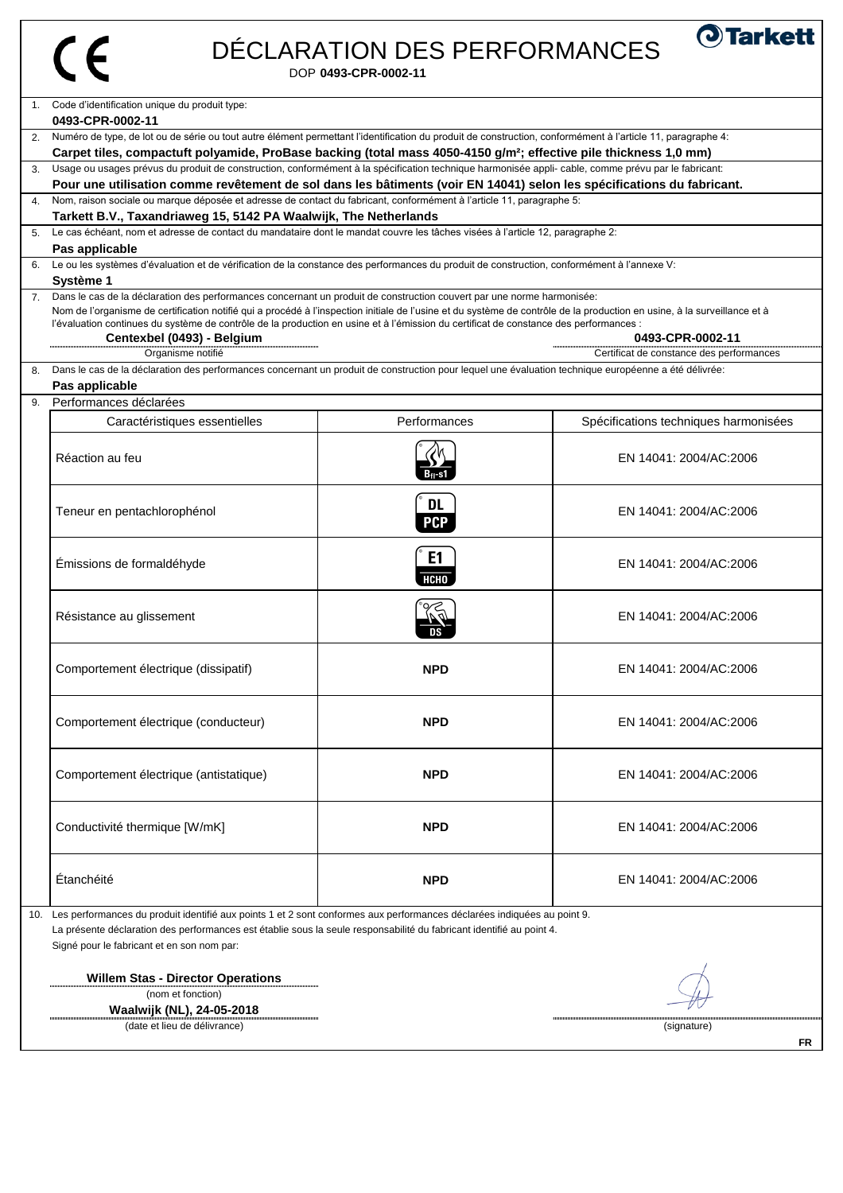| 6. | Code d'identification unique du produit type:<br>0493-CPR-0002-11<br>Numéro de type, de lot ou de série ou tout autre élément permettant l'identification du produit de construction, conformément à l'article 11, paragraphe 4:<br>Carpet tiles, compactuft polyamide, ProBase backing (total mass 4050-4150 g/m <sup>2</sup> ; effective pile thickness 1,0 mm)<br>3. Usage ou usages prévus du produit de construction, conformément à la spécification technique harmonisée appli- cable, comme prévu par le fabricant:<br>Pour une utilisation comme revêtement de sol dans les bâtiments (voir EN 14041) selon les spécifications du fabricant.<br>Nom, raison sociale ou marque déposée et adresse de contact du fabricant, conformément à l'article 11, paragraphe 5:<br>Tarkett B.V., Taxandriaweg 15, 5142 PA Waalwijk, The Netherlands<br>5. Le cas échéant, nom et adresse de contact du mandataire dont le mandat couvre les tâches visées à l'article 12, paragraphe 2:<br>Pas applicable<br>Le ou les systèmes d'évaluation et de vérification de la constance des performances du produit de construction, conformément à l'annexe V:<br>Système 1 |                                                                                                                                                                                                                                                                                                                                                                                                                                                                    |                                          |  |  |
|----|--------------------------------------------------------------------------------------------------------------------------------------------------------------------------------------------------------------------------------------------------------------------------------------------------------------------------------------------------------------------------------------------------------------------------------------------------------------------------------------------------------------------------------------------------------------------------------------------------------------------------------------------------------------------------------------------------------------------------------------------------------------------------------------------------------------------------------------------------------------------------------------------------------------------------------------------------------------------------------------------------------------------------------------------------------------------------------------------------------------------------------------------------------------------|--------------------------------------------------------------------------------------------------------------------------------------------------------------------------------------------------------------------------------------------------------------------------------------------------------------------------------------------------------------------------------------------------------------------------------------------------------------------|------------------------------------------|--|--|
|    |                                                                                                                                                                                                                                                                                                                                                                                                                                                                                                                                                                                                                                                                                                                                                                                                                                                                                                                                                                                                                                                                                                                                                                    |                                                                                                                                                                                                                                                                                                                                                                                                                                                                    |                                          |  |  |
|    |                                                                                                                                                                                                                                                                                                                                                                                                                                                                                                                                                                                                                                                                                                                                                                                                                                                                                                                                                                                                                                                                                                                                                                    |                                                                                                                                                                                                                                                                                                                                                                                                                                                                    |                                          |  |  |
|    |                                                                                                                                                                                                                                                                                                                                                                                                                                                                                                                                                                                                                                                                                                                                                                                                                                                                                                                                                                                                                                                                                                                                                                    |                                                                                                                                                                                                                                                                                                                                                                                                                                                                    |                                          |  |  |
|    |                                                                                                                                                                                                                                                                                                                                                                                                                                                                                                                                                                                                                                                                                                                                                                                                                                                                                                                                                                                                                                                                                                                                                                    |                                                                                                                                                                                                                                                                                                                                                                                                                                                                    |                                          |  |  |
|    |                                                                                                                                                                                                                                                                                                                                                                                                                                                                                                                                                                                                                                                                                                                                                                                                                                                                                                                                                                                                                                                                                                                                                                    |                                                                                                                                                                                                                                                                                                                                                                                                                                                                    |                                          |  |  |
|    |                                                                                                                                                                                                                                                                                                                                                                                                                                                                                                                                                                                                                                                                                                                                                                                                                                                                                                                                                                                                                                                                                                                                                                    |                                                                                                                                                                                                                                                                                                                                                                                                                                                                    |                                          |  |  |
|    |                                                                                                                                                                                                                                                                                                                                                                                                                                                                                                                                                                                                                                                                                                                                                                                                                                                                                                                                                                                                                                                                                                                                                                    |                                                                                                                                                                                                                                                                                                                                                                                                                                                                    |                                          |  |  |
|    |                                                                                                                                                                                                                                                                                                                                                                                                                                                                                                                                                                                                                                                                                                                                                                                                                                                                                                                                                                                                                                                                                                                                                                    |                                                                                                                                                                                                                                                                                                                                                                                                                                                                    |                                          |  |  |
|    |                                                                                                                                                                                                                                                                                                                                                                                                                                                                                                                                                                                                                                                                                                                                                                                                                                                                                                                                                                                                                                                                                                                                                                    |                                                                                                                                                                                                                                                                                                                                                                                                                                                                    |                                          |  |  |
|    | Centexbel (0493) - Belgium                                                                                                                                                                                                                                                                                                                                                                                                                                                                                                                                                                                                                                                                                                                                                                                                                                                                                                                                                                                                                                                                                                                                         | 7. Dans le cas de la déclaration des performances concernant un produit de construction couvert par une norme harmonisée:<br>Nom de l'organisme de certification notifié qui a procédé à l'inspection initiale de l'usine et du système de contrôle de la production en usine, à la surveillance et à<br>l'évaluation continues du système de contrôle de la production en usine et à l'émission du certificat de constance des performances :<br>0493-CPR-0002-11 |                                          |  |  |
| 8. | Organisme notifié<br>Dans le cas de la déclaration des performances concernant un produit de construction pour lequel une évaluation technique européenne a été délivrée:                                                                                                                                                                                                                                                                                                                                                                                                                                                                                                                                                                                                                                                                                                                                                                                                                                                                                                                                                                                          |                                                                                                                                                                                                                                                                                                                                                                                                                                                                    | Certificat de constance des performances |  |  |
|    | Pas applicable                                                                                                                                                                                                                                                                                                                                                                                                                                                                                                                                                                                                                                                                                                                                                                                                                                                                                                                                                                                                                                                                                                                                                     |                                                                                                                                                                                                                                                                                                                                                                                                                                                                    |                                          |  |  |
| 9. | Performances déclarées                                                                                                                                                                                                                                                                                                                                                                                                                                                                                                                                                                                                                                                                                                                                                                                                                                                                                                                                                                                                                                                                                                                                             |                                                                                                                                                                                                                                                                                                                                                                                                                                                                    |                                          |  |  |
|    | Caractéristiques essentielles                                                                                                                                                                                                                                                                                                                                                                                                                                                                                                                                                                                                                                                                                                                                                                                                                                                                                                                                                                                                                                                                                                                                      | Performances                                                                                                                                                                                                                                                                                                                                                                                                                                                       | Spécifications techniques harmonisées    |  |  |
|    | Réaction au feu                                                                                                                                                                                                                                                                                                                                                                                                                                                                                                                                                                                                                                                                                                                                                                                                                                                                                                                                                                                                                                                                                                                                                    |                                                                                                                                                                                                                                                                                                                                                                                                                                                                    | EN 14041: 2004/AC:2006                   |  |  |
|    | Teneur en pentachlorophénol                                                                                                                                                                                                                                                                                                                                                                                                                                                                                                                                                                                                                                                                                                                                                                                                                                                                                                                                                                                                                                                                                                                                        | <b>DL</b><br><b>PCP</b>                                                                                                                                                                                                                                                                                                                                                                                                                                            | EN 14041: 2004/AC:2006                   |  |  |
|    | Émissions de formaldéhyde                                                                                                                                                                                                                                                                                                                                                                                                                                                                                                                                                                                                                                                                                                                                                                                                                                                                                                                                                                                                                                                                                                                                          | E1<br>НСНО                                                                                                                                                                                                                                                                                                                                                                                                                                                         | EN 14041: 2004/AC:2006                   |  |  |
|    | Résistance au glissement                                                                                                                                                                                                                                                                                                                                                                                                                                                                                                                                                                                                                                                                                                                                                                                                                                                                                                                                                                                                                                                                                                                                           | $\overline{DS}$                                                                                                                                                                                                                                                                                                                                                                                                                                                    | EN 14041: 2004/AC:2006                   |  |  |
|    | Comportement électrique (dissipatif)                                                                                                                                                                                                                                                                                                                                                                                                                                                                                                                                                                                                                                                                                                                                                                                                                                                                                                                                                                                                                                                                                                                               | <b>NPD</b>                                                                                                                                                                                                                                                                                                                                                                                                                                                         | EN 14041: 2004/AC:2006                   |  |  |
|    | Comportement électrique (conducteur)                                                                                                                                                                                                                                                                                                                                                                                                                                                                                                                                                                                                                                                                                                                                                                                                                                                                                                                                                                                                                                                                                                                               | <b>NPD</b>                                                                                                                                                                                                                                                                                                                                                                                                                                                         | EN 14041: 2004/AC:2006                   |  |  |
|    | Comportement électrique (antistatique)                                                                                                                                                                                                                                                                                                                                                                                                                                                                                                                                                                                                                                                                                                                                                                                                                                                                                                                                                                                                                                                                                                                             | <b>NPD</b>                                                                                                                                                                                                                                                                                                                                                                                                                                                         | EN 14041: 2004/AC:2006                   |  |  |
|    | Conductivité thermique [W/mK]                                                                                                                                                                                                                                                                                                                                                                                                                                                                                                                                                                                                                                                                                                                                                                                                                                                                                                                                                                                                                                                                                                                                      | <b>NPD</b>                                                                                                                                                                                                                                                                                                                                                                                                                                                         | EN 14041: 2004/AC:2006                   |  |  |
|    | Étanchéité                                                                                                                                                                                                                                                                                                                                                                                                                                                                                                                                                                                                                                                                                                                                                                                                                                                                                                                                                                                                                                                                                                                                                         | <b>NPD</b>                                                                                                                                                                                                                                                                                                                                                                                                                                                         | EN 14041: 2004/AC:2006                   |  |  |

**Willem Stas - Director Operations** (nom et fonction) **Waalwijk (NL), 24-05-2018**

(date et lieu de délivrance) est décret de la commune de la commune de la commune de la commune de la commune d

....................

 $\nu$ 

**FR**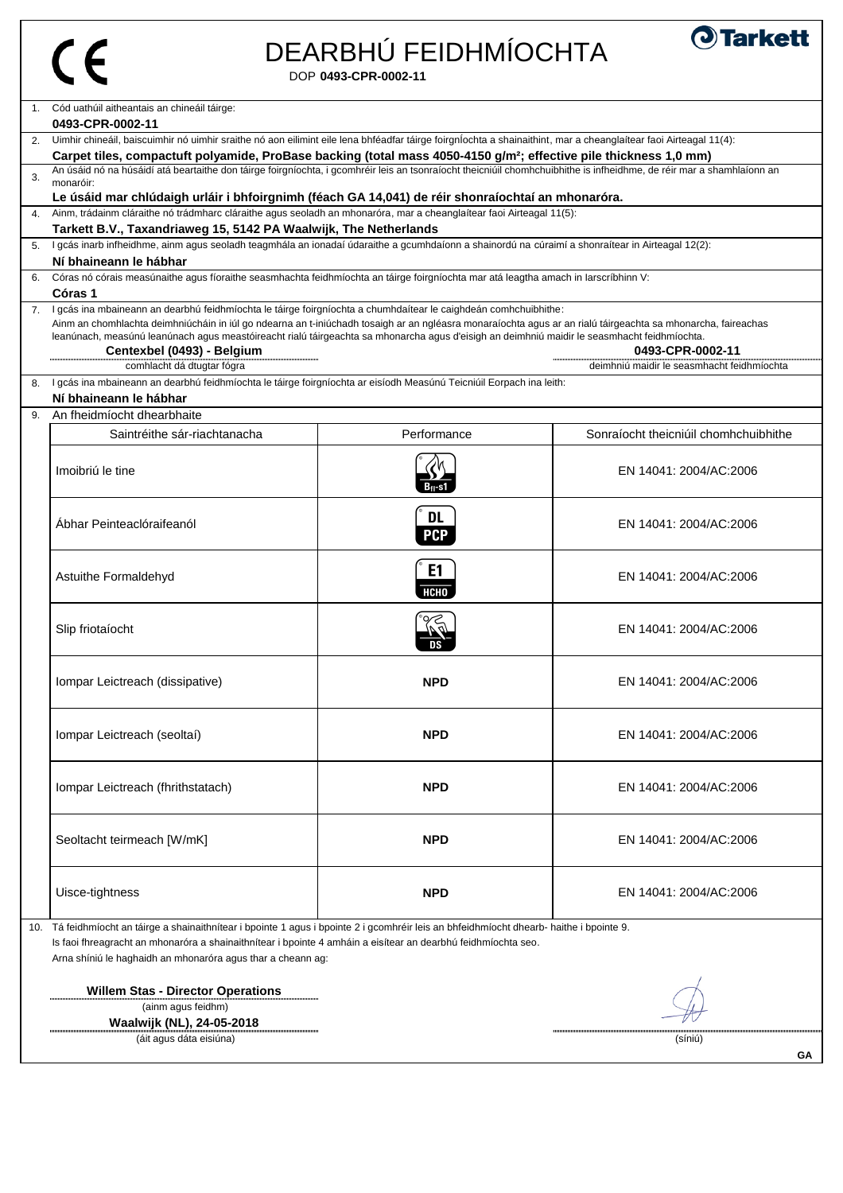| P<br>ويا<br>وي |
|----------------|
|                |

# DEARBHÚ FEIDHMÍOCHTA



DOP **0493-CPR-0002-11**

 (ainm agus feidhm) **Waalwijk (NL), 24-05-2018** ...............

| $\mathbf{1}$ . | Cód uathúil aitheantais an chineáil táirge:                                                                                                                                                                                                                                                            |             |                                            |  |
|----------------|--------------------------------------------------------------------------------------------------------------------------------------------------------------------------------------------------------------------------------------------------------------------------------------------------------|-------------|--------------------------------------------|--|
|                | 0493-CPR-0002-11                                                                                                                                                                                                                                                                                       |             |                                            |  |
| 2.             | Uimhir chineáil, baiscuimhir nó uimhir sraithe nó aon eilimint eile lena bhféadfar táirge foirgníochta a shainaithint, mar a cheanglaítear faoi Airteagal 11(4):                                                                                                                                       |             |                                            |  |
|                | Carpet tiles, compactuft polyamide, ProBase backing (total mass 4050-4150 g/m <sup>2</sup> ; effective pile thickness 1,0 mm)<br>An úsáid nó na húsáidí atá beartaithe don táirge foirgníochta, i gcomhréir leis an tsonraíocht theicniúil chomhchuibhithe is infheidhme, de réir mar a shamhlaíonn an |             |                                            |  |
| 3.             | monaróir:                                                                                                                                                                                                                                                                                              |             |                                            |  |
|                | Le úsáid mar chlúdaigh urláir i bhfoirgnimh (féach GA 14,041) de réir shonraíochtaí an mhonaróra.                                                                                                                                                                                                      |             |                                            |  |
| 4.             | Ainm, trádainm cláraithe nó trádmharc cláraithe agus seoladh an mhonaróra, mar a cheanglaítear faoi Airteagal 11(5):                                                                                                                                                                                   |             |                                            |  |
|                | Tarkett B.V., Taxandriaweg 15, 5142 PA Waalwijk, The Netherlands                                                                                                                                                                                                                                       |             |                                            |  |
| 5.             | I gcás inarb infheidhme, ainm agus seoladh teagmhála an ionadaí údaraithe a gcumhdaíonn a shainordú na cúraimí a shonraítear in Airteagal 12(2):                                                                                                                                                       |             |                                            |  |
|                | Ní bhaineann le hábhar                                                                                                                                                                                                                                                                                 |             |                                            |  |
| 6.             | Córas nó córais measúnaithe agus fíoraithe seasmhachta feidhmíochta an táirge foirgníochta mar atá leagtha amach in Iarscríbhinn V:<br>Córas 1                                                                                                                                                         |             |                                            |  |
|                | I gcás ina mbaineann an dearbhú feidhmíochta le táirge foirgníochta a chumhdaítear le caighdeán comhchuibhithe:                                                                                                                                                                                        |             |                                            |  |
|                | Ainm an chomhlachta deimhniúcháin in iúl go ndearna an t-iniúchadh tosaigh ar an ngléasra monaraíochta agus ar an rialú táirgeachta sa mhonarcha, faireachas                                                                                                                                           |             |                                            |  |
|                | leanúnach, measúnú leanúnach agus meastóireacht rialú táirgeachta sa mhonarcha agus d'eisigh an deimhniú maidir le seasmhacht feidhmíochta.                                                                                                                                                            |             |                                            |  |
|                | Centexbel (0493) - Belgium                                                                                                                                                                                                                                                                             |             | 0493-CPR-0002-11                           |  |
|                | comhlacht dá dtugtar fógra                                                                                                                                                                                                                                                                             |             | deimhniú maidir le seasmhacht feidhmíochta |  |
| 8.             | I gcás ina mbaineann an dearbhú feidhmíochta le táirge foirgníochta ar eisíodh Measúnú Teicniúil Eorpach ina leith:                                                                                                                                                                                    |             |                                            |  |
|                | Ní bhaineann le hábhar                                                                                                                                                                                                                                                                                 |             |                                            |  |
| 9.             | An fheidmíocht dhearbhaite                                                                                                                                                                                                                                                                             |             |                                            |  |
|                | Saintréithe sár-riachtanacha                                                                                                                                                                                                                                                                           | Performance | Sonraíocht theicniúil chomhchuibhithe      |  |
|                |                                                                                                                                                                                                                                                                                                        |             |                                            |  |
|                | Imoibriú le tine                                                                                                                                                                                                                                                                                       |             | EN 14041: 2004/AC:2006                     |  |
|                |                                                                                                                                                                                                                                                                                                        | B-r-s1      |                                            |  |
|                |                                                                                                                                                                                                                                                                                                        |             |                                            |  |
|                | Ábhar Peinteaclóraifeanól                                                                                                                                                                                                                                                                              | <b>DL</b>   | EN 14041: 2004/AC:2006                     |  |
|                |                                                                                                                                                                                                                                                                                                        | <b>PCP</b>  |                                            |  |
|                |                                                                                                                                                                                                                                                                                                        |             |                                            |  |
|                | Astuithe Formaldehyd                                                                                                                                                                                                                                                                                   | E1          | EN 14041: 2004/AC:2006                     |  |
|                |                                                                                                                                                                                                                                                                                                        | <b>НСНО</b> |                                            |  |
|                |                                                                                                                                                                                                                                                                                                        |             |                                            |  |
|                | Slip friotaíocht                                                                                                                                                                                                                                                                                       |             | EN 14041: 2004/AC:2006                     |  |
|                |                                                                                                                                                                                                                                                                                                        |             |                                            |  |
|                |                                                                                                                                                                                                                                                                                                        |             |                                            |  |
|                | Iompar Leictreach (dissipative)                                                                                                                                                                                                                                                                        | <b>NPD</b>  | EN 14041: 2004/AC:2006                     |  |
|                |                                                                                                                                                                                                                                                                                                        |             |                                            |  |
|                |                                                                                                                                                                                                                                                                                                        |             |                                            |  |
|                | Iompar Leictreach (seoltaí)                                                                                                                                                                                                                                                                            | <b>NPD</b>  | EN 14041: 2004/AC:2006                     |  |
|                |                                                                                                                                                                                                                                                                                                        |             |                                            |  |
|                |                                                                                                                                                                                                                                                                                                        |             |                                            |  |
|                | Iompar Leictreach (fhrithstatach)                                                                                                                                                                                                                                                                      | <b>NPD</b>  | EN 14041: 2004/AC:2006                     |  |
|                |                                                                                                                                                                                                                                                                                                        |             |                                            |  |
|                |                                                                                                                                                                                                                                                                                                        |             |                                            |  |
|                | Seoltacht teirmeach [W/mK]                                                                                                                                                                                                                                                                             | <b>NPD</b>  | EN 14041: 2004/AC:2006                     |  |
|                |                                                                                                                                                                                                                                                                                                        |             |                                            |  |
|                |                                                                                                                                                                                                                                                                                                        |             |                                            |  |
|                | Uisce-tightness                                                                                                                                                                                                                                                                                        | <b>NPD</b>  | EN 14041: 2004/AC:2006                     |  |
|                |                                                                                                                                                                                                                                                                                                        |             |                                            |  |
| 10.            | Tá feidhmíocht an táirge a shainaithnítear i bpointe 1 agus i bpointe 2 i gcomhréir leis an bhfeidhmíocht dhearb- haithe i bpointe 9.                                                                                                                                                                  |             |                                            |  |
|                | Is faoi fhreagracht an mhonaróra a shainaithnítear i bpointe 4 amháin a eisítear an dearbhú feidhmíochta seo.                                                                                                                                                                                          |             |                                            |  |
|                | Arna shíniú le haghaidh an mhonaróra agus thar a cheann ag:                                                                                                                                                                                                                                            |             |                                            |  |
|                |                                                                                                                                                                                                                                                                                                        |             |                                            |  |
|                | <b>Willem Stas - Director Operations</b>                                                                                                                                                                                                                                                               |             |                                            |  |

(áit agus dáta eisiúna) (síniú)

 $\sqrt{2}$ 

Ħ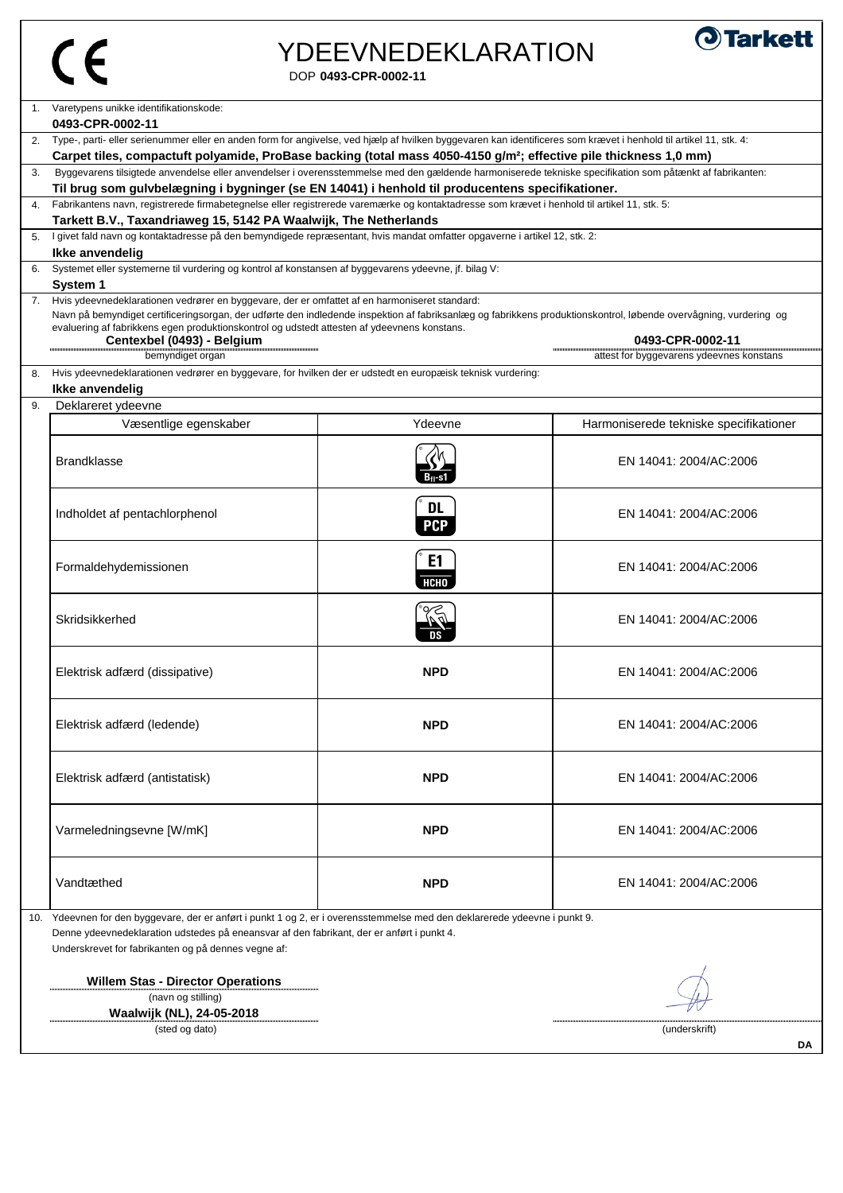| œ<br>٠<br>وال |
|---------------|
|               |

#### DOP **0493-CPR-0002-11** YDEEVNEDEKLARATION



|                                                                                                                               | Varetypens unikke identifikationskode:<br>0493-CPR-0002-11                                                                                                                                                                                                                                                                                                                                                          |                               |                                                              |
|-------------------------------------------------------------------------------------------------------------------------------|---------------------------------------------------------------------------------------------------------------------------------------------------------------------------------------------------------------------------------------------------------------------------------------------------------------------------------------------------------------------------------------------------------------------|-------------------------------|--------------------------------------------------------------|
|                                                                                                                               | 2. Type-, parti- eller serienummer eller en anden form for angivelse, ved hjælp af hvilken byggevaren kan identificeres som krævet i henhold til artikel 11, stk. 4:                                                                                                                                                                                                                                                |                               |                                                              |
| Carpet tiles, compactuft polyamide, ProBase backing (total mass 4050-4150 g/m <sup>2</sup> ; effective pile thickness 1,0 mm) |                                                                                                                                                                                                                                                                                                                                                                                                                     |                               |                                                              |
| 3.                                                                                                                            | Byggevarens tilsigtede anvendelse eller anvendelser i overensstemmelse med den gældende harmoniserede tekniske specifikation som påtænkt af fabrikanten:                                                                                                                                                                                                                                                            |                               |                                                              |
|                                                                                                                               | Til brug som gulvbelægning i bygninger (se EN 14041) i henhold til producentens specifikationer.                                                                                                                                                                                                                                                                                                                    |                               |                                                              |
| 4.                                                                                                                            | Fabrikantens navn, registrerede firmabetegnelse eller registrerede varemærke og kontaktadresse som krævet i henhold til artikel 11, stk. 5:                                                                                                                                                                                                                                                                         |                               |                                                              |
|                                                                                                                               | Tarkett B.V., Taxandriaweg 15, 5142 PA Waalwijk, The Netherlands                                                                                                                                                                                                                                                                                                                                                    |                               |                                                              |
| 5.                                                                                                                            | I givet fald navn og kontaktadresse på den bemyndigede repræsentant, hvis mandat omfatter opgaverne i artikel 12, stk. 2:                                                                                                                                                                                                                                                                                           |                               |                                                              |
|                                                                                                                               | Ikke anvendelig                                                                                                                                                                                                                                                                                                                                                                                                     |                               |                                                              |
| 6.                                                                                                                            | Systemet eller systemerne til vurdering og kontrol af konstansen af byggevarens ydeevne, jf. bilag V:                                                                                                                                                                                                                                                                                                               |                               |                                                              |
|                                                                                                                               | System 1                                                                                                                                                                                                                                                                                                                                                                                                            |                               |                                                              |
| 7.                                                                                                                            | Hvis ydeevnedeklarationen vedrører en byggevare, der er omfattet af en harmoniseret standard:<br>Navn på bemyndiget certificeringsorgan, der udførte den indledende inspektion af fabriksanlæg og fabrikkens produktionskontrol, løbende overvågning, vurdering og<br>evaluering af fabrikkens egen produktionskontrol og udstedt attesten af ydeevnens konstans.<br>Centexbel (0493) - Belgium<br>bemyndiget organ |                               | 0493-CPR-0002-11<br>attest for byggevarens ydeevnes konstans |
|                                                                                                                               | Hvis ydeevnedeklarationen vedrører en byggevare, for hvilken der er udstedt en europæisk teknisk vurdering:                                                                                                                                                                                                                                                                                                         |                               |                                                              |
|                                                                                                                               | Ikke anvendelig                                                                                                                                                                                                                                                                                                                                                                                                     |                               |                                                              |
|                                                                                                                               | Deklareret ydeevne                                                                                                                                                                                                                                                                                                                                                                                                  |                               |                                                              |
|                                                                                                                               | Væsentlige egenskaber                                                                                                                                                                                                                                                                                                                                                                                               | Ydeevne                       | Harmoniserede tekniske specifikationer                       |
|                                                                                                                               | <b>Brandklasse</b>                                                                                                                                                                                                                                                                                                                                                                                                  |                               | EN 14041: 2004/AC:2006                                       |
|                                                                                                                               | Indholdet af pentachlorphenol                                                                                                                                                                                                                                                                                                                                                                                       | <b>DL</b><br><b>PCP</b>       | EN 14041: 2004/AC:2006                                       |
|                                                                                                                               | Formaldehydemissionen                                                                                                                                                                                                                                                                                                                                                                                               | E <sub>1</sub><br><b>НСНО</b> | EN 14041: 2004/AC:2006                                       |
|                                                                                                                               | Skridsikkerhed                                                                                                                                                                                                                                                                                                                                                                                                      |                               | EN 14041: 2004/AC:2006                                       |
|                                                                                                                               | Elektrisk adfærd (dissipative)                                                                                                                                                                                                                                                                                                                                                                                      | <b>NPD</b>                    | EN 14041: 2004/AC:2006                                       |
|                                                                                                                               | Elektrisk adfærd (ledende)                                                                                                                                                                                                                                                                                                                                                                                          | <b>NPD</b>                    | EN 14041: 2004/AC:2006                                       |
|                                                                                                                               | Elektrisk adfærd (antistatisk)                                                                                                                                                                                                                                                                                                                                                                                      | <b>NPD</b>                    | EN 14041: 2004/AC:2006                                       |
|                                                                                                                               | Varmeledningsevne [W/mK]                                                                                                                                                                                                                                                                                                                                                                                            | <b>NPD</b>                    | EN 14041: 2004/AC:2006                                       |
|                                                                                                                               | Vandtæthed                                                                                                                                                                                                                                                                                                                                                                                                          | <b>NPD</b>                    | EN 14041: 2004/AC:2006                                       |

**Willem Stas - Director Operations** (navn og stilling) **Waalwijk (NL), 24-05-2018**

(sted og dato) (underskrift)

 $\nu\vee$ 

............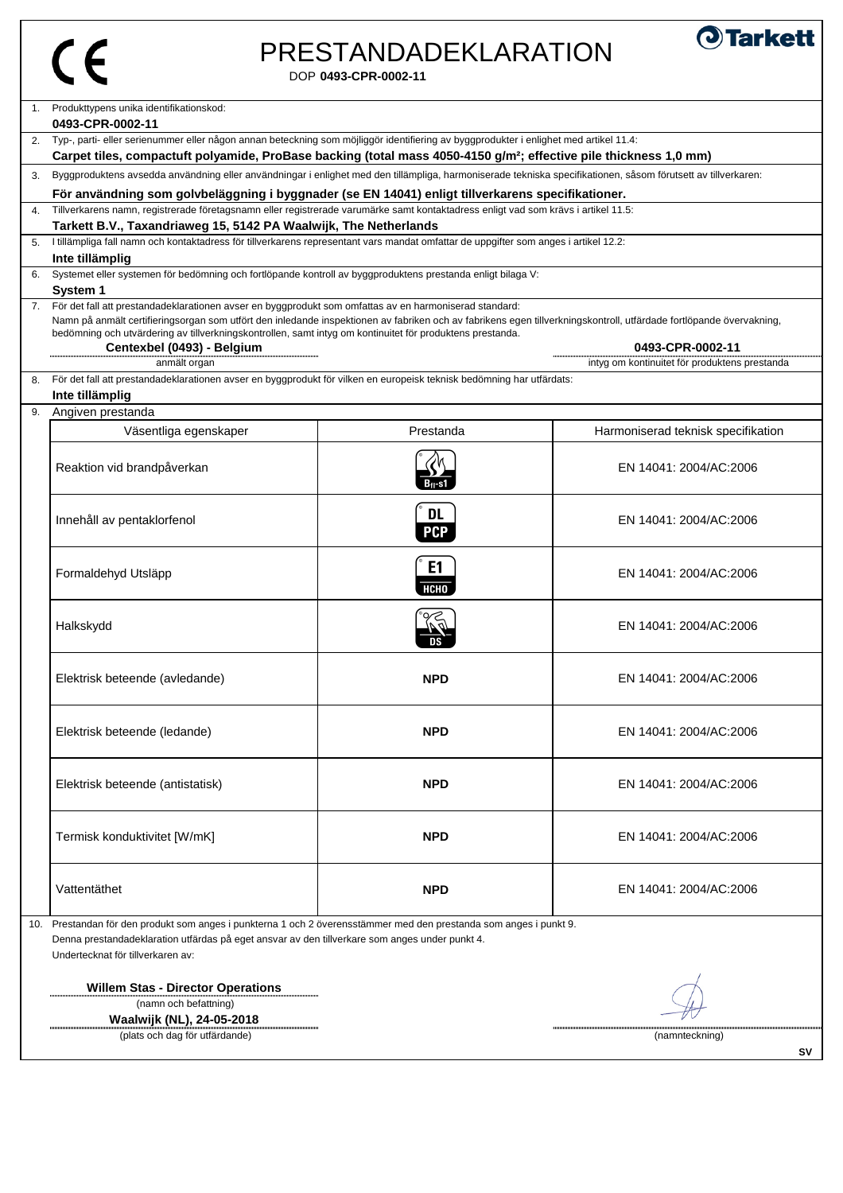# PRESTANDADEKLARATION



**SV**

÷

 ${\mathbb Z}$ 

DOP **0493-CPR-0002-11**

| 1.           | Produkttypens unika identifikationskod:<br>0493-CPR-0002-11                                                                                                                                                                                                                                                                    |                               |                                                                   |
|--------------|--------------------------------------------------------------------------------------------------------------------------------------------------------------------------------------------------------------------------------------------------------------------------------------------------------------------------------|-------------------------------|-------------------------------------------------------------------|
|              | Typ-, parti- eller serienummer eller någon annan beteckning som möjliggör identifiering av byggprodukter i enlighet med artikel 11.4:                                                                                                                                                                                          |                               |                                                                   |
|              | Carpet tiles, compactuft polyamide, ProBase backing (total mass 4050-4150 g/m <sup>2</sup> ; effective pile thickness 1,0 mm)                                                                                                                                                                                                  |                               |                                                                   |
| 3.           | Byggproduktens avsedda användning eller användningar i enlighet med den tillämpliga, harmoniserade tekniska specifikationen, såsom förutsett av tillverkaren:                                                                                                                                                                  |                               |                                                                   |
|              | För användning som golvbeläggning i byggnader (se EN 14041) enligt tillverkarens specifikationer.                                                                                                                                                                                                                              |                               |                                                                   |
| $\mathbf{A}$ | Tillverkarens namn, registrerade företagsnamn eller registrerade varumärke samt kontaktadress enligt vad som krävs i artikel 11.5:                                                                                                                                                                                             |                               |                                                                   |
|              | Tarkett B.V., Taxandriaweg 15, 5142 PA Waalwijk, The Netherlands                                                                                                                                                                                                                                                               |                               |                                                                   |
|              | I tillämpliga fall namn och kontaktadress för tillverkarens representant vars mandat omfattar de uppgifter som anges i artikel 12.2:                                                                                                                                                                                           |                               |                                                                   |
| 6.           | Inte tillämplig<br>Systemet eller systemen för bedömning och fortlöpande kontroll av byggproduktens prestanda enligt bilaga V:                                                                                                                                                                                                 |                               |                                                                   |
|              | System 1                                                                                                                                                                                                                                                                                                                       |                               |                                                                   |
| 7.           | För det fall att prestandadeklarationen avser en byggprodukt som omfattas av en harmoniserad standard:                                                                                                                                                                                                                         |                               |                                                                   |
|              | Namn på anmält certifieringsorgan som utfört den inledande inspektionen av fabriken och av fabrikens egen tillverkningskontroll, utfärdade fortlöpande övervakning,<br>bedömning och utvärdering av tillverkningskontrollen, samt intyg om kontinuitet för produktens prestanda.<br>Centexbel (0493) - Belgium<br>anmält organ |                               | 0493-CPR-0002-11<br>intyg om kontinuitet för produktens prestanda |
| 8.           | För det fall att prestandadeklarationen avser en byggprodukt för vilken en europeisk teknisk bedömning har utfärdats:<br>Inte tillämplig                                                                                                                                                                                       |                               |                                                                   |
| 9.           | Angiven prestanda                                                                                                                                                                                                                                                                                                              |                               |                                                                   |
|              | Väsentliga egenskaper                                                                                                                                                                                                                                                                                                          | Prestanda                     | Harmoniserad teknisk specifikation                                |
|              | Reaktion vid brandpåverkan                                                                                                                                                                                                                                                                                                     | $B_{fl}$ -s1                  | EN 14041: 2004/AC:2006                                            |
|              | Innehåll av pentaklorfenol                                                                                                                                                                                                                                                                                                     | <b>DL</b><br><b>PCP</b>       | EN 14041: 2004/AC:2006                                            |
|              | Formaldehyd Utsläpp                                                                                                                                                                                                                                                                                                            | E <sub>1</sub><br><b>НСНО</b> | EN 14041: 2004/AC:2006                                            |
|              | Halkskydd                                                                                                                                                                                                                                                                                                                      |                               | EN 14041: 2004/AC:2006                                            |
|              | Elektrisk beteende (avledande)                                                                                                                                                                                                                                                                                                 | <b>NPD</b>                    | EN 14041: 2004/AC:2006                                            |
|              | Elektrisk beteende (ledande)                                                                                                                                                                                                                                                                                                   | <b>NPD</b>                    | EN 14041: 2004/AC:2006                                            |
|              | Elektrisk beteende (antistatisk)                                                                                                                                                                                                                                                                                               | <b>NPD</b>                    | EN 14041: 2004/AC:2006                                            |
|              | Termisk konduktivitet [W/mK]                                                                                                                                                                                                                                                                                                   | <b>NPD</b>                    | EN 14041: 2004/AC:2006                                            |
|              | Vattentäthet                                                                                                                                                                                                                                                                                                                   | <b>NPD</b>                    | EN 14041: 2004/AC:2006                                            |
|              | 10. Prestandan för den produkt som anges i punkterna 1 och 2 överensstämmer med den prestanda som anges i punkt 9.                                                                                                                                                                                                             |                               |                                                                   |

Denna prestandadeklaration utfärdas på eget ansvar av den tillverkare som anges under punkt 4. Undertecknat för tillverkaren av:

**Willem Stas - Director Operations** (namn och befattning)



(plats och dag för utfärdande) (namnteckning)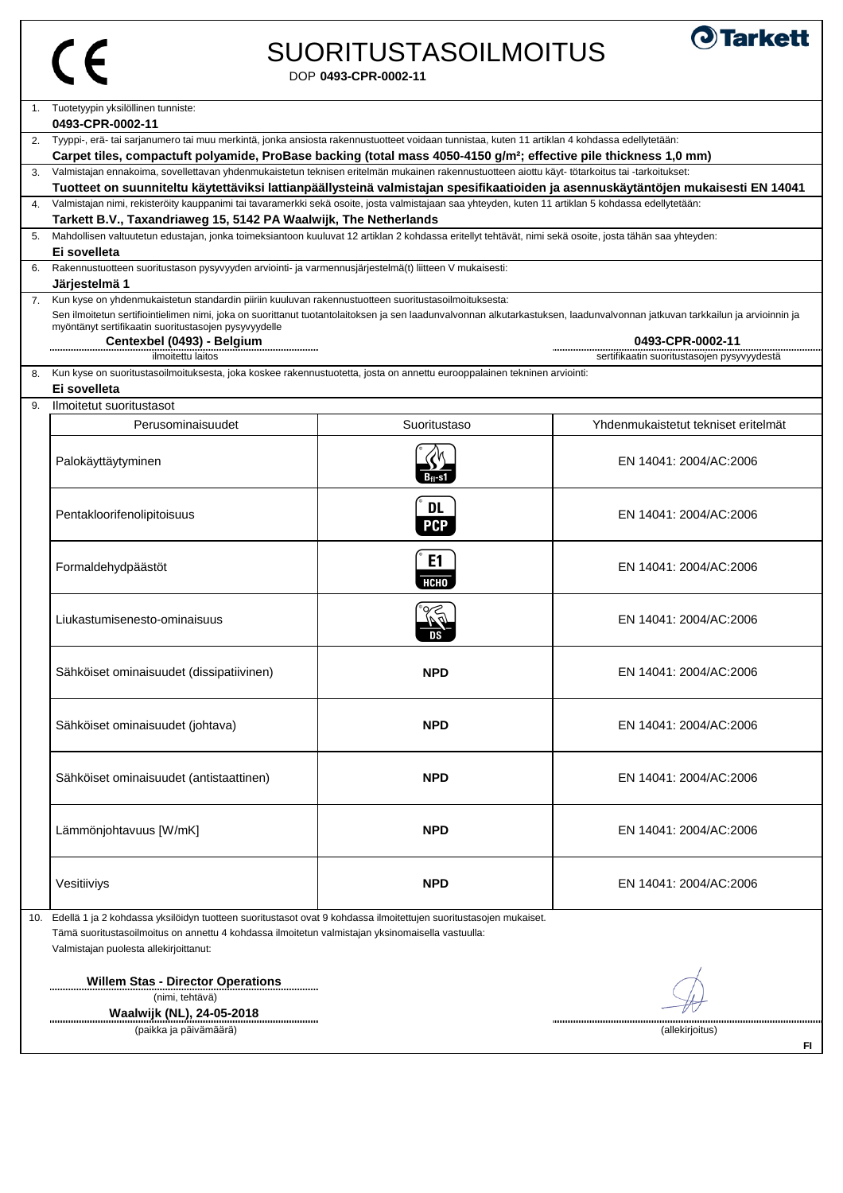#### DOP **0493-CPR-0002-11** SUORITUSTASOILMOITUS



1. 2. Tyyppi-, erä- tai sarjanumero tai muu merkintä, jonka ansiosta rakennustuotteet voidaan tunnistaa, kuten 11 artiklan 4 kohdassa edellytetään: 3. 4. 5. 6. 7. **Centexbel (0493) - Belgium 0493-CPR-0002-11** ilmoitettu laitos sertifikaatin suoritustasojen pysyvyydestä 8. 9. Ilmoitetut suoritustasot Perusominaisuudet Suoritustaso Yhdenmukaistetut tekniset eritelmät Perusominaisuudet<br>
Palokäyttäytyminen EN 14041: 2004/AC:2006 Palokäyttäytyminen EN 14041: 2004/AC:2006<br>Pentakloorifenolipitoisuus **a EN 14041: 2004/AC:2006**<br>PCP EN 14041: 2004/AC:2006 Formaldehydpäästöt<br>Formaldehydpäästöt<br>EN 14041: 2004/AC:2006<br>EN 14041: 2004/AC:2006 EN 14041: 2004/AC:2006<br>Liukastumisenesto-ominaisuus<br>District of the District of the District of the District of the District of the District of the District of the District of the District of the District of the District o Sähköiset ominaisuudet (dissipatiivinen)  $\blacksquare$  NPD  $\blacksquare$  EN 14041: 2004/AC:2006 Sähköiset ominaisuudet (johtava) **NPD** EN 14041: 2004/AC:2006 Sähköiset ominaisuudet (antistaattinen) **NPD** EN 14041: 2004/AC:2006 Lämmönjohtavuus [W/mK] **NPD** EN 14041: 2004/AC:2006 Vesitiiviys **NPD** EN 14041: 2004/AC:2006 10. Edellä 1 ja 2 kohdassa yksilöidyn tuotteen suoritustasot ovat 9 kohdassa ilmoitettujen suoritustasojen mukaiset. **Willem Stas - Director Operations** Sen ilmoitetun sertifiointielimen nimi, joka on suorittanut tuotantolaitoksen ja sen laadunvalvonnan alkutarkastuksen, laadunvalvonnan jatkuvan tarkkailun ja arvioinnin ja myöntänyt sertifikaatin suoritustasojen pysyvyydelle Kun kyse on suoritustasoilmoituksesta, joka koskee rakennustuotetta, josta on annettu eurooppalainen tekninen arviointi: **Ei sovelleta** Tämä suoritustasoilmoitus on annettu 4 kohdassa ilmoitetun valmistajan yksinomaisella vastuulla: Valmistajan puolesta allekirjoittanut: Valmistajan ennakoima, sovellettavan yhdenmukaistetun teknisen eritelmän mukainen rakennustuotteen aiottu käyt- tötarkoitus tai -tarkoitukset: **Tuotteet on suunniteltu käytettäviksi lattianpäällysteinä valmistajan spesifikaatioiden ja asennuskäytäntöjen mukaisesti EN 14041**  Valmistajan nimi, rekisteröity kauppanimi tai tavaramerkki sekä osoite, josta valmistajaan saa yhteyden, kuten 11 artiklan 5 kohdassa edellytetään: **Tarkett B.V., Taxandriaweg 15, 5142 PA Waalwijk, The Netherlands** Mahdollisen valtuutetun edustajan, jonka toimeksiantoon kuuluvat 12 artiklan 2 kohdassa eritellyt tehtävät, nimi sekä osoite, josta tähän saa yhteyden: **Ei sovelleta** Rakennustuotteen suoritustason pysyvyyden arviointi- ja varmennusjärjestelmä(t) liitteen V mukaisesti: **Järjestelmä 1** Kun kyse on yhdenmukaistetun standardin piiriin kuuluvan rakennustuotteen suoritustasoilmoituksesta: Tuotetyypin yksilöllinen tunniste: **0493-CPR-0002-11 Carpet tiles, compactuft polyamide, ProBase backing (total mass 4050-4150 g/m²; effective pile thickness 1,0 mm)**

(nimi, tehtävä)

**Waalwijk (NL), 24-05-2018** (paikka ja päivämäärä) (allekirjoitus)

 $-\nu$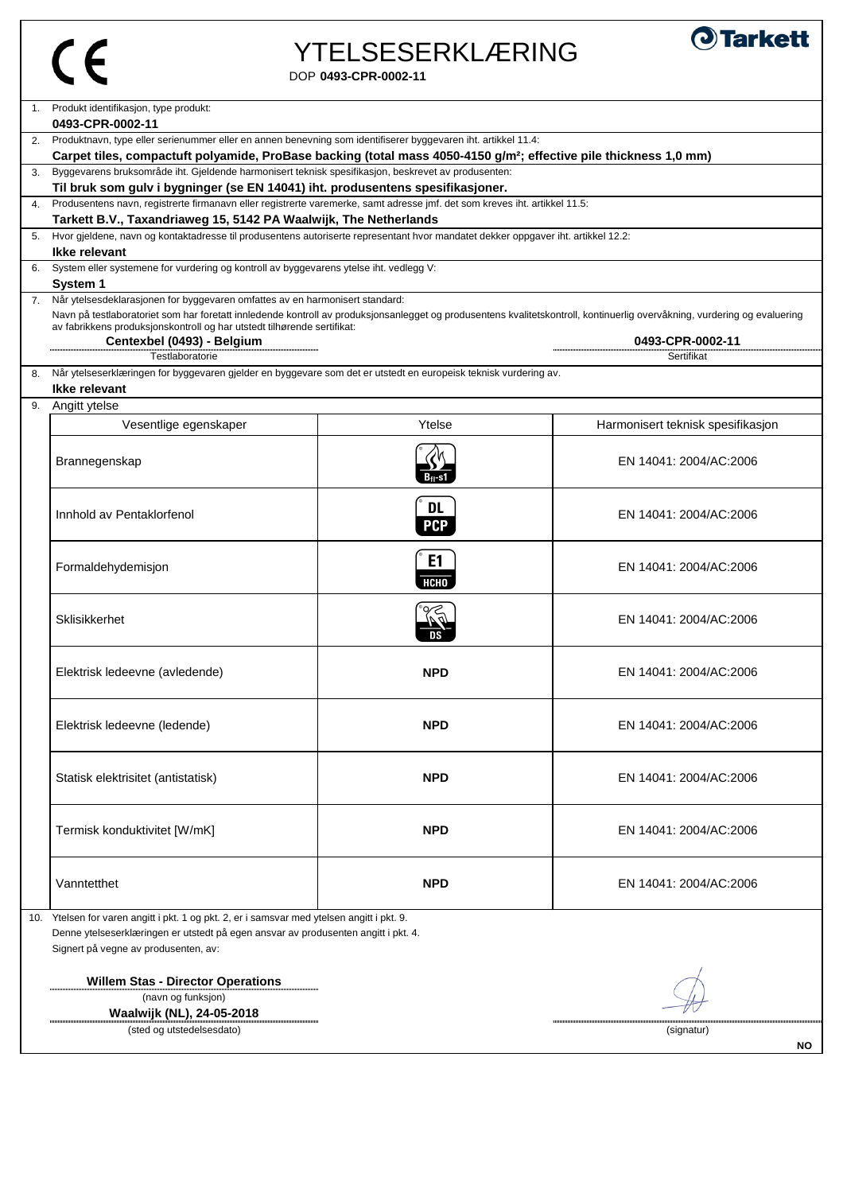$\overline{\phantom{a}}$ 

# YTELSESERKLÆRING



DOP **0493-CPR-0002-11**

|    | Produkt identifikasjon, type produkt:                                                                                                                                                 |                |                                   |  |
|----|---------------------------------------------------------------------------------------------------------------------------------------------------------------------------------------|----------------|-----------------------------------|--|
|    | 0493-CPR-0002-11                                                                                                                                                                      |                |                                   |  |
| 2. | Produktnavn, type eller serienummer eller en annen benevning som identifiserer byggevaren iht. artikkel 11.4:                                                                         |                |                                   |  |
| 3. | Carpet tiles, compactuft polyamide, ProBase backing (total mass 4050-4150 g/m <sup>2</sup> ; effective pile thickness 1,0 mm)                                                         |                |                                   |  |
|    | Byggevarens bruksområde iht. Gjeldende harmonisert teknisk spesifikasjon, beskrevet av produsenten:<br>Til bruk som gulv i bygninger (se EN 14041) iht. produsentens spesifikasjoner. |                |                                   |  |
| 4. | Produsentens navn, registrerte firmanavn eller registrerte varemerke, samt adresse jmf. det som kreves iht. artikkel 11.5:                                                            |                |                                   |  |
|    | Tarkett B.V., Taxandriaweg 15, 5142 PA Waalwijk, The Netherlands                                                                                                                      |                |                                   |  |
| 5. | Hvor gjeldene, navn og kontaktadresse til produsentens autoriserte representant hvor mandatet dekker oppgaver iht. artikkel 12.2:                                                     |                |                                   |  |
|    | Ikke relevant                                                                                                                                                                         |                |                                   |  |
|    | System eller systemene for vurdering og kontroll av byggevarens ytelse iht. vedlegg V:                                                                                                |                |                                   |  |
|    | <b>System 1</b>                                                                                                                                                                       |                |                                   |  |
| 7. | Når ytelsesdeklarasjonen for byggevaren omfattes av en harmonisert standard:                                                                                                          |                |                                   |  |
|    | Navn på testlaboratoriet som har foretatt innledende kontroll av produksjonsanlegget og produsentens kvalitetskontroll, kontinuerlig overvåkning, vurdering og evaluering             |                |                                   |  |
|    | av fabrikkens produksjonskontroll og har utstedt tilhørende sertifikat:<br>Centexbel (0493) - Belgium                                                                                 |                | 0493-CPR-0002-11                  |  |
|    | Testlaboratorie                                                                                                                                                                       |                | Sertifikat                        |  |
| 8. | Når ytelseserklæringen for byggevaren gjelder en byggevare som det er utstedt en europeisk teknisk vurdering av.                                                                      |                |                                   |  |
|    | Ikke relevant                                                                                                                                                                         |                |                                   |  |
|    | 9. Angitt ytelse                                                                                                                                                                      |                |                                   |  |
|    | Vesentlige egenskaper                                                                                                                                                                 | Ytelse         | Harmonisert teknisk spesifikasjon |  |
|    |                                                                                                                                                                                       |                |                                   |  |
|    | Brannegenskap                                                                                                                                                                         |                | EN 14041: 2004/AC:2006            |  |
|    |                                                                                                                                                                                       | Bn-s1          |                                   |  |
|    |                                                                                                                                                                                       |                |                                   |  |
|    |                                                                                                                                                                                       | <b>DL</b>      |                                   |  |
|    | Innhold av Pentaklorfenol                                                                                                                                                             | <b>PCP</b>     | EN 14041: 2004/AC:2006            |  |
|    |                                                                                                                                                                                       |                |                                   |  |
|    |                                                                                                                                                                                       | E <sub>1</sub> |                                   |  |
|    | Formaldehydemisjon                                                                                                                                                                    |                | EN 14041: 2004/AC:2006            |  |
|    |                                                                                                                                                                                       | <b>НСНО</b>    |                                   |  |
|    |                                                                                                                                                                                       |                |                                   |  |
|    | <b>Sklisikkerhet</b>                                                                                                                                                                  |                | EN 14041: 2004/AC:2006            |  |
|    |                                                                                                                                                                                       |                |                                   |  |
|    |                                                                                                                                                                                       |                |                                   |  |
|    | Elektrisk ledeevne (avledende)                                                                                                                                                        | <b>NPD</b>     | EN 14041: 2004/AC:2006            |  |
|    |                                                                                                                                                                                       |                |                                   |  |
|    |                                                                                                                                                                                       |                |                                   |  |
|    | Elektrisk ledeevne (ledende)                                                                                                                                                          | <b>NPD</b>     | EN 14041: 2004/AC:2006            |  |
|    |                                                                                                                                                                                       |                |                                   |  |
|    |                                                                                                                                                                                       |                |                                   |  |
|    | Statisk elektrisitet (antistatisk)                                                                                                                                                    | <b>NPD</b>     | EN 14041: 2004/AC:2006            |  |
|    |                                                                                                                                                                                       |                |                                   |  |
|    |                                                                                                                                                                                       |                |                                   |  |
|    | Termisk konduktivitet [W/mK]                                                                                                                                                          | <b>NPD</b>     | EN 14041: 2004/AC:2006            |  |
|    |                                                                                                                                                                                       |                |                                   |  |
|    |                                                                                                                                                                                       |                |                                   |  |
|    | Vanntetthet                                                                                                                                                                           | <b>NPD</b>     | EN 14041: 2004/AC:2006            |  |
|    |                                                                                                                                                                                       |                |                                   |  |
|    | 10. Ytelsen for varen angitt i pkt. 1 og pkt. 2, er i samsvar med ytelsen angitt i pkt. 9.                                                                                            |                |                                   |  |
|    | Denne ytelseserklæringen er utstedt på egen ansvar av produsenten angitt i pkt. 4.                                                                                                    |                |                                   |  |
|    | Signert på vegne av produsenten, av:                                                                                                                                                  |                |                                   |  |
|    |                                                                                                                                                                                       |                |                                   |  |
|    | <b>Willem Stas - Director Operations</b>                                                                                                                                              |                |                                   |  |
|    | (navn og funksjon)                                                                                                                                                                    |                |                                   |  |
|    | Waalwijk (NL), 24-05-2018                                                                                                                                                             |                |                                   |  |
|    | (sted og utstedelsesdato)                                                                                                                                                             |                | (signatur)                        |  |
|    |                                                                                                                                                                                       | NO.            |                                   |  |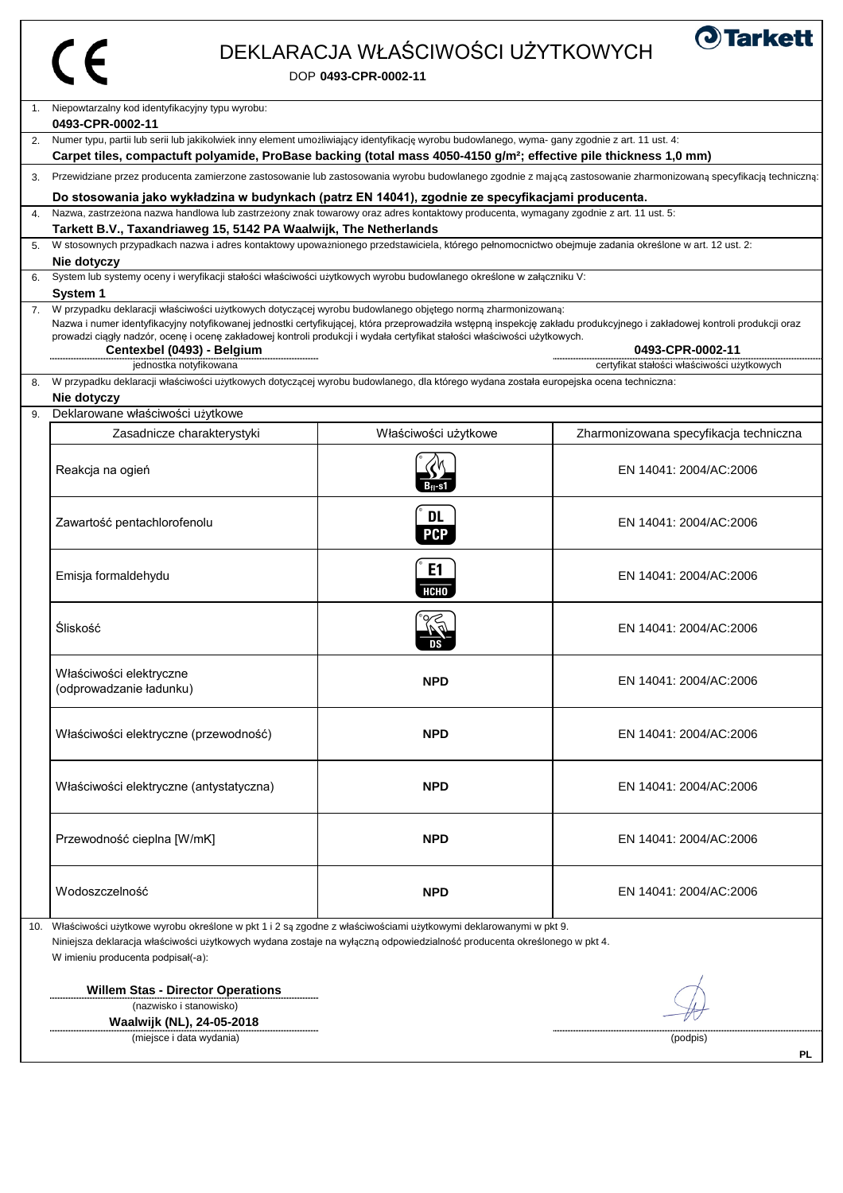### DEKLARACJA WŁAŚCIWOŚCI UŻYTKOWYCH



|    | Niepowtarzalny kod identyfikacyjny typu wyrobu:<br>0493-CPR-0002-11                                                                                                                                                                              |                      |                                            |  |  |
|----|--------------------------------------------------------------------------------------------------------------------------------------------------------------------------------------------------------------------------------------------------|----------------------|--------------------------------------------|--|--|
| 2. | Numer typu, partii lub serii lub jakikolwiek inny element umożliwiający identyfikację wyrobu budowlanego, wyma- gany zgodnie z art. 11 ust. 4:                                                                                                   |                      |                                            |  |  |
|    | Carpet tiles, compactuft polyamide, ProBase backing (total mass 4050-4150 g/m <sup>2</sup> ; effective pile thickness 1,0 mm)                                                                                                                    |                      |                                            |  |  |
|    | 3. Przewidziane przez producenta zamierzone zastosowanie lub zastosowania wyrobu budowlanego zgodnie z mającą zastosowanie zharmonizowaną specyfikacją techniczną:                                                                               |                      |                                            |  |  |
|    | Do stosowania jako wykładzina w budynkach (patrz EN 14041), zgodnie ze specyfikacjami producenta.                                                                                                                                                |                      |                                            |  |  |
| 4. | Nazwa, zastrzeżona nazwa handlowa lub zastrzeżony znak towarowy oraz adres kontaktowy producenta, wymagany zgodnie z art. 11 ust. 5:                                                                                                             |                      |                                            |  |  |
|    | Tarkett B.V., Taxandriaweg 15, 5142 PA Waalwijk, The Netherlands                                                                                                                                                                                 |                      |                                            |  |  |
|    | W stosownych przypadkach nazwa i adres kontaktowy upoważnionego przedstawiciela, którego pełnomocnictwo obejmuje zadania określone w art. 12 ust. 2:<br>Nie dotyczy                                                                              |                      |                                            |  |  |
|    | System lub systemy oceny i weryfikacji stałości właściwości użytkowych wyrobu budowlanego określone w załączniku V:                                                                                                                              |                      |                                            |  |  |
|    | <b>System 1</b>                                                                                                                                                                                                                                  |                      |                                            |  |  |
|    | 7. W przypadku deklaracji właściwości użytkowych dotyczącej wyrobu budowlanego objętego normą zharmonizowaną:                                                                                                                                    |                      |                                            |  |  |
|    | Nazwa i numer identyfikacyjny notyfikowanej jednostki certyfikującej, która przeprowadziła wstępną inspekcję zakładu produkcyjnego i zakładowej kontroli produkcji oraz                                                                          |                      |                                            |  |  |
|    | prowadzi ciągły nadzór, ocenę i ocenę zakładowej kontroli produkcji i wydała certyfikat stałości właściwości użytkowych.<br>Centexbel (0493) - Belgium                                                                                           |                      | 0493-CPR-0002-11                           |  |  |
|    | jednostka notyfikowana                                                                                                                                                                                                                           |                      | certyfikat stałości właściwości użytkowych |  |  |
| 8. | W przypadku deklaracji właściwości użytkowych dotyczącej wyrobu budowlanego, dla którego wydana została europejska ocena techniczna:                                                                                                             |                      |                                            |  |  |
|    | Nie dotyczy                                                                                                                                                                                                                                      |                      |                                            |  |  |
| 9. | Deklarowane właściwości użytkowe                                                                                                                                                                                                                 |                      |                                            |  |  |
|    | Zasadnicze charakterystyki                                                                                                                                                                                                                       | Właściwości użytkowe | Zharmonizowana specyfikacja techniczna     |  |  |
|    |                                                                                                                                                                                                                                                  |                      |                                            |  |  |
|    | Reakcja na ogień                                                                                                                                                                                                                                 |                      | EN 14041: 2004/AC:2006                     |  |  |
|    |                                                                                                                                                                                                                                                  |                      |                                            |  |  |
|    |                                                                                                                                                                                                                                                  |                      |                                            |  |  |
|    | Zawartość pentachlorofenolu                                                                                                                                                                                                                      | <b>DL</b>            | EN 14041: 2004/AC:2006                     |  |  |
|    |                                                                                                                                                                                                                                                  | <b>PCP</b>           |                                            |  |  |
|    |                                                                                                                                                                                                                                                  | E <sub>1</sub>       |                                            |  |  |
|    | Emisja formaldehydu                                                                                                                                                                                                                              |                      | EN 14041: 2004/AC:2006                     |  |  |
|    |                                                                                                                                                                                                                                                  | <b>НСНО</b>          |                                            |  |  |
|    |                                                                                                                                                                                                                                                  |                      |                                            |  |  |
|    | Śliskość                                                                                                                                                                                                                                         |                      | EN 14041: 2004/AC:2006                     |  |  |
|    |                                                                                                                                                                                                                                                  |                      |                                            |  |  |
|    | Właściwości elektryczne                                                                                                                                                                                                                          |                      |                                            |  |  |
|    | (odprowadzanie ładunku)                                                                                                                                                                                                                          | <b>NPD</b>           | EN 14041: 2004/AC:2006                     |  |  |
|    |                                                                                                                                                                                                                                                  |                      |                                            |  |  |
|    |                                                                                                                                                                                                                                                  |                      |                                            |  |  |
|    | Właściwości elektryczne (przewodność)                                                                                                                                                                                                            | <b>NPD</b>           | EN 14041: 2004/AC:2006                     |  |  |
|    |                                                                                                                                                                                                                                                  |                      |                                            |  |  |
|    |                                                                                                                                                                                                                                                  |                      |                                            |  |  |
|    | Właściwości elektryczne (antystatyczna)                                                                                                                                                                                                          | <b>NPD</b>           | EN 14041: 2004/AC:2006                     |  |  |
|    |                                                                                                                                                                                                                                                  |                      |                                            |  |  |
|    |                                                                                                                                                                                                                                                  |                      |                                            |  |  |
|    | Przewodność cieplna [W/mK]                                                                                                                                                                                                                       | <b>NPD</b>           | EN 14041: 2004/AC:2006                     |  |  |
|    |                                                                                                                                                                                                                                                  |                      |                                            |  |  |
|    | Wodoszczelność                                                                                                                                                                                                                                   | <b>NPD</b>           | EN 14041: 2004/AC:2006                     |  |  |
|    |                                                                                                                                                                                                                                                  |                      |                                            |  |  |
|    |                                                                                                                                                                                                                                                  |                      |                                            |  |  |
|    | Właściwości użytkowe wyrobu określone w pkt 1 i 2 są zgodne z właściwościami użytkowymi deklarowanymi w pkt 9.<br>10.<br>Niniejsza deklaracja właściwości użytkowych wydana zostaje na wyłączną odpowiedzialność producenta określonego w pkt 4. |                      |                                            |  |  |
|    | W imieniu producenta podpisał(-a):                                                                                                                                                                                                               |                      |                                            |  |  |
|    |                                                                                                                                                                                                                                                  |                      |                                            |  |  |

**Willem Stas - Director Operations**

 (nazwisko i stanowisko) **Waalwijk (NL), 24-05-2018**

(miejsce i data wydania) (podpis)

 $\#$ 

**PL**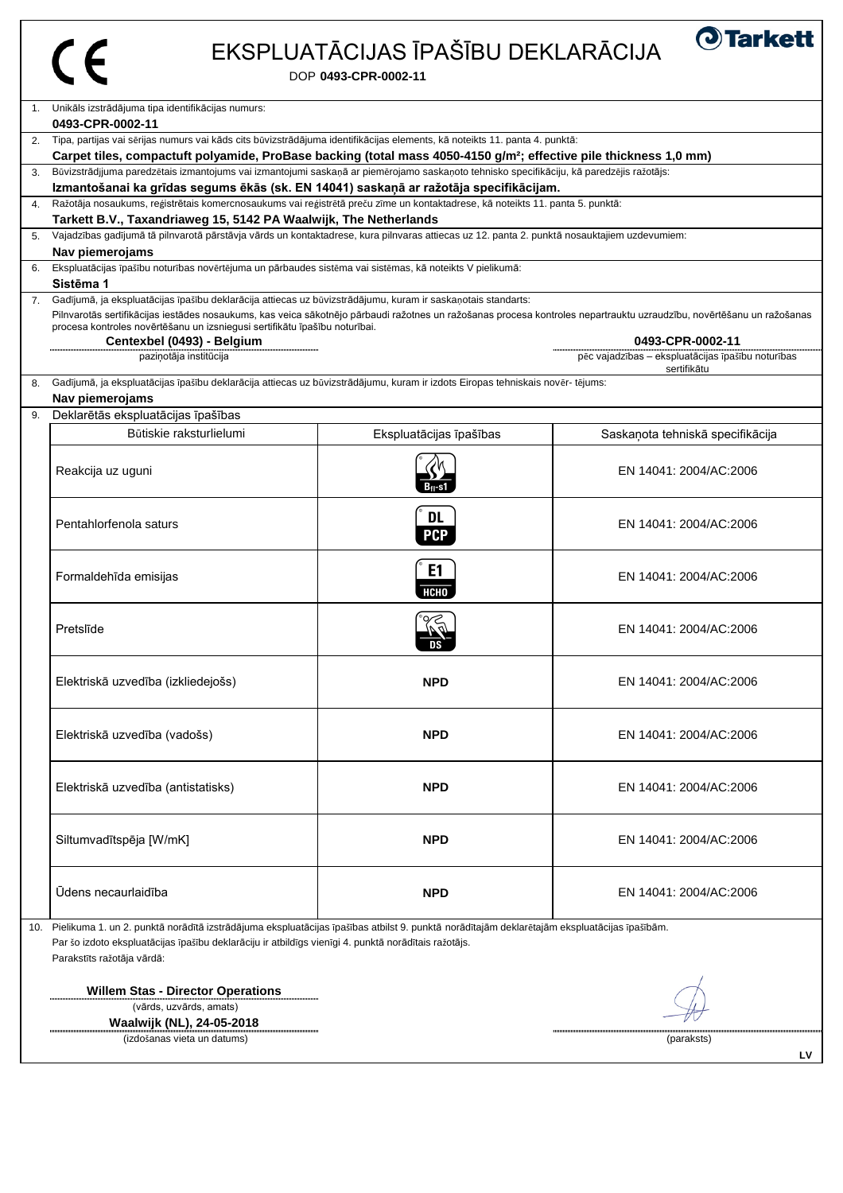### EKSPLUATĀCIJAS ĪPAŠĪBU DEKLARĀCIJA

DOP **0493-CPR-0002-11**

| $1_{\cdot}$    | Unikāls izstrādājuma tipa identifikācijas numurs:                                                                                                                     |                         |                                                   |  |  |
|----------------|-----------------------------------------------------------------------------------------------------------------------------------------------------------------------|-------------------------|---------------------------------------------------|--|--|
|                | 0493-CPR-0002-11                                                                                                                                                      |                         |                                                   |  |  |
| 2.             | Tipa, partijas vai sērijas numurs vai kāds cits būvizstrādājuma identifikācijas elements, kā noteikts 11. panta 4. punktā:                                            |                         |                                                   |  |  |
|                | Carpet tiles, compactuft polyamide, ProBase backing (total mass 4050-4150 g/m <sup>2</sup> ; effective pile thickness 1,0 mm)                                         |                         |                                                   |  |  |
| 3.             | Būvizstrādjjuma paredzētais izmantojums vai izmantojumi saskaņā ar piemērojamo saskaņoto tehnisko specifikāciju, kā paredzējis ražotājs:                              |                         |                                                   |  |  |
|                | Izmantošanai ka grīdas segums ēkās (sk. EN 14041) saskaņā ar ražotāja specifikācijam.                                                                                 |                         |                                                   |  |  |
| $\mathbf{4}$ . | Ražotāja nosaukums, reģistrētais komercnosaukums vai reģistrētā preču zīme un kontaktadrese, kā noteikts 11. panta 5. punktā:                                         |                         |                                                   |  |  |
|                | Tarkett B.V., Taxandriaweg 15, 5142 PA Waalwijk, The Netherlands                                                                                                      |                         |                                                   |  |  |
| 5.             | Vajadzības gadījumā tā pilnvarotā pārstāvja vārds un kontaktadrese, kura pilnvaras attiecas uz 12. panta 2. punktā nosauktajiem uzdevumiem:                           |                         |                                                   |  |  |
|                | Nav piemerojams                                                                                                                                                       |                         |                                                   |  |  |
| 6.             | Ekspluatācijas īpašību noturības novērtējuma un pārbaudes sistēma vai sistēmas, kā noteikts V pielikumā:<br>Sistēma 1                                                 |                         |                                                   |  |  |
| 7.             | Gadījumā, ja ekspluatācijas īpašību deklarācija attiecas uz būvizstrādājumu, kuram ir saskaņotais standarts:                                                          |                         |                                                   |  |  |
|                | Pilnvarotās sertifikācijas iestādes nosaukums, kas veica sākotnējo pārbaudi ražotnes un ražošanas procesa kontroles nepartrauktu uzraudzību, novērtēšanu un ražošanas |                         |                                                   |  |  |
|                | procesa kontroles novērtēšanu un izsniegusi sertifikātu īpašību noturībai.                                                                                            |                         |                                                   |  |  |
|                | Centexbel (0493) - Belgium                                                                                                                                            |                         | 0493-CPR-0002-11                                  |  |  |
|                | paziņotāja institūcija                                                                                                                                                |                         | pēc vajadzības - ekspluatācijas īpašību noturības |  |  |
| 8.             | Gadījumā, ja ekspluatācijas īpašību deklarācija attiecas uz būvizstrādājumu, kuram ir izdots Eiropas tehniskais novēr- tējums:                                        |                         | sertifikātu                                       |  |  |
|                | Nav piemerojams                                                                                                                                                       |                         |                                                   |  |  |
| 9.             | Deklarētās ekspluatācijas īpašības                                                                                                                                    |                         |                                                   |  |  |
|                | Būtiskie raksturlielumi                                                                                                                                               | Ekspluatācijas īpašības |                                                   |  |  |
|                |                                                                                                                                                                       |                         | Saskaņota tehniskā specifikācija                  |  |  |
|                |                                                                                                                                                                       |                         |                                                   |  |  |
|                | Reakcija uz uguni                                                                                                                                                     |                         | EN 14041: 2004/AC:2006                            |  |  |
|                |                                                                                                                                                                       | Bn-s1                   |                                                   |  |  |
|                |                                                                                                                                                                       | <b>DL</b>               |                                                   |  |  |
|                | Pentahlorfenola saturs                                                                                                                                                |                         | EN 14041: 2004/AC:2006                            |  |  |
|                |                                                                                                                                                                       | <b>PCP</b>              |                                                   |  |  |
|                |                                                                                                                                                                       | E1                      |                                                   |  |  |
|                | Formaldehīda emisijas                                                                                                                                                 |                         | EN 14041: 2004/AC:2006                            |  |  |
|                |                                                                                                                                                                       | <b>НСНО</b>             |                                                   |  |  |
|                |                                                                                                                                                                       |                         |                                                   |  |  |
|                | Pretslīde                                                                                                                                                             |                         | EN 14041: 2004/AC:2006                            |  |  |
|                |                                                                                                                                                                       |                         |                                                   |  |  |
|                |                                                                                                                                                                       |                         |                                                   |  |  |
|                | Elektriskā uzvedība (izkliedejošs)                                                                                                                                    | <b>NPD</b>              | EN 14041: 2004/AC:2006                            |  |  |
|                |                                                                                                                                                                       |                         |                                                   |  |  |
|                |                                                                                                                                                                       |                         |                                                   |  |  |
|                | Elektriskā uzvedība (vadošs)                                                                                                                                          | <b>NPD</b>              | EN 14041: 2004/AC:2006                            |  |  |
|                |                                                                                                                                                                       |                         |                                                   |  |  |
|                |                                                                                                                                                                       |                         |                                                   |  |  |
|                | Elektriskā uzvedība (antistatisks)                                                                                                                                    | <b>NPD</b>              | EN 14041: 2004/AC:2006                            |  |  |
|                |                                                                                                                                                                       |                         |                                                   |  |  |
|                |                                                                                                                                                                       |                         |                                                   |  |  |
|                | Siltumvadītspēja [W/mK]                                                                                                                                               | <b>NPD</b>              | EN 14041: 2004/AC:2006                            |  |  |
|                |                                                                                                                                                                       |                         |                                                   |  |  |
|                |                                                                                                                                                                       |                         |                                                   |  |  |
|                | Ūdens necaurlaidība                                                                                                                                                   |                         |                                                   |  |  |
|                |                                                                                                                                                                       | <b>NPD</b>              | EN 14041: 2004/AC:2006                            |  |  |
|                |                                                                                                                                                                       |                         |                                                   |  |  |
| 10.            | Pielikuma 1. un 2. punktā norādītā izstrādājuma ekspluatācijas īpašības atbilst 9. punktā norādītajām deklarētajām ekspluatācijas īpašībām.                           |                         |                                                   |  |  |
|                | Par šo izdoto ekspluatācijas īpašību deklarāciju ir atbildīgs vienīgi 4. punktā norādītais ražotājs.<br>Parakstīts ražotāja vārdā:                                    |                         |                                                   |  |  |
|                |                                                                                                                                                                       |                         |                                                   |  |  |

**Willem Stas - Director Operations**

..............

 (vārds, uzvārds, amats) **Waalwijk (NL), 24-05-2018**

(izdošanas vieta un datums) (paraksts)

プレ

**LV**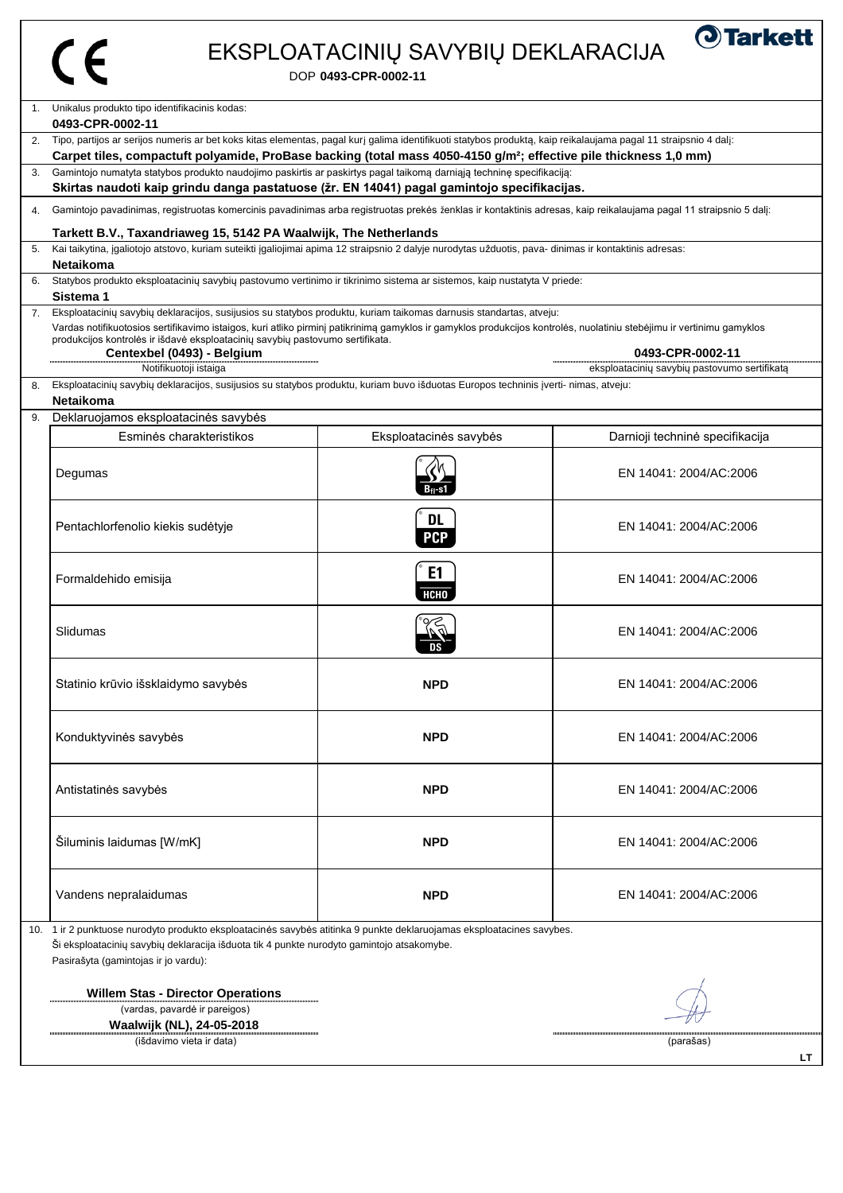| البر |
|------|
|      |

### EKSPLOATACINIŲ SAVYBIŲ DEKLARACIJA

**O**Tarkett

DOP **0493-CPR-0002-11**

|                                                                                                                                                                                                                                                            | 1. Unikalus produkto tipo identifikacinis kodas:<br>0493-CPR-0002-11                                                                                                                                                                                                                                                                                                                                                                                                                                       |                         |                                 |  |  |
|------------------------------------------------------------------------------------------------------------------------------------------------------------------------------------------------------------------------------------------------------------|------------------------------------------------------------------------------------------------------------------------------------------------------------------------------------------------------------------------------------------------------------------------------------------------------------------------------------------------------------------------------------------------------------------------------------------------------------------------------------------------------------|-------------------------|---------------------------------|--|--|
|                                                                                                                                                                                                                                                            | 2. Tipo, partijos ar serijos numeris ar bet koks kitas elementas, pagal kurį galima identifikuoti statybos produktą, kaip reikalaujama pagal 11 straipsnio 4 dalį:                                                                                                                                                                                                                                                                                                                                         |                         |                                 |  |  |
|                                                                                                                                                                                                                                                            | Carpet tiles, compactuft polyamide, ProBase backing (total mass 4050-4150 g/m <sup>2</sup> ; effective pile thickness 1,0 mm)                                                                                                                                                                                                                                                                                                                                                                              |                         |                                 |  |  |
| 3.                                                                                                                                                                                                                                                         | Gamintojo numatyta statybos produkto naudojimo paskirtis ar paskirtys pagal taikomą darniąją techninę specifikaciją:<br>Skirtas naudoti kaip grindu danga pastatuose (žr. EN 14041) pagal gamintojo specifikacijas.                                                                                                                                                                                                                                                                                        |                         |                                 |  |  |
| 4.                                                                                                                                                                                                                                                         | Gamintojo pavadinimas, registruotas komercinis pavadinimas arba registruotas prekės ženklas ir kontaktinis adresas, kaip reikalaujama pagal 11 straipsnio 5 dalį:                                                                                                                                                                                                                                                                                                                                          |                         |                                 |  |  |
|                                                                                                                                                                                                                                                            | Tarkett B.V., Taxandriaweg 15, 5142 PA Waalwijk, The Netherlands                                                                                                                                                                                                                                                                                                                                                                                                                                           |                         |                                 |  |  |
| 5.                                                                                                                                                                                                                                                         | Kai taikytina, įgaliotojo atstovo, kuriam suteikti įgaliojimai apima 12 straipsnio 2 dalyje nurodytas užduotis, pava- dinimas ir kontaktinis adresas:<br><b>Netaikoma</b>                                                                                                                                                                                                                                                                                                                                  |                         |                                 |  |  |
| 6.                                                                                                                                                                                                                                                         | Statybos produkto eksploatacinių savybių pastovumo vertinimo ir tikrinimo sistema ar sistemos, kaip nustatyta V priede:<br>Sistema 1                                                                                                                                                                                                                                                                                                                                                                       |                         |                                 |  |  |
|                                                                                                                                                                                                                                                            | 7. Eksploatacinių savybių deklaracijos, susijusios su statybos produktu, kuriam taikomas darnusis standartas, atveju:<br>Vardas notifikuotosios sertifikavimo istaigos, kuri atliko pirminį patikrinimą gamyklos ir gamyklos produkcijos kontrolės, nuolatiniu stebėjimu ir vertinimu gamyklos<br>produkcijos kontrolės ir išdavė eksploatacinių savybių pastovumo sertifikata.<br>0493-CPR-0002-11<br>Centexbel (0493) - Belgium<br>Notifikuotoji istaiga<br>eksploatacinių savybių pastovumo sertifikatą |                         |                                 |  |  |
| 8.                                                                                                                                                                                                                                                         | Eksploatacinių savybių deklaracijos, susijusios su statybos produktu, kuriam buvo išduotas Europos techninis įverti- nimas, atveju:<br><b>Netaikoma</b>                                                                                                                                                                                                                                                                                                                                                    |                         |                                 |  |  |
| 9.                                                                                                                                                                                                                                                         | Deklaruojamos eksploatacinės savybės                                                                                                                                                                                                                                                                                                                                                                                                                                                                       |                         |                                 |  |  |
|                                                                                                                                                                                                                                                            | Esminės charakteristikos                                                                                                                                                                                                                                                                                                                                                                                                                                                                                   | Eksploatacinės savybės  | Darnioji techninė specifikacija |  |  |
|                                                                                                                                                                                                                                                            | Degumas                                                                                                                                                                                                                                                                                                                                                                                                                                                                                                    |                         | EN 14041: 2004/AC:2006          |  |  |
|                                                                                                                                                                                                                                                            | Pentachlorfenolio kiekis sudėtyje                                                                                                                                                                                                                                                                                                                                                                                                                                                                          | <b>DL</b><br><b>PCP</b> | EN 14041: 2004/AC:2006          |  |  |
|                                                                                                                                                                                                                                                            | Formaldehido emisija                                                                                                                                                                                                                                                                                                                                                                                                                                                                                       | E <sub>1</sub><br>нсно  | EN 14041: 2004/AC:2006          |  |  |
|                                                                                                                                                                                                                                                            | Slidumas                                                                                                                                                                                                                                                                                                                                                                                                                                                                                                   |                         | EN 14041: 2004/AC:2006          |  |  |
|                                                                                                                                                                                                                                                            | Statinio krūvio išsklaidymo savybės                                                                                                                                                                                                                                                                                                                                                                                                                                                                        | <b>NPD</b>              | EN 14041: 2004/AC:2006          |  |  |
|                                                                                                                                                                                                                                                            | Konduktyvinės savybės                                                                                                                                                                                                                                                                                                                                                                                                                                                                                      | <b>NPD</b>              | EN 14041: 2004/AC:2006          |  |  |
|                                                                                                                                                                                                                                                            | Antistatinės savybės                                                                                                                                                                                                                                                                                                                                                                                                                                                                                       | <b>NPD</b>              | EN 14041: 2004/AC:2006          |  |  |
|                                                                                                                                                                                                                                                            | Šiluminis laidumas [W/mK]                                                                                                                                                                                                                                                                                                                                                                                                                                                                                  | <b>NPD</b>              | EN 14041: 2004/AC:2006          |  |  |
|                                                                                                                                                                                                                                                            | Vandens nepralaidumas                                                                                                                                                                                                                                                                                                                                                                                                                                                                                      | <b>NPD</b>              | EN 14041: 2004/AC:2006          |  |  |
| 10. 1 ir 2 punktuose nurodyto produkto eksploatacinės savybės atitinka 9 punkte deklaruojamas eksploatacines savybes.<br>Ši eksploatacinių savybių deklaracija išduota tik 4 punkte nurodyto gamintojo atsakomybe.<br>Pasirašyta (gamintojas ir jo vardu): |                                                                                                                                                                                                                                                                                                                                                                                                                                                                                                            |                         |                                 |  |  |
|                                                                                                                                                                                                                                                            | <b>Willem Stas - Director Operations</b><br>(vardas, pavardė ir pareigos)<br>Waalwijk (NL), 24-05-2018                                                                                                                                                                                                                                                                                                                                                                                                     |                         |                                 |  |  |
|                                                                                                                                                                                                                                                            | (išdavimo vieta ir data)<br>(parašas)<br>LT                                                                                                                                                                                                                                                                                                                                                                                                                                                                |                         |                                 |  |  |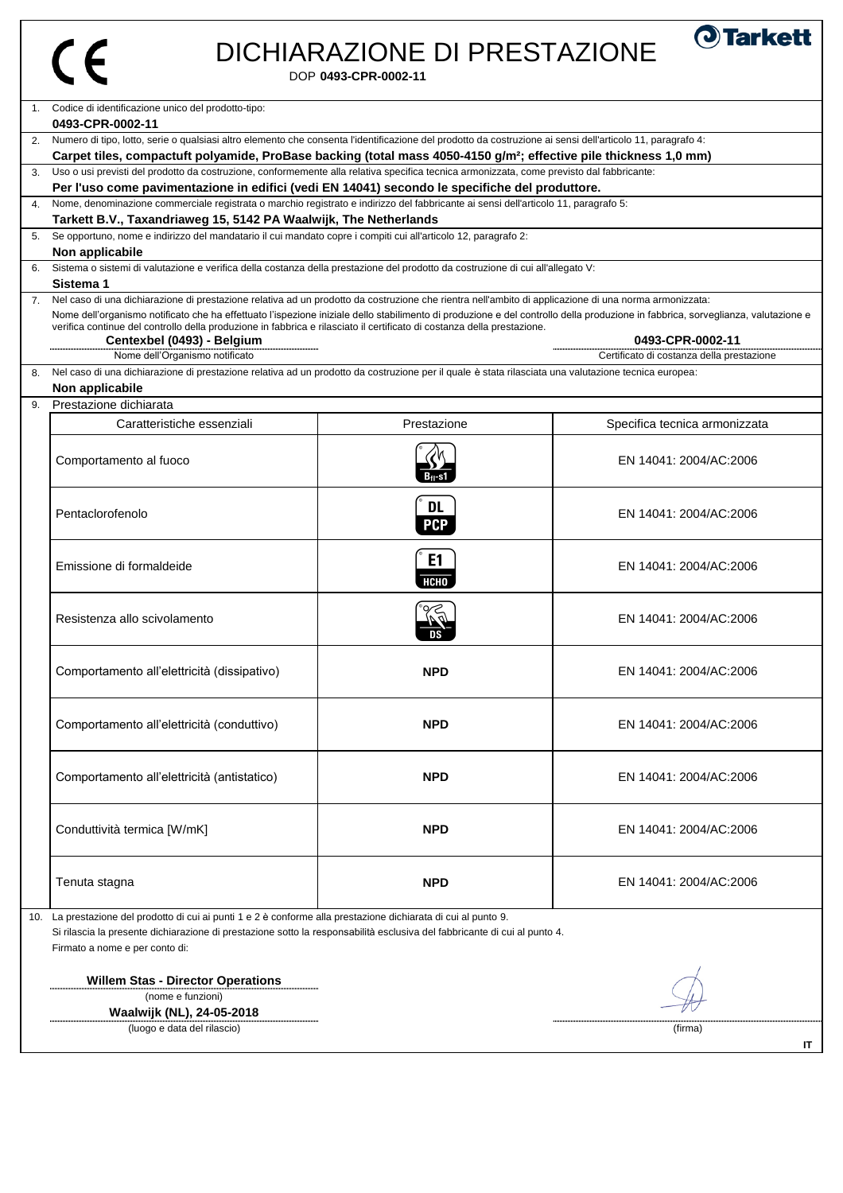## DICHIARAZIONE DI PRESTAZIONE

DOP **0493-CPR-0002-11**

| Codice di identificazione unico del prodotto-tipo:<br>$1_{\cdot}$                                                                                                                                                                                                                                                                                                                                                                                                          |                               |                                           |
|----------------------------------------------------------------------------------------------------------------------------------------------------------------------------------------------------------------------------------------------------------------------------------------------------------------------------------------------------------------------------------------------------------------------------------------------------------------------------|-------------------------------|-------------------------------------------|
| 0493-CPR-0002-11                                                                                                                                                                                                                                                                                                                                                                                                                                                           |                               |                                           |
| Numero di tipo, lotto, serie o qualsiasi altro elemento che consenta l'identificazione del prodotto da costruzione ai sensi dell'articolo 11, paragrafo 4:<br>2.                                                                                                                                                                                                                                                                                                           |                               |                                           |
| Carpet tiles, compactuft polyamide, ProBase backing (total mass 4050-4150 g/m <sup>2</sup> ; effective pile thickness 1,0 mm)                                                                                                                                                                                                                                                                                                                                              |                               |                                           |
| Uso o usi previsti del prodotto da costruzione, conformemente alla relativa specifica tecnica armonizzata, come previsto dal fabbricante:<br>3.                                                                                                                                                                                                                                                                                                                            |                               |                                           |
| Per l'uso come pavimentazione in edifici (vedi EN 14041) secondo le specifiche del produttore.                                                                                                                                                                                                                                                                                                                                                                             |                               |                                           |
| Nome, denominazione commerciale registrata o marchio registrato e indirizzo del fabbricante ai sensi dell'articolo 11, paragrafo 5:<br>4.                                                                                                                                                                                                                                                                                                                                  |                               |                                           |
| Tarkett B.V., Taxandriaweg 15, 5142 PA Waalwijk, The Netherlands                                                                                                                                                                                                                                                                                                                                                                                                           |                               |                                           |
| Se opportuno, nome e indirizzo del mandatario il cui mandato copre i compiti cui all'articolo 12, paragrafo 2:<br>5.                                                                                                                                                                                                                                                                                                                                                       |                               |                                           |
| Non applicabile                                                                                                                                                                                                                                                                                                                                                                                                                                                            |                               |                                           |
| Sistema o sistemi di valutazione e verifica della costanza della prestazione del prodotto da costruzione di cui all'allegato V:<br>6.                                                                                                                                                                                                                                                                                                                                      |                               |                                           |
| Sistema 1                                                                                                                                                                                                                                                                                                                                                                                                                                                                  |                               |                                           |
| Nel caso di una dichiarazione di prestazione relativa ad un prodotto da costruzione che rientra nell'ambito di applicazione di una norma armonizzata:<br>7.<br>Nome dell'organismo notificato che ha effettuato l'ispezione iniziale dello stabilimento di produzione e del controllo della produzione in fabbrica, sorveglianza, valutazione e<br>verifica continue del controllo della produzione in fabbrica e rilasciato il certificato di costanza della prestazione. |                               |                                           |
| Centexbel (0493) - Belgium                                                                                                                                                                                                                                                                                                                                                                                                                                                 |                               | 0493-CPR-0002-11                          |
| Nome dell'Organismo notificato                                                                                                                                                                                                                                                                                                                                                                                                                                             |                               | Certificato di costanza della prestazione |
| Nel caso di una dichiarazione di prestazione relativa ad un prodotto da costruzione per il quale è stata rilasciata una valutazione tecnica europea:<br>8.<br>Non applicabile                                                                                                                                                                                                                                                                                              |                               |                                           |
| Prestazione dichiarata<br>9.                                                                                                                                                                                                                                                                                                                                                                                                                                               |                               |                                           |
| Caratteristiche essenziali                                                                                                                                                                                                                                                                                                                                                                                                                                                 | Prestazione                   | Specifica tecnica armonizzata             |
| Comportamento al fuoco                                                                                                                                                                                                                                                                                                                                                                                                                                                     |                               | EN 14041: 2004/AC:2006                    |
| Pentaclorofenolo                                                                                                                                                                                                                                                                                                                                                                                                                                                           | <b>DL</b><br><b>PCP</b>       | EN 14041: 2004/AC:2006                    |
| Emissione di formaldeide                                                                                                                                                                                                                                                                                                                                                                                                                                                   | E <sub>1</sub><br><b>HCHO</b> | EN 14041: 2004/AC:2006                    |
| Resistenza allo scivolamento                                                                                                                                                                                                                                                                                                                                                                                                                                               |                               | EN 14041: 2004/AC:2006                    |
| Comportamento all'elettricità (dissipativo)                                                                                                                                                                                                                                                                                                                                                                                                                                | <b>NPD</b>                    | EN 14041: 2004/AC:2006                    |
| Comportamento all'elettricità (conduttivo)                                                                                                                                                                                                                                                                                                                                                                                                                                 | <b>NPD</b>                    | EN 14041: 2004/AC:2006                    |
| Comportamento all'elettricità (antistatico)                                                                                                                                                                                                                                                                                                                                                                                                                                | <b>NPD</b>                    | EN 14041: 2004/AC:2006                    |
| Conduttività termica [W/mK]                                                                                                                                                                                                                                                                                                                                                                                                                                                | <b>NPD</b>                    | EN 14041: 2004/AC:2006                    |
| Tenuta stagna                                                                                                                                                                                                                                                                                                                                                                                                                                                              | <b>NPD</b>                    | EN 14041: 2004/AC:2006                    |
| La prestazione del prodotto di cui ai punti 1 e 2 è conforme alla prestazione dichiarata di cui al punto 9.<br>10.<br>Si rilascia la presente dichiarazione di prestazione sotto la responsabilità esclusiva del fabbricante di cui al punto 4.<br>Firmato a nome e per conto di:                                                                                                                                                                                          |                               |                                           |
| <b>Willem Stas - Director Operations</b><br>(nome e funzioni)<br><b>Waalwijk (NI) 24-05-2018</b>                                                                                                                                                                                                                                                                                                                                                                           |                               |                                           |

**IT**

**O**Tarkett

**Waalwijk (NL), 24-05-2018**

(luogo e data del rilascio) (firma)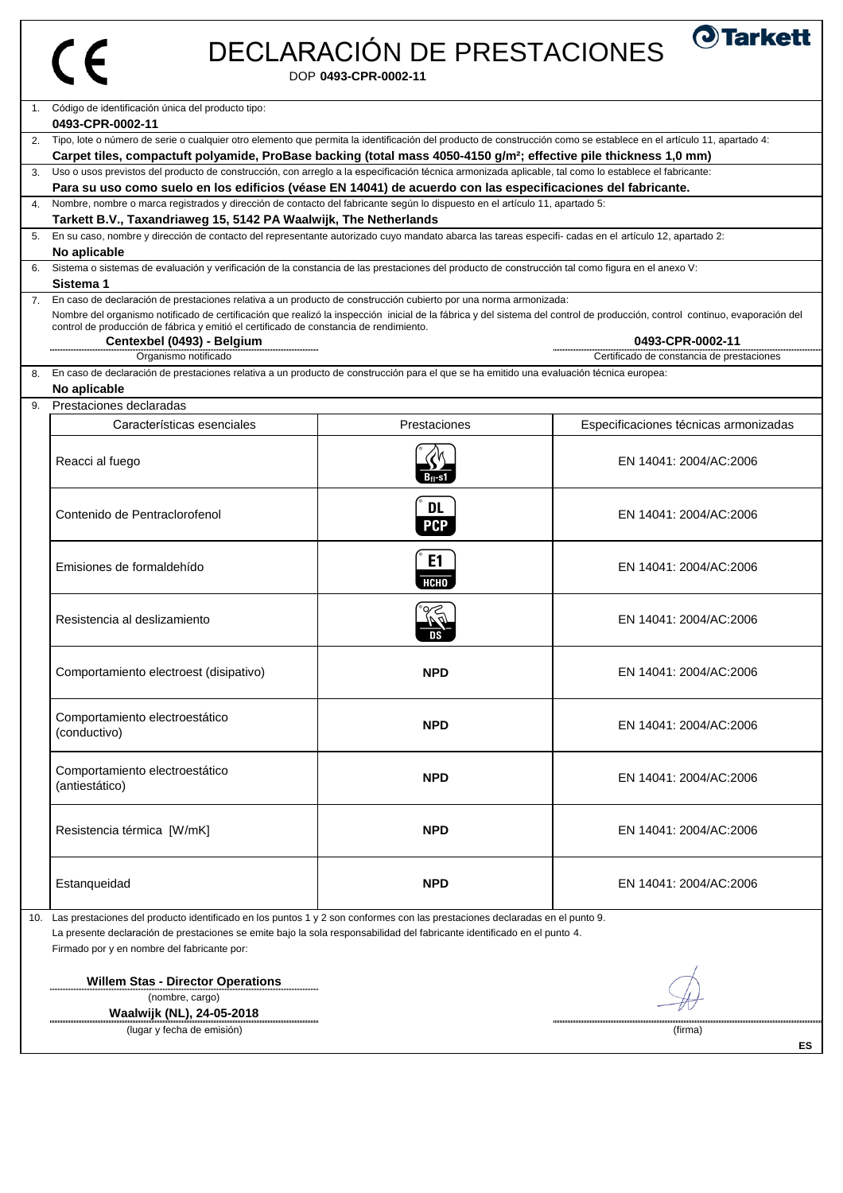| ∕<br>٠ |
|--------|
|        |

# DECLARACIÓN DE PRESTACIONES

DOP **0493-CPR-0002-11**

|     | 1. Código de identificación única del producto tipo:                                                                                                                                                                                                                                                                                                                                                                                                                                                             |                         |                                       |  |  |  |
|-----|------------------------------------------------------------------------------------------------------------------------------------------------------------------------------------------------------------------------------------------------------------------------------------------------------------------------------------------------------------------------------------------------------------------------------------------------------------------------------------------------------------------|-------------------------|---------------------------------------|--|--|--|
|     | 0493-CPR-0002-11                                                                                                                                                                                                                                                                                                                                                                                                                                                                                                 |                         |                                       |  |  |  |
| 2.  | Tipo, lote o número de serie o cualquier otro elemento que permita la identificación del producto de construcción como se establece en el artículo 11, apartado 4:<br>Carpet tiles, compactuft polyamide, ProBase backing (total mass 4050-4150 g/m <sup>2</sup> ; effective pile thickness 1,0 mm)                                                                                                                                                                                                              |                         |                                       |  |  |  |
|     |                                                                                                                                                                                                                                                                                                                                                                                                                                                                                                                  |                         |                                       |  |  |  |
|     | Uso o usos previstos del producto de construcción, con arreglo a la especificación técnica armonizada aplicable, tal como lo establece el fabricante:<br>Para su uso como suelo en los edificios (véase EN 14041) de acuerdo con las especificaciones del fabricante.                                                                                                                                                                                                                                            |                         |                                       |  |  |  |
| 4.  | Nombre, nombre o marca registrados y dirección de contacto del fabricante según lo dispuesto en el artículo 11, apartado 5:                                                                                                                                                                                                                                                                                                                                                                                      |                         |                                       |  |  |  |
|     | Tarkett B.V., Taxandriaweg 15, 5142 PA Waalwijk, The Netherlands                                                                                                                                                                                                                                                                                                                                                                                                                                                 |                         |                                       |  |  |  |
|     | En su caso, nombre y dirección de contacto del representante autorizado cuyo mandato abarca las tareas especifi- cadas en el artículo 12, apartado 2:                                                                                                                                                                                                                                                                                                                                                            |                         |                                       |  |  |  |
|     | No aplicable                                                                                                                                                                                                                                                                                                                                                                                                                                                                                                     |                         |                                       |  |  |  |
|     | Sistema o sistemas de evaluación y verificación de la constancia de las prestaciones del producto de construcción tal como figura en el anexo V:                                                                                                                                                                                                                                                                                                                                                                 |                         |                                       |  |  |  |
|     | Sistema 1                                                                                                                                                                                                                                                                                                                                                                                                                                                                                                        |                         |                                       |  |  |  |
| 7.  | En caso de declaración de prestaciones relativa a un producto de construcción cubierto por una norma armonizada:<br>Nombre del organismo notificado de certificación que realizó la inspección inicial de la fábrica y del sistema del control de producción, control continuo, evaporación del<br>control de producción de fábrica y emitió el certificado de constancia de rendimiento.<br>Centexbel (0493) - Belgium<br>0493-CPR-0002-11<br>Organismo notificado<br>Certificado de constancia de prestaciones |                         |                                       |  |  |  |
| 8.  | En caso de declaración de prestaciones relativa a un producto de construcción para el que se ha emitido una evaluación técnica europea:                                                                                                                                                                                                                                                                                                                                                                          |                         |                                       |  |  |  |
|     | No aplicable                                                                                                                                                                                                                                                                                                                                                                                                                                                                                                     |                         |                                       |  |  |  |
| 9.  | Prestaciones declaradas                                                                                                                                                                                                                                                                                                                                                                                                                                                                                          |                         |                                       |  |  |  |
|     | Características esenciales                                                                                                                                                                                                                                                                                                                                                                                                                                                                                       | Prestaciones            | Especificaciones técnicas armonizadas |  |  |  |
|     |                                                                                                                                                                                                                                                                                                                                                                                                                                                                                                                  |                         |                                       |  |  |  |
|     | Reacci al fuego                                                                                                                                                                                                                                                                                                                                                                                                                                                                                                  |                         | EN 14041: 2004/AC:2006                |  |  |  |
|     | Contenido de Pentraclorofenol                                                                                                                                                                                                                                                                                                                                                                                                                                                                                    | <b>DL</b><br><b>PCP</b> | EN 14041: 2004/AC:2006                |  |  |  |
|     | Emisiones de formaldehído                                                                                                                                                                                                                                                                                                                                                                                                                                                                                        | E1<br><b>НСНО</b>       | EN 14041: 2004/AC:2006                |  |  |  |
|     | Resistencia al deslizamiento                                                                                                                                                                                                                                                                                                                                                                                                                                                                                     |                         | EN 14041: 2004/AC:2006                |  |  |  |
|     | Comportamiento electroest (disipativo)                                                                                                                                                                                                                                                                                                                                                                                                                                                                           | <b>NPD</b>              | EN 14041: 2004/AC:2006                |  |  |  |
|     | Comportamiento electroestático<br>(conductivo)                                                                                                                                                                                                                                                                                                                                                                                                                                                                   | <b>NPD</b>              | EN 14041: 2004/AC:2006                |  |  |  |
|     | Comportamiento electroestático<br>(antiestático)                                                                                                                                                                                                                                                                                                                                                                                                                                                                 | <b>NPD</b>              | EN 14041: 2004/AC:2006                |  |  |  |
|     | Resistencia térmica [W/mK]                                                                                                                                                                                                                                                                                                                                                                                                                                                                                       | <b>NPD</b>              | EN 14041: 2004/AC:2006                |  |  |  |
|     | Estanqueidad                                                                                                                                                                                                                                                                                                                                                                                                                                                                                                     | <b>NPD</b>              | EN 14041: 2004/AC:2006                |  |  |  |
| 10. | Las prestaciones del producto identificado en los puntos 1 y 2 son conformes con las prestaciones declaradas en el punto 9.                                                                                                                                                                                                                                                                                                                                                                                      |                         |                                       |  |  |  |
|     | La presente declaración de prestaciones se emite bajo la sola responsabilidad del fabricante identificado en el punto 4.                                                                                                                                                                                                                                                                                                                                                                                         |                         |                                       |  |  |  |
|     | Firmado por y en nombre del fabricante por:                                                                                                                                                                                                                                                                                                                                                                                                                                                                      |                         |                                       |  |  |  |
|     | <b>Willem Stas - Director Operations</b><br>(nombre, cargo)                                                                                                                                                                                                                                                                                                                                                                                                                                                      |                         |                                       |  |  |  |
|     | Waalwijk (NL), 24-05-2018                                                                                                                                                                                                                                                                                                                                                                                                                                                                                        |                         |                                       |  |  |  |
|     | (lugar y fecha de emisión)                                                                                                                                                                                                                                                                                                                                                                                                                                                                                       |                         | (firma)                               |  |  |  |

**ES**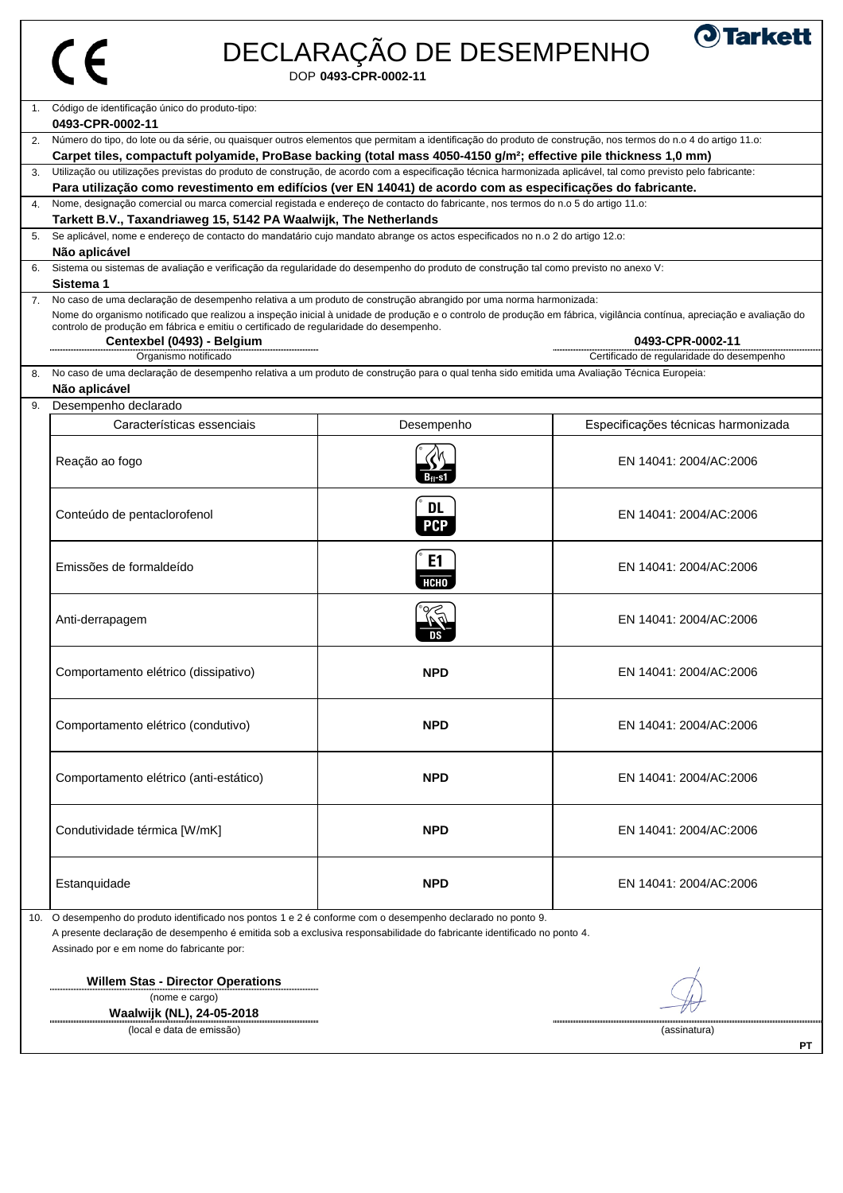# $C \in$

# DECLARAÇÃO DE DESEMPENHO

DOP **0493-CPR-0002-11**

| <b>O</b> Tarkett |  |  |
|------------------|--|--|
|                  |  |  |

|    | 1. Código de identificação único do produto-tipo:                                                                                                                                 |                |                                           |
|----|-----------------------------------------------------------------------------------------------------------------------------------------------------------------------------------|----------------|-------------------------------------------|
| 2. | 0493-CPR-0002-11<br>Número do tipo, do lote ou da série, ou quaisquer outros elementos que permitam a identificação do produto de construção, nos termos do n.o 4 do artigo 11.o: |                |                                           |
|    | Carpet tiles, compactuft polyamide, ProBase backing (total mass 4050-4150 g/m <sup>2</sup> ; effective pile thickness 1,0 mm)                                                     |                |                                           |
| 3. | Utilização ou utilizações previstas do produto de construção, de acordo com a especificação técnica harmonizada aplicável, tal como previsto pelo fabricante:                     |                |                                           |
|    | Para utilização como revestimento em edifícios (ver EN 14041) de acordo com as especificações do fabricante.                                                                      |                |                                           |
| 4. | Nome, designação comercial ou marca comercial registada e endereço de contacto do fabricante, nos termos do n.o 5 do artigo 11.o:                                                 |                |                                           |
|    | Tarkett B.V., Taxandriaweg 15, 5142 PA Waalwijk, The Netherlands                                                                                                                  |                |                                           |
| 5. | Se aplicável, nome e endereço de contacto do mandatário cujo mandato abrange os actos especificados no n.o 2 do artigo 12.o:                                                      |                |                                           |
|    | Não aplicável                                                                                                                                                                     |                |                                           |
| 6. | Sistema ou sistemas de avaliação e verificação da regularidade do desempenho do produto de construção tal como previsto no anexo V:                                               |                |                                           |
|    | Sistema 1                                                                                                                                                                         |                |                                           |
| 7. | No caso de uma declaração de desempenho relativa a um produto de construção abrangido por uma norma harmonizada:                                                                  |                |                                           |
|    | Nome do organismo notificado que realizou a inspeção inicial à unidade de produção e o controlo de produção em fábrica, vigilância contínua, apreciação e avaliação do            |                |                                           |
|    | controlo de produção em fábrica e emitiu o certificado de regularidade do desempenho.<br>Centexbel (0493) - Belgium                                                               |                | 0493-CPR-0002-11                          |
|    | Organismo notificado                                                                                                                                                              |                | Certificado de regularidade do desempenho |
| 8. | No caso de uma declaração de desempenho relativa a um produto de construção para o qual tenha sido emitida uma Avaliação Técnica Europeia:                                        |                |                                           |
|    | Não aplicável                                                                                                                                                                     |                |                                           |
| 9. | Desempenho declarado                                                                                                                                                              |                |                                           |
|    | Características essenciais                                                                                                                                                        | Desempenho     | Especificações técnicas harmonizada       |
|    |                                                                                                                                                                                   |                |                                           |
|    | Reação ao fogo                                                                                                                                                                    |                | EN 14041: 2004/AC:2006                    |
|    |                                                                                                                                                                                   |                |                                           |
|    |                                                                                                                                                                                   | <b>DL</b>      |                                           |
|    | Conteúdo de pentaclorofenol                                                                                                                                                       | <b>PCP</b>     | EN 14041: 2004/AC:2006                    |
|    |                                                                                                                                                                                   | E <sub>1</sub> |                                           |
|    | Emissões de formaldeído                                                                                                                                                           | <b>НСНО</b>    | EN 14041: 2004/AC:2006                    |
|    |                                                                                                                                                                                   |                |                                           |
|    | Anti-derrapagem                                                                                                                                                                   |                | EN 14041: 2004/AC:2006                    |
|    |                                                                                                                                                                                   |                |                                           |
|    | Comportamento elétrico (dissipativo)                                                                                                                                              | <b>NPD</b>     | EN 14041: 2004/AC:2006                    |
|    |                                                                                                                                                                                   |                |                                           |
|    | Comportamento elétrico (condutivo)                                                                                                                                                | <b>NPD</b>     | EN 14041: 2004/AC:2006                    |
|    |                                                                                                                                                                                   |                |                                           |
|    |                                                                                                                                                                                   |                |                                           |
|    | Comportamento elétrico (anti-estático)                                                                                                                                            | <b>NPD</b>     | EN 14041: 2004/AC:2006                    |
|    |                                                                                                                                                                                   |                |                                           |
|    | Condutividade térmica [W/mK]                                                                                                                                                      | <b>NPD</b>     | EN 14041: 2004/AC:2006                    |
|    |                                                                                                                                                                                   |                |                                           |
|    | Estanquidade                                                                                                                                                                      | <b>NPD</b>     | EN 14041: 2004/AC:2006                    |

**Willem Stas - Director Operations** (nome e cargo)

**Waalwijk (NL), 24-05-2018** entra de emissão) de la constitución de la constitución de la constitución de la constitución de la constitució<br>Constitución de emissão) de la constitución de la constitución de la constitución de la constitución de la con

 $-\nu$ 

 $\begin{minipage}{0.5\textwidth} \begin{tabular}{|l|l|l|} \hline \textbf{a} & \textbf{a} & \textbf{a} & \textbf{a} & \textbf{a} & \textbf{a} & \textbf{a} & \textbf{a} & \textbf{a} & \textbf{a} & \textbf{a} & \textbf{a} & \textbf{a} & \textbf{a} & \textbf{a} & \textbf{a} & \textbf{a} & \textbf{a} \\ \hline \textbf{a} & \textbf{a} & \textbf{a} & \textbf{a} & \textbf{a} & \textbf{a} & \textbf{a} & \textbf{a} & \textbf{$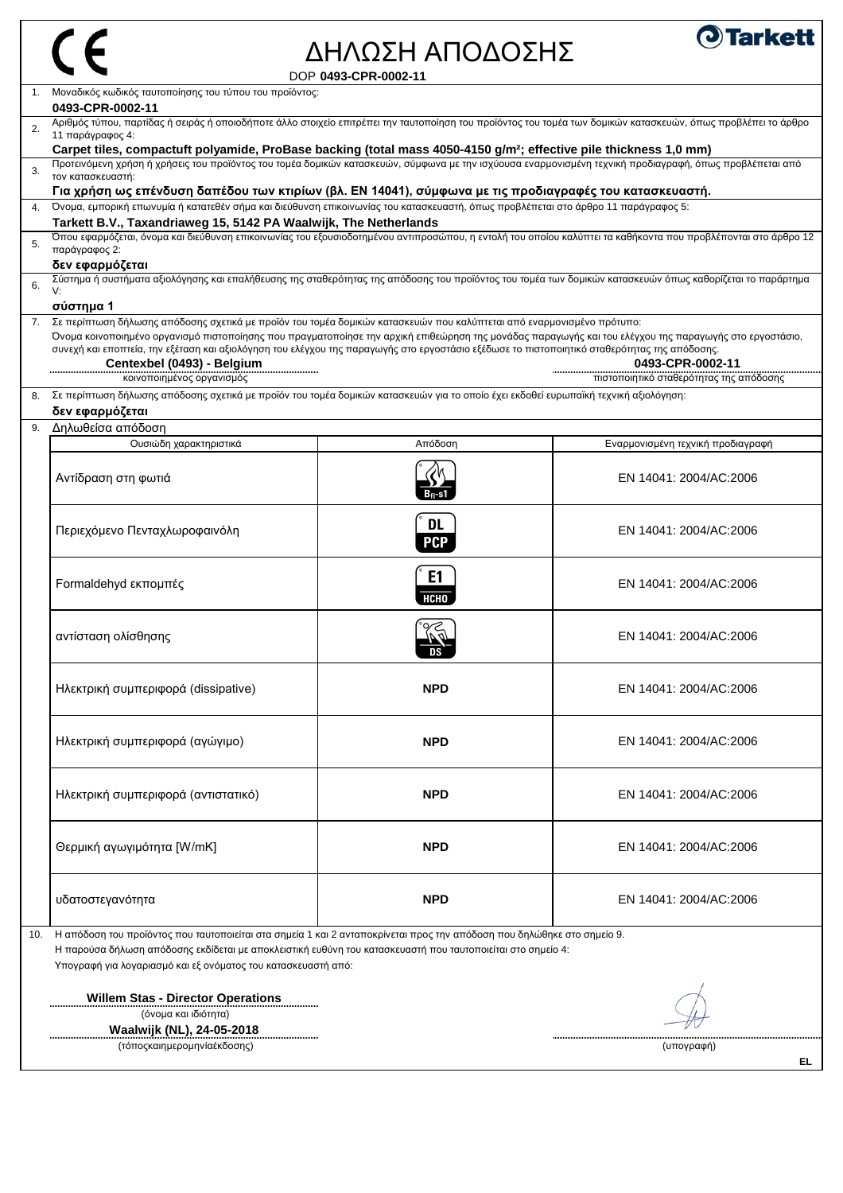| ΔΗΛΩΣΗ ΑΠΟΔΟΣΗΣ<br>DOP 0493-CPR-0002-11<br>Μοναδικός κωδικός ταυτοποίησης του τύπου του προϊόντος:<br>0493-CPR-0002-11<br>Αριθμός τύπου, παρτίδας ή σειράς ή οποιοδήποτε άλλο στοιχείο επιτρέπει την ταυτοποίηση του προϊόντος του τομέα των δομικών κατασκευών, όπως προβλέπει το άρθρο<br>2.<br>11 παράγραφος 4:<br>Carpet tiles, compactuft polyamide, ProBase backing (total mass 4050-4150 g/m <sup>2</sup> ; effective pile thickness 1,0 mm)<br>Προτεινόμενη χρήση ή χρήσεις του προϊόντος του τομέα δομικών κατασκευών, σύμφωνα με την ισχύουσα εναρμονισμένη τεχνική προδιαγραφή, όπως προβλέπεται από<br>τον κατασκευαστή:<br>Για χρήση ως επένδυση δαπέδου των κτιρίων (βλ. EN 14041), σύμφωνα με τις προδιαγραφές του κατασκευαστή.<br>4. Όνομα, εμπορική επωνυμία ή κατατεθέν σήμα και διεύθυνση επικοινωνίας του κατασκευαστή, όπως προβλέπεται στο άρθρο 11 παράγραφος 5:<br>Tarkett B.V., Taxandriaweg 15, 5142 PA Waalwijk, The Netherlands<br>Όπου εφαρμόζεται, όνομα και διεύθυνση επικοινωνίας του εξουσιοδοτημένου αντιπροσώπου, η εντολή του οποίου καλύπτει τα καθήκοντα που προβλέπονται στο άρθρο 12<br>παράγραφος 2:<br>δεν εφαρμόζεται<br>Σύστημα ή συστήματα αξιολόγησης και επαλήθευσης της σταθερότητας της απόδοσης του προϊόντος του τομέα των δομικών κατασκευών όπως καθορίζεται το παράρτημα<br>V:<br>σύστημα 1<br>Σε περίπτωση δήλωσης απόδοσης σχετικά με προϊόν του τομέα δομικών κατασκευών που καλύπτεται από εναρμονισμένο πρότυπο:<br>7.<br>Όνομα κοινοποιημένο οργανισμό πιστοποίησης που πραγματοποίησε την αρχική επιθεώρηση της μονάδας παραγωγής και του ελέγχου της παραγωγής στο εργοστάσιο,<br>συνεχή και εποπτεία, την εξέταση και αξιολόγηση του ελέγχου της παραγωγής στο εργοστάσιο εξέδωσε το πιστοποιητικό σταθερότητας της απόδοσης.<br>0493-CPR-0002-11<br>Centexbel (0493) - Belgium<br>πιστοποιητικό σταθερότητας της απόδοσης<br>κοινοποιημένος οργανισμός<br>Σε περίπτωση δήλωσης απόδοσης σχετικά με προϊόν του τομέα δομικών κατασκευών για το οποίο έχει εκδοθεί ευρωπαϊκή τεχνική αξιολόγηση:<br>δεν εφαρμόζεται<br>Δηλωθείσα απόδοση<br>Απόδοση<br>Ουσιώδη χαρακτηριστικά<br>Εναρμονισμένη τεχνική προδιαγραφή<br>EN 14041: 2004/AC:2006<br>Αντίδραση στη φωτιά<br><b>DL</b><br>Περιεχόμενο Πενταχλωροφαινόλη<br>EN 14041: 2004/AC:2006<br><b>PCP</b><br>E1<br>Formaldehyd εκπομπές<br>EN 14041: 2004/AC:2006<br>НСНО<br><b>DERE</b><br>αντίσταση ολίσθησης<br>EN 14041: 2004/AC:2006<br><b>NPD</b><br>Ηλεκτρική συμπεριφορά (dissipative)<br>EN 14041: 2004/AC:2006<br><b>NPD</b><br>Ηλεκτρική συμπεριφορά (αγώγιμο)<br>EN 14041: 2004/AC:2006<br>Ηλεκτρική συμπεριφορά (αντιστατικό)<br><b>NPD</b><br>EN 14041: 2004/AC:2006<br>Θερμική αγωγιμότητα [W/mK]<br><b>NPD</b><br>EN 14041: 2004/AC:2006<br><b>NPD</b><br>υδατοστεγανότητα<br>EN 14041: 2004/AC:2006<br>Η απόδοση του προϊόντος που ταυτοποιείται στα σημεία 1 και 2 ανταποκρίνεται προς την απόδοση που δηλώθηκε στο σημείο 9.<br>Η παρούσα δήλωση απόδοσης εκδίδεται με αποκλειστική ευθύνη του κατασκευαστή που ταυτοποιείται στο σημείο 4:<br>Υπογραφή για λογαριασμό και εξ ονόματος του κατασκευαστή από:<br><b>Willem Stas - Director Operations</b><br>(όνομα και ιδιότητα)<br><b>Waalwijk (NL), 24-05-2018</b><br>(τόποςκαιημερομηνίαέκδοσης)<br>(υπογραφή)<br>EL |     |  |                  |
|-----------------------------------------------------------------------------------------------------------------------------------------------------------------------------------------------------------------------------------------------------------------------------------------------------------------------------------------------------------------------------------------------------------------------------------------------------------------------------------------------------------------------------------------------------------------------------------------------------------------------------------------------------------------------------------------------------------------------------------------------------------------------------------------------------------------------------------------------------------------------------------------------------------------------------------------------------------------------------------------------------------------------------------------------------------------------------------------------------------------------------------------------------------------------------------------------------------------------------------------------------------------------------------------------------------------------------------------------------------------------------------------------------------------------------------------------------------------------------------------------------------------------------------------------------------------------------------------------------------------------------------------------------------------------------------------------------------------------------------------------------------------------------------------------------------------------------------------------------------------------------------------------------------------------------------------------------------------------------------------------------------------------------------------------------------------------------------------------------------------------------------------------------------------------------------------------------------------------------------------------------------------------------------------------------------------------------------------------------------------------------------------------------------------------------------------------------------------------------------------------------------------------------------------------------------------------------------------------------------------------------------------------------------------------------------------------------------------------------------------------------------------------------------------------------------------------------------------------------------------------------------------------------------------------------------------------------------------------------------------------------------------------------------------------------------------------------------------------------------------------------------------------------------------------------------------------------------------------------------------------------------------------------------------------------------|-----|--|------------------|
|                                                                                                                                                                                                                                                                                                                                                                                                                                                                                                                                                                                                                                                                                                                                                                                                                                                                                                                                                                                                                                                                                                                                                                                                                                                                                                                                                                                                                                                                                                                                                                                                                                                                                                                                                                                                                                                                                                                                                                                                                                                                                                                                                                                                                                                                                                                                                                                                                                                                                                                                                                                                                                                                                                                                                                                                                                                                                                                                                                                                                                                                                                                                                                                                                                                                                                           |     |  | <b>O</b> Tarkett |
|                                                                                                                                                                                                                                                                                                                                                                                                                                                                                                                                                                                                                                                                                                                                                                                                                                                                                                                                                                                                                                                                                                                                                                                                                                                                                                                                                                                                                                                                                                                                                                                                                                                                                                                                                                                                                                                                                                                                                                                                                                                                                                                                                                                                                                                                                                                                                                                                                                                                                                                                                                                                                                                                                                                                                                                                                                                                                                                                                                                                                                                                                                                                                                                                                                                                                                           |     |  |                  |
|                                                                                                                                                                                                                                                                                                                                                                                                                                                                                                                                                                                                                                                                                                                                                                                                                                                                                                                                                                                                                                                                                                                                                                                                                                                                                                                                                                                                                                                                                                                                                                                                                                                                                                                                                                                                                                                                                                                                                                                                                                                                                                                                                                                                                                                                                                                                                                                                                                                                                                                                                                                                                                                                                                                                                                                                                                                                                                                                                                                                                                                                                                                                                                                                                                                                                                           |     |  |                  |
|                                                                                                                                                                                                                                                                                                                                                                                                                                                                                                                                                                                                                                                                                                                                                                                                                                                                                                                                                                                                                                                                                                                                                                                                                                                                                                                                                                                                                                                                                                                                                                                                                                                                                                                                                                                                                                                                                                                                                                                                                                                                                                                                                                                                                                                                                                                                                                                                                                                                                                                                                                                                                                                                                                                                                                                                                                                                                                                                                                                                                                                                                                                                                                                                                                                                                                           |     |  |                  |
|                                                                                                                                                                                                                                                                                                                                                                                                                                                                                                                                                                                                                                                                                                                                                                                                                                                                                                                                                                                                                                                                                                                                                                                                                                                                                                                                                                                                                                                                                                                                                                                                                                                                                                                                                                                                                                                                                                                                                                                                                                                                                                                                                                                                                                                                                                                                                                                                                                                                                                                                                                                                                                                                                                                                                                                                                                                                                                                                                                                                                                                                                                                                                                                                                                                                                                           |     |  |                  |
|                                                                                                                                                                                                                                                                                                                                                                                                                                                                                                                                                                                                                                                                                                                                                                                                                                                                                                                                                                                                                                                                                                                                                                                                                                                                                                                                                                                                                                                                                                                                                                                                                                                                                                                                                                                                                                                                                                                                                                                                                                                                                                                                                                                                                                                                                                                                                                                                                                                                                                                                                                                                                                                                                                                                                                                                                                                                                                                                                                                                                                                                                                                                                                                                                                                                                                           | 3.  |  |                  |
|                                                                                                                                                                                                                                                                                                                                                                                                                                                                                                                                                                                                                                                                                                                                                                                                                                                                                                                                                                                                                                                                                                                                                                                                                                                                                                                                                                                                                                                                                                                                                                                                                                                                                                                                                                                                                                                                                                                                                                                                                                                                                                                                                                                                                                                                                                                                                                                                                                                                                                                                                                                                                                                                                                                                                                                                                                                                                                                                                                                                                                                                                                                                                                                                                                                                                                           |     |  |                  |
|                                                                                                                                                                                                                                                                                                                                                                                                                                                                                                                                                                                                                                                                                                                                                                                                                                                                                                                                                                                                                                                                                                                                                                                                                                                                                                                                                                                                                                                                                                                                                                                                                                                                                                                                                                                                                                                                                                                                                                                                                                                                                                                                                                                                                                                                                                                                                                                                                                                                                                                                                                                                                                                                                                                                                                                                                                                                                                                                                                                                                                                                                                                                                                                                                                                                                                           |     |  |                  |
|                                                                                                                                                                                                                                                                                                                                                                                                                                                                                                                                                                                                                                                                                                                                                                                                                                                                                                                                                                                                                                                                                                                                                                                                                                                                                                                                                                                                                                                                                                                                                                                                                                                                                                                                                                                                                                                                                                                                                                                                                                                                                                                                                                                                                                                                                                                                                                                                                                                                                                                                                                                                                                                                                                                                                                                                                                                                                                                                                                                                                                                                                                                                                                                                                                                                                                           | 5.  |  |                  |
|                                                                                                                                                                                                                                                                                                                                                                                                                                                                                                                                                                                                                                                                                                                                                                                                                                                                                                                                                                                                                                                                                                                                                                                                                                                                                                                                                                                                                                                                                                                                                                                                                                                                                                                                                                                                                                                                                                                                                                                                                                                                                                                                                                                                                                                                                                                                                                                                                                                                                                                                                                                                                                                                                                                                                                                                                                                                                                                                                                                                                                                                                                                                                                                                                                                                                                           | 6.  |  |                  |
|                                                                                                                                                                                                                                                                                                                                                                                                                                                                                                                                                                                                                                                                                                                                                                                                                                                                                                                                                                                                                                                                                                                                                                                                                                                                                                                                                                                                                                                                                                                                                                                                                                                                                                                                                                                                                                                                                                                                                                                                                                                                                                                                                                                                                                                                                                                                                                                                                                                                                                                                                                                                                                                                                                                                                                                                                                                                                                                                                                                                                                                                                                                                                                                                                                                                                                           |     |  |                  |
|                                                                                                                                                                                                                                                                                                                                                                                                                                                                                                                                                                                                                                                                                                                                                                                                                                                                                                                                                                                                                                                                                                                                                                                                                                                                                                                                                                                                                                                                                                                                                                                                                                                                                                                                                                                                                                                                                                                                                                                                                                                                                                                                                                                                                                                                                                                                                                                                                                                                                                                                                                                                                                                                                                                                                                                                                                                                                                                                                                                                                                                                                                                                                                                                                                                                                                           |     |  |                  |
|                                                                                                                                                                                                                                                                                                                                                                                                                                                                                                                                                                                                                                                                                                                                                                                                                                                                                                                                                                                                                                                                                                                                                                                                                                                                                                                                                                                                                                                                                                                                                                                                                                                                                                                                                                                                                                                                                                                                                                                                                                                                                                                                                                                                                                                                                                                                                                                                                                                                                                                                                                                                                                                                                                                                                                                                                                                                                                                                                                                                                                                                                                                                                                                                                                                                                                           |     |  |                  |
|                                                                                                                                                                                                                                                                                                                                                                                                                                                                                                                                                                                                                                                                                                                                                                                                                                                                                                                                                                                                                                                                                                                                                                                                                                                                                                                                                                                                                                                                                                                                                                                                                                                                                                                                                                                                                                                                                                                                                                                                                                                                                                                                                                                                                                                                                                                                                                                                                                                                                                                                                                                                                                                                                                                                                                                                                                                                                                                                                                                                                                                                                                                                                                                                                                                                                                           |     |  |                  |
|                                                                                                                                                                                                                                                                                                                                                                                                                                                                                                                                                                                                                                                                                                                                                                                                                                                                                                                                                                                                                                                                                                                                                                                                                                                                                                                                                                                                                                                                                                                                                                                                                                                                                                                                                                                                                                                                                                                                                                                                                                                                                                                                                                                                                                                                                                                                                                                                                                                                                                                                                                                                                                                                                                                                                                                                                                                                                                                                                                                                                                                                                                                                                                                                                                                                                                           | 9.  |  |                  |
|                                                                                                                                                                                                                                                                                                                                                                                                                                                                                                                                                                                                                                                                                                                                                                                                                                                                                                                                                                                                                                                                                                                                                                                                                                                                                                                                                                                                                                                                                                                                                                                                                                                                                                                                                                                                                                                                                                                                                                                                                                                                                                                                                                                                                                                                                                                                                                                                                                                                                                                                                                                                                                                                                                                                                                                                                                                                                                                                                                                                                                                                                                                                                                                                                                                                                                           |     |  |                  |
|                                                                                                                                                                                                                                                                                                                                                                                                                                                                                                                                                                                                                                                                                                                                                                                                                                                                                                                                                                                                                                                                                                                                                                                                                                                                                                                                                                                                                                                                                                                                                                                                                                                                                                                                                                                                                                                                                                                                                                                                                                                                                                                                                                                                                                                                                                                                                                                                                                                                                                                                                                                                                                                                                                                                                                                                                                                                                                                                                                                                                                                                                                                                                                                                                                                                                                           |     |  |                  |
|                                                                                                                                                                                                                                                                                                                                                                                                                                                                                                                                                                                                                                                                                                                                                                                                                                                                                                                                                                                                                                                                                                                                                                                                                                                                                                                                                                                                                                                                                                                                                                                                                                                                                                                                                                                                                                                                                                                                                                                                                                                                                                                                                                                                                                                                                                                                                                                                                                                                                                                                                                                                                                                                                                                                                                                                                                                                                                                                                                                                                                                                                                                                                                                                                                                                                                           |     |  |                  |
|                                                                                                                                                                                                                                                                                                                                                                                                                                                                                                                                                                                                                                                                                                                                                                                                                                                                                                                                                                                                                                                                                                                                                                                                                                                                                                                                                                                                                                                                                                                                                                                                                                                                                                                                                                                                                                                                                                                                                                                                                                                                                                                                                                                                                                                                                                                                                                                                                                                                                                                                                                                                                                                                                                                                                                                                                                                                                                                                                                                                                                                                                                                                                                                                                                                                                                           |     |  |                  |
|                                                                                                                                                                                                                                                                                                                                                                                                                                                                                                                                                                                                                                                                                                                                                                                                                                                                                                                                                                                                                                                                                                                                                                                                                                                                                                                                                                                                                                                                                                                                                                                                                                                                                                                                                                                                                                                                                                                                                                                                                                                                                                                                                                                                                                                                                                                                                                                                                                                                                                                                                                                                                                                                                                                                                                                                                                                                                                                                                                                                                                                                                                                                                                                                                                                                                                           |     |  |                  |
|                                                                                                                                                                                                                                                                                                                                                                                                                                                                                                                                                                                                                                                                                                                                                                                                                                                                                                                                                                                                                                                                                                                                                                                                                                                                                                                                                                                                                                                                                                                                                                                                                                                                                                                                                                                                                                                                                                                                                                                                                                                                                                                                                                                                                                                                                                                                                                                                                                                                                                                                                                                                                                                                                                                                                                                                                                                                                                                                                                                                                                                                                                                                                                                                                                                                                                           |     |  |                  |
|                                                                                                                                                                                                                                                                                                                                                                                                                                                                                                                                                                                                                                                                                                                                                                                                                                                                                                                                                                                                                                                                                                                                                                                                                                                                                                                                                                                                                                                                                                                                                                                                                                                                                                                                                                                                                                                                                                                                                                                                                                                                                                                                                                                                                                                                                                                                                                                                                                                                                                                                                                                                                                                                                                                                                                                                                                                                                                                                                                                                                                                                                                                                                                                                                                                                                                           |     |  |                  |
|                                                                                                                                                                                                                                                                                                                                                                                                                                                                                                                                                                                                                                                                                                                                                                                                                                                                                                                                                                                                                                                                                                                                                                                                                                                                                                                                                                                                                                                                                                                                                                                                                                                                                                                                                                                                                                                                                                                                                                                                                                                                                                                                                                                                                                                                                                                                                                                                                                                                                                                                                                                                                                                                                                                                                                                                                                                                                                                                                                                                                                                                                                                                                                                                                                                                                                           |     |  |                  |
|                                                                                                                                                                                                                                                                                                                                                                                                                                                                                                                                                                                                                                                                                                                                                                                                                                                                                                                                                                                                                                                                                                                                                                                                                                                                                                                                                                                                                                                                                                                                                                                                                                                                                                                                                                                                                                                                                                                                                                                                                                                                                                                                                                                                                                                                                                                                                                                                                                                                                                                                                                                                                                                                                                                                                                                                                                                                                                                                                                                                                                                                                                                                                                                                                                                                                                           |     |  |                  |
|                                                                                                                                                                                                                                                                                                                                                                                                                                                                                                                                                                                                                                                                                                                                                                                                                                                                                                                                                                                                                                                                                                                                                                                                                                                                                                                                                                                                                                                                                                                                                                                                                                                                                                                                                                                                                                                                                                                                                                                                                                                                                                                                                                                                                                                                                                                                                                                                                                                                                                                                                                                                                                                                                                                                                                                                                                                                                                                                                                                                                                                                                                                                                                                                                                                                                                           |     |  |                  |
|                                                                                                                                                                                                                                                                                                                                                                                                                                                                                                                                                                                                                                                                                                                                                                                                                                                                                                                                                                                                                                                                                                                                                                                                                                                                                                                                                                                                                                                                                                                                                                                                                                                                                                                                                                                                                                                                                                                                                                                                                                                                                                                                                                                                                                                                                                                                                                                                                                                                                                                                                                                                                                                                                                                                                                                                                                                                                                                                                                                                                                                                                                                                                                                                                                                                                                           | 10. |  |                  |
|                                                                                                                                                                                                                                                                                                                                                                                                                                                                                                                                                                                                                                                                                                                                                                                                                                                                                                                                                                                                                                                                                                                                                                                                                                                                                                                                                                                                                                                                                                                                                                                                                                                                                                                                                                                                                                                                                                                                                                                                                                                                                                                                                                                                                                                                                                                                                                                                                                                                                                                                                                                                                                                                                                                                                                                                                                                                                                                                                                                                                                                                                                                                                                                                                                                                                                           |     |  |                  |
|                                                                                                                                                                                                                                                                                                                                                                                                                                                                                                                                                                                                                                                                                                                                                                                                                                                                                                                                                                                                                                                                                                                                                                                                                                                                                                                                                                                                                                                                                                                                                                                                                                                                                                                                                                                                                                                                                                                                                                                                                                                                                                                                                                                                                                                                                                                                                                                                                                                                                                                                                                                                                                                                                                                                                                                                                                                                                                                                                                                                                                                                                                                                                                                                                                                                                                           |     |  |                  |
|                                                                                                                                                                                                                                                                                                                                                                                                                                                                                                                                                                                                                                                                                                                                                                                                                                                                                                                                                                                                                                                                                                                                                                                                                                                                                                                                                                                                                                                                                                                                                                                                                                                                                                                                                                                                                                                                                                                                                                                                                                                                                                                                                                                                                                                                                                                                                                                                                                                                                                                                                                                                                                                                                                                                                                                                                                                                                                                                                                                                                                                                                                                                                                                                                                                                                                           |     |  |                  |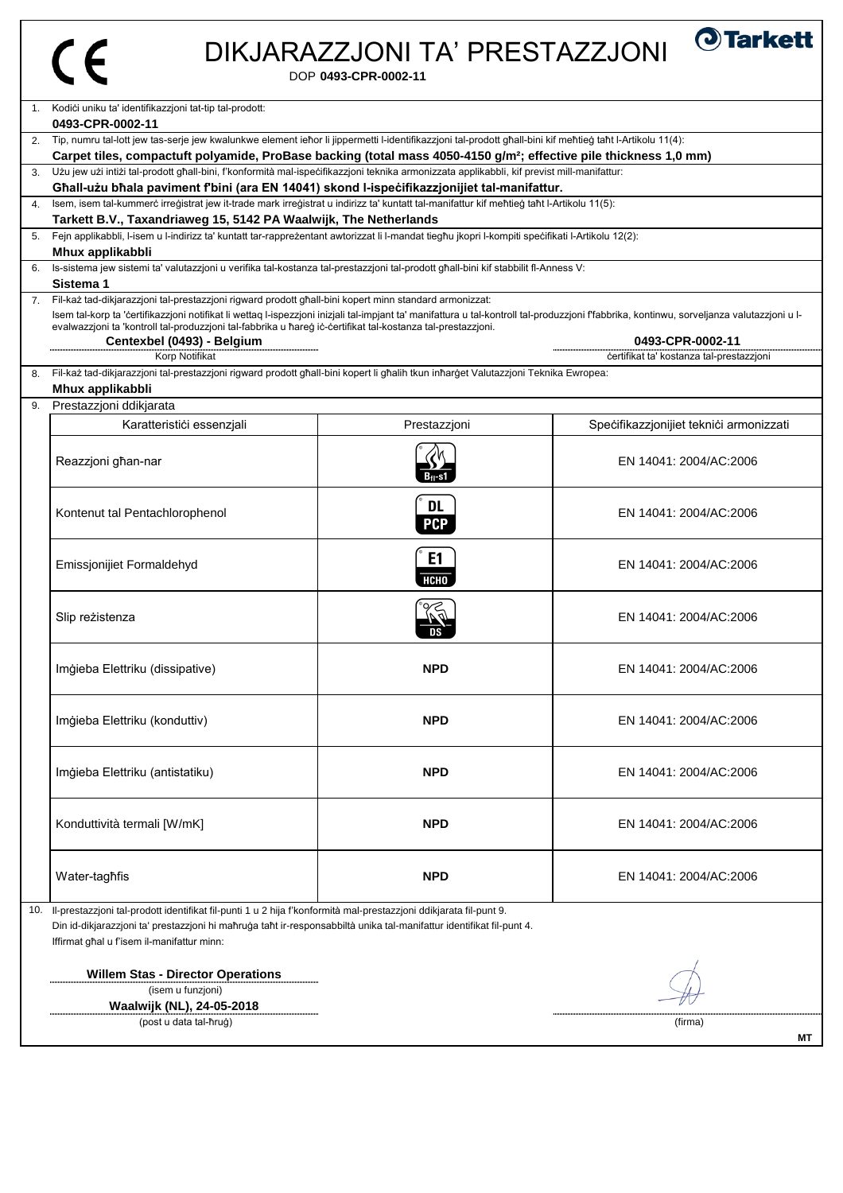# $C \in$

## DIKJARAZZJONI TA' PRESTAZZJONI

DOP **0493-CPR-0002-11**

| $\mathbf{1}$ . | Kodići uniku ta' identifikazzjoni tat-tip tal-prodott:<br>0493-CPR-0002-11                                                                                                                                                                                                                                                                                                                                                                                                                                                         |                         |                                         |
|----------------|------------------------------------------------------------------------------------------------------------------------------------------------------------------------------------------------------------------------------------------------------------------------------------------------------------------------------------------------------------------------------------------------------------------------------------------------------------------------------------------------------------------------------------|-------------------------|-----------------------------------------|
|                |                                                                                                                                                                                                                                                                                                                                                                                                                                                                                                                                    |                         |                                         |
| 2.             | Tip, numru tal-lott jew tas-serje jew kwalunkwe element iehor li jippermetti l-identifikazzjoni tal-prodott ghall-bini kif mehtieg taht l-Artikolu 11(4):                                                                                                                                                                                                                                                                                                                                                                          |                         |                                         |
|                | Carpet tiles, compactuft polyamide, ProBase backing (total mass 4050-4150 g/m <sup>2</sup> ; effective pile thickness 1,0 mm)                                                                                                                                                                                                                                                                                                                                                                                                      |                         |                                         |
|                | Użu jew użi intiżi tal-prodott għall-bini, f'konformità mal-ispecifikazzjoni teknika armonizzata applikabbli, kif previst mill-manifattur:<br>Għall-użu bħala paviment f'bini (ara EN 14041) skond l-ispecifikazzjonijiet tal-manifattur.                                                                                                                                                                                                                                                                                          |                         |                                         |
| 4.             | Isem, isem tal-kummerc irregistrat jew it-trade mark irregistrat u indirizz ta' kuntatt tal-manifattur kif mentieg tant l-Artikolu 11(5):                                                                                                                                                                                                                                                                                                                                                                                          |                         |                                         |
|                | Tarkett B.V., Taxandriaweg 15, 5142 PA Waalwijk, The Netherlands                                                                                                                                                                                                                                                                                                                                                                                                                                                                   |                         |                                         |
| 5.             | Fejn applikabbli, I-isem u I-indirizz ta' kuntatt tar-rapprezentant awtorizzat li I-mandat tiegħu jkopri I-kompiti specifikati I-Artikolu 12(2):                                                                                                                                                                                                                                                                                                                                                                                   |                         |                                         |
|                | Mhux applikabbli                                                                                                                                                                                                                                                                                                                                                                                                                                                                                                                   |                         |                                         |
| 6.             | Is-sistema jew sistemi ta' valutazzjoni u verifika tal-kostanza tal-prestazzjoni tal-prodott għall-bini kif stabbilit fl-Anness V:                                                                                                                                                                                                                                                                                                                                                                                                 |                         |                                         |
|                | Sistema 1                                                                                                                                                                                                                                                                                                                                                                                                                                                                                                                          |                         |                                         |
| 7 <sub>1</sub> | Fil-każ tad-dikjarazzjoni tal-prestazzjoni rigward prodott għall-bini kopert minn standard armonizzat:<br>Isem tal-korp ta 'certifikazzjoni notifikat li wettaq l-ispezzjoni inizjali tal-impjant ta' manifattura u tal-kontroll tal-produzzjoni ffabbrika, kontinwu, sorveljanza valutazzjoni u l-<br>evalwazzjoni ta 'kontroll tal-produzzjoni tal-fabbrika u ħareġ iċ-ċertifikat tal-kostanza tal-prestazzjoni.<br>0493-CPR-0002-11<br>Centexbel (0493) - Belgium<br>Korp Notifikat<br>certifikat ta' kostanza tal-prestazzjoni |                         |                                         |
| 8.             | Fil-każ tad-dikjarazzjoni tal-prestazzjoni rigward prodott għall-bini kopert li għalih tkun inħarġet Valutazzjoni Teknika Ewropea:                                                                                                                                                                                                                                                                                                                                                                                                 |                         |                                         |
|                | Mhux applikabbli                                                                                                                                                                                                                                                                                                                                                                                                                                                                                                                   |                         |                                         |
| 9.             | Prestazzjoni ddikjarata                                                                                                                                                                                                                                                                                                                                                                                                                                                                                                            |                         |                                         |
|                | Karatteristici essenzjali                                                                                                                                                                                                                                                                                                                                                                                                                                                                                                          | Prestazzjoni            | Specifikazzjonijiet teknici armonizzati |
|                | Reazzjoni għan-nar                                                                                                                                                                                                                                                                                                                                                                                                                                                                                                                 | Bn-s1                   | EN 14041: 2004/AC:2006                  |
|                | Kontenut tal Pentachlorophenol                                                                                                                                                                                                                                                                                                                                                                                                                                                                                                     | <b>DL</b><br><b>PCP</b> | EN 14041: 2004/AC:2006                  |
|                | <b>Emissjonijiet Formaldehyd</b>                                                                                                                                                                                                                                                                                                                                                                                                                                                                                                   | E1<br><b>НСНО</b>       | EN 14041: 2004/AC:2006                  |
|                | Slip reżistenza                                                                                                                                                                                                                                                                                                                                                                                                                                                                                                                    | $\sim$ $\sim$           | EN 14041: 2004/AC:2006                  |
|                | Imģieba Elettriku (dissipative)                                                                                                                                                                                                                                                                                                                                                                                                                                                                                                    | <b>NPD</b>              | EN 14041: 2004/AC:2006                  |
|                | Imģieba Elettriku (konduttiv)                                                                                                                                                                                                                                                                                                                                                                                                                                                                                                      | <b>NPD</b>              | EN 14041: 2004/AC:2006                  |
|                | Imģieba Elettriku (antistatiku)                                                                                                                                                                                                                                                                                                                                                                                                                                                                                                    | <b>NPD</b>              | EN 14041: 2004/AC:2006                  |
|                | Konduttività termali [W/mK]                                                                                                                                                                                                                                                                                                                                                                                                                                                                                                        | <b>NPD</b>              | EN 14041: 2004/AC:2006                  |
|                | Water-taghfis                                                                                                                                                                                                                                                                                                                                                                                                                                                                                                                      | <b>NPD</b>              | EN 14041: 2004/AC:2006                  |
| 10.            | II-prestazzjoni tal-prodott identifikat fil-punti 1 u 2 hija f'konformità mal-prestazzjoni ddikjarata fil-punt 9.<br>Din id-dikjarazzjoni ta' prestazzjoni hi maħruġa taħt ir-responsabbiltà unika tal-manifattur identifikat fil-punt 4.<br>Iffirmat ghal u f'isem il-manifattur minn:                                                                                                                                                                                                                                            |                         |                                         |
|                | <b>Willem Stas - Director Operations</b><br>(isem u funzjoni)                                                                                                                                                                                                                                                                                                                                                                                                                                                                      |                         |                                         |
|                | Waalwijk (NL), 24-05-2018                                                                                                                                                                                                                                                                                                                                                                                                                                                                                                          |                         |                                         |
|                | (post u data tal-ħruġ)                                                                                                                                                                                                                                                                                                                                                                                                                                                                                                             |                         | (firma)                                 |

**MT**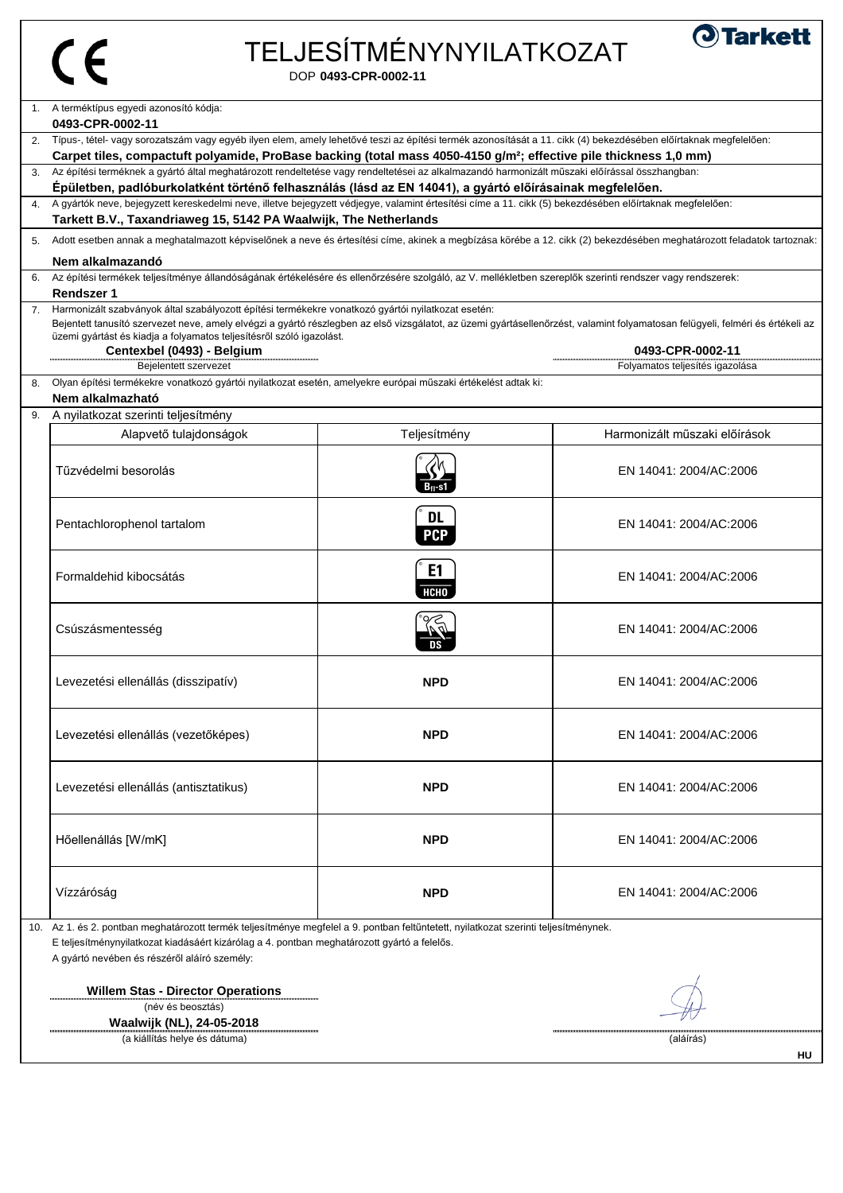| а<br>٠ |
|--------|
|        |

# TELJESÍTMÉNYNYILATKOZAT



DOP **0493-CPR-0002-11**

|    | A terméktípus egyedi azonosító kódja:                                                                                                                                                                                                                                          |              |                                 |  |
|----|--------------------------------------------------------------------------------------------------------------------------------------------------------------------------------------------------------------------------------------------------------------------------------|--------------|---------------------------------|--|
|    | 0493-CPR-0002-11                                                                                                                                                                                                                                                               |              |                                 |  |
| 2. | Típus-, tétel- vagy sorozatszám vagy egyéb ilyen elem, amely lehetővé teszi az építési termék azonosítását a 11. cikk (4) bekezdésében előírtaknak megfelelően:                                                                                                                |              |                                 |  |
|    | Carpet tiles, compactuft polyamide, ProBase backing (total mass 4050-4150 g/m <sup>2</sup> ; effective pile thickness 1,0 mm)<br>Az építési terméknek a gyártó által meghatározott rendeltetése vagy rendeltetései az alkalmazandó harmonizált műszaki előírással összhangban: |              |                                 |  |
|    | Épületben, padlóburkolatként történő felhasználás (lásd az EN 14041), a gyártó előírásainak megfelelően.                                                                                                                                                                       |              |                                 |  |
|    | 4. A gyártók neve, bejegyzett kereskedelmi neve, illetve bejegyzett védjegye, valamint értesítési címe a 11. cikk (5) bekezdésében előírtaknak megfelelően:                                                                                                                    |              |                                 |  |
|    | Tarkett B.V., Taxandriaweg 15, 5142 PA Waalwijk, The Netherlands                                                                                                                                                                                                               |              |                                 |  |
| 5. | Adott esetben annak a meghatalmazott képviselőnek a neve és értesítési címe, akinek a megbízása körébe a 12. cikk (2) bekezdésében meghatározott feladatok tartoznak:                                                                                                          |              |                                 |  |
|    |                                                                                                                                                                                                                                                                                |              |                                 |  |
|    | Nem alkalmazandó                                                                                                                                                                                                                                                               |              |                                 |  |
|    | Az építési termékek teljesítménye állandóságának értékelésére és ellenőrzésére szolgáló, az V. mellékletben szereplők szerinti rendszer vagy rendszerek:<br><b>Rendszer 1</b>                                                                                                  |              |                                 |  |
| 7. | Harmonizált szabványok által szabályozott építési termékekre vonatkozó gyártói nyilatkozat esetén:                                                                                                                                                                             |              |                                 |  |
|    | Bejentett tanusító szervezet neve, amely elvégzi a gyártó részlegben az első vizsgálatot, az üzemi gyártásellenőrzést, valamint folyamatosan felügyeli, felméri és értékeli az                                                                                                 |              |                                 |  |
|    | üzemi gyártást és kiadja a folyamatos teljesítésről szóló igazolást.                                                                                                                                                                                                           |              |                                 |  |
|    | Centexbel (0493) - Belgium                                                                                                                                                                                                                                                     |              | 0493-CPR-0002-11                |  |
|    | Bejelentett szervezet                                                                                                                                                                                                                                                          |              | Folyamatos teljesítés igazolása |  |
| 8. | Olyan építési termékekre vonatkozó gyártói nyilatkozat esetén, amelyekre európai műszaki értékelést adtak ki:                                                                                                                                                                  |              |                                 |  |
|    | Nem alkalmazható                                                                                                                                                                                                                                                               |              |                                 |  |
| 9. | A nyilatkozat szerinti teljesítmény                                                                                                                                                                                                                                            |              |                                 |  |
|    | Alapvető tulajdonságok                                                                                                                                                                                                                                                         | Teljesítmény | Harmonizált műszaki előírások   |  |
|    |                                                                                                                                                                                                                                                                                |              |                                 |  |
|    | Tűzvédelmi besorolás                                                                                                                                                                                                                                                           |              | EN 14041: 2004/AC:2006          |  |
|    |                                                                                                                                                                                                                                                                                | B-ı-s1       |                                 |  |
|    |                                                                                                                                                                                                                                                                                |              |                                 |  |
|    | Pentachlorophenol tartalom                                                                                                                                                                                                                                                     | <b>DL</b>    | EN 14041: 2004/AC:2006          |  |
|    |                                                                                                                                                                                                                                                                                | <b>PCP</b>   |                                 |  |
|    |                                                                                                                                                                                                                                                                                |              |                                 |  |
|    | Formaldehid kibocsátás                                                                                                                                                                                                                                                         | E1           | EN 14041: 2004/AC:2006          |  |
|    |                                                                                                                                                                                                                                                                                | нсно         |                                 |  |
|    |                                                                                                                                                                                                                                                                                |              |                                 |  |
|    | Csúszásmentesség                                                                                                                                                                                                                                                               |              | EN 14041: 2004/AC:2006          |  |
|    |                                                                                                                                                                                                                                                                                |              |                                 |  |
|    |                                                                                                                                                                                                                                                                                |              |                                 |  |
|    | Levezetési ellenállás (disszipatív)                                                                                                                                                                                                                                            | <b>NPD</b>   | EN 14041: 2004/AC:2006          |  |
|    |                                                                                                                                                                                                                                                                                |              |                                 |  |
|    |                                                                                                                                                                                                                                                                                |              |                                 |  |
|    | Levezetési ellenállás (vezetőképes)                                                                                                                                                                                                                                            | <b>NPD</b>   | EN 14041: 2004/AC:2006          |  |
|    |                                                                                                                                                                                                                                                                                |              |                                 |  |
|    |                                                                                                                                                                                                                                                                                |              |                                 |  |
|    | Levezetési ellenállás (antisztatikus)                                                                                                                                                                                                                                          | <b>NPD</b>   | EN 14041: 2004/AC:2006          |  |
|    |                                                                                                                                                                                                                                                                                |              |                                 |  |
|    |                                                                                                                                                                                                                                                                                |              |                                 |  |
|    | Hőellenállás [W/mK]                                                                                                                                                                                                                                                            | <b>NPD</b>   | EN 14041: 2004/AC:2006          |  |
|    |                                                                                                                                                                                                                                                                                |              |                                 |  |
|    |                                                                                                                                                                                                                                                                                |              |                                 |  |
|    | Vízzáróság                                                                                                                                                                                                                                                                     | <b>NPD</b>   | EN 14041: 2004/AC:2006          |  |
|    |                                                                                                                                                                                                                                                                                |              |                                 |  |
|    | 10. Az 1. és 2. pontban meghatározott termék teljesítménye megfelel a 9. pontban feltűntetett, nyilatkozat szerinti teljesítménynek.                                                                                                                                           |              |                                 |  |
|    | E teljesítménynyilatkozat kiadásáért kizárólag a 4. pontban meghatározott gyártó a felelős.                                                                                                                                                                                    |              |                                 |  |
|    | A gyártó nevében és részéről aláíró személy:                                                                                                                                                                                                                                   |              |                                 |  |
|    |                                                                                                                                                                                                                                                                                |              |                                 |  |
|    | <b>Willem Stas - Director Operations</b>                                                                                                                                                                                                                                       |              |                                 |  |

(név és beosztás)

**Waalwijk (NL), 24-05-2018** (a kiállítás helye és dátuma) (aláírás)



 $\mathbf{I}$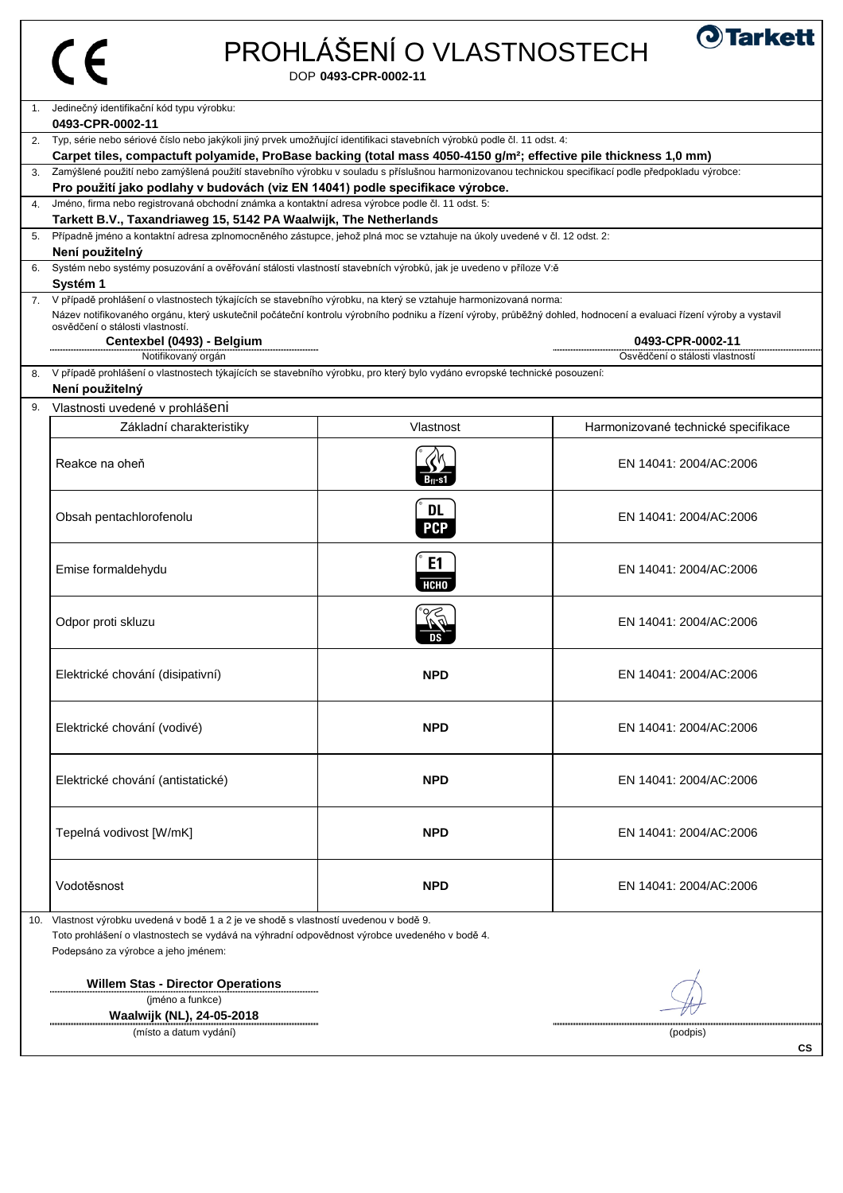# PROHLÁŠENÍ O VLASTNOSTECH

DOP **0493-CPR-0002-11**

| 1.             | Jedinečný identifikační kód typu výrobku:                                                                                                                          |                |                                     |  |
|----------------|--------------------------------------------------------------------------------------------------------------------------------------------------------------------|----------------|-------------------------------------|--|
|                | 0493-CPR-0002-11                                                                                                                                                   |                |                                     |  |
|                | Typ, série nebo sériové číslo nebo jakýkoli jiný prvek umožňující identifikaci stavebních výrobků podle čl. 11 odst. 4:                                            |                |                                     |  |
|                | Carpet tiles, compactuft polyamide, ProBase backing (total mass 4050-4150 g/m <sup>2</sup> ; effective pile thickness 1,0 mm)                                      |                |                                     |  |
| 3.             | Zamýšlené použití nebo zamýšlená použití stavebního výrobku v souladu s příslušnou harmonizovanou technickou specifikací podle předpokladu výrobce:                |                |                                     |  |
|                | Pro použití jako podlahy v budovách (viz EN 14041) podle specifikace výrobce.                                                                                      |                |                                     |  |
| $\mathbf{4}$ . | Jméno, firma nebo registrovaná obchodní známka a kontaktní adresa výrobce podle čl. 11 odst. 5:                                                                    |                |                                     |  |
|                | Tarkett B.V., Taxandriaweg 15, 5142 PA Waalwijk, The Netherlands                                                                                                   |                |                                     |  |
| 5.             | Případně jméno a kontaktní adresa zplnomocněného zástupce, jehož plná moc se vztahuje na úkoly uvedené v čl. 12 odst. 2:                                           |                |                                     |  |
|                | Není použitelný<br>Systém nebo systémy posuzování a ověřování stálosti vlastností stavebních výrobků, jak je uvedeno v příloze V:ě                                 |                |                                     |  |
| 6.             | Systém 1                                                                                                                                                           |                |                                     |  |
|                | 7. V případě prohlášení o vlastnostech týkajících se stavebního výrobku, na který se vztahuje harmonizovaná norma:                                                 |                |                                     |  |
|                | Název notifikovaného orgánu, který uskutečnil počáteční kontrolu výrobního podniku a řízení výroby, průběžný dohled, hodnocení a evaluaci řízení výroby a vystavil |                |                                     |  |
|                | osvědčení o stálosti vlastností.                                                                                                                                   |                |                                     |  |
|                | Centexbel (0493) - Belgium                                                                                                                                         |                | 0493-CPR-0002-11                    |  |
|                | Notifikovaný orgán                                                                                                                                                 |                | Osvědčení o stálosti vlastností     |  |
| 8.             | V případě prohlášení o vlastnostech týkajících se stavebního výrobku, pro který bylo vydáno evropské technické posouzení:                                          |                |                                     |  |
|                | Není použitelný                                                                                                                                                    |                |                                     |  |
| 9.             | Vlastnosti uvedené v prohlášeni                                                                                                                                    |                |                                     |  |
|                | Základní charakteristiky                                                                                                                                           | Vlastnost      | Harmonizované technické specifikace |  |
|                |                                                                                                                                                                    |                |                                     |  |
|                | Reakce na oheň                                                                                                                                                     |                | EN 14041: 2004/AC:2006              |  |
|                |                                                                                                                                                                    | B-ı-s1         |                                     |  |
|                |                                                                                                                                                                    |                |                                     |  |
|                | Obsah pentachlorofenolu                                                                                                                                            | <b>DL</b>      | EN 14041: 2004/AC:2006              |  |
|                |                                                                                                                                                                    | <b>PCP</b>     |                                     |  |
|                |                                                                                                                                                                    |                |                                     |  |
|                | Emise formaldehydu                                                                                                                                                 | E <sub>1</sub> | EN 14041: 2004/AC:2006              |  |
|                |                                                                                                                                                                    | HCHO ,         |                                     |  |
|                |                                                                                                                                                                    |                |                                     |  |
|                | Odpor proti skluzu                                                                                                                                                 |                | EN 14041: 2004/AC:2006              |  |
|                |                                                                                                                                                                    |                |                                     |  |
|                |                                                                                                                                                                    |                |                                     |  |
|                |                                                                                                                                                                    | <b>NPD</b>     | EN 14041: 2004/AC:2006              |  |
|                | Elektrické chování (disipativní)                                                                                                                                   |                |                                     |  |
|                |                                                                                                                                                                    |                |                                     |  |
|                |                                                                                                                                                                    |                |                                     |  |
|                | Elektrické chování (vodivé)                                                                                                                                        | <b>NPD</b>     | EN 14041: 2004/AC:2006              |  |
|                |                                                                                                                                                                    |                |                                     |  |
|                |                                                                                                                                                                    |                |                                     |  |
|                | Elektrické chování (antistatické)                                                                                                                                  | <b>NPD</b>     | EN 14041: 2004/AC:2006              |  |
|                |                                                                                                                                                                    |                |                                     |  |
|                |                                                                                                                                                                    |                |                                     |  |
|                | Tepelná vodivost [W/mK]                                                                                                                                            | <b>NPD</b>     | EN 14041: 2004/AC:2006              |  |
|                |                                                                                                                                                                    |                |                                     |  |
|                |                                                                                                                                                                    |                |                                     |  |
|                | Vodotěsnost                                                                                                                                                        | <b>NPD</b>     | EN 14041: 2004/AC:2006              |  |
|                |                                                                                                                                                                    |                |                                     |  |
| 10.            | Vlastnost výrobku uvedená v bodě 1 a 2 je ve shodě s vlastností uvedenou v bodě 9.                                                                                 |                |                                     |  |
|                | Toto prohlášení o vlastnostech se vydává na výhradní odpovědnost výrobce uvedeného v bodě 4.                                                                       |                |                                     |  |
|                | Podepsáno za výrobce a jeho jménem:                                                                                                                                |                |                                     |  |
|                |                                                                                                                                                                    |                |                                     |  |
|                | <b>Willem Stas - Director Operations</b>                                                                                                                           |                |                                     |  |
|                | (jméno a funkce)                                                                                                                                                   |                |                                     |  |
|                | Waalwijk (NL), 24-05-2018                                                                                                                                          |                |                                     |  |
|                | (místo a datum vydání)                                                                                                                                             |                | (podpis)                            |  |

**CS**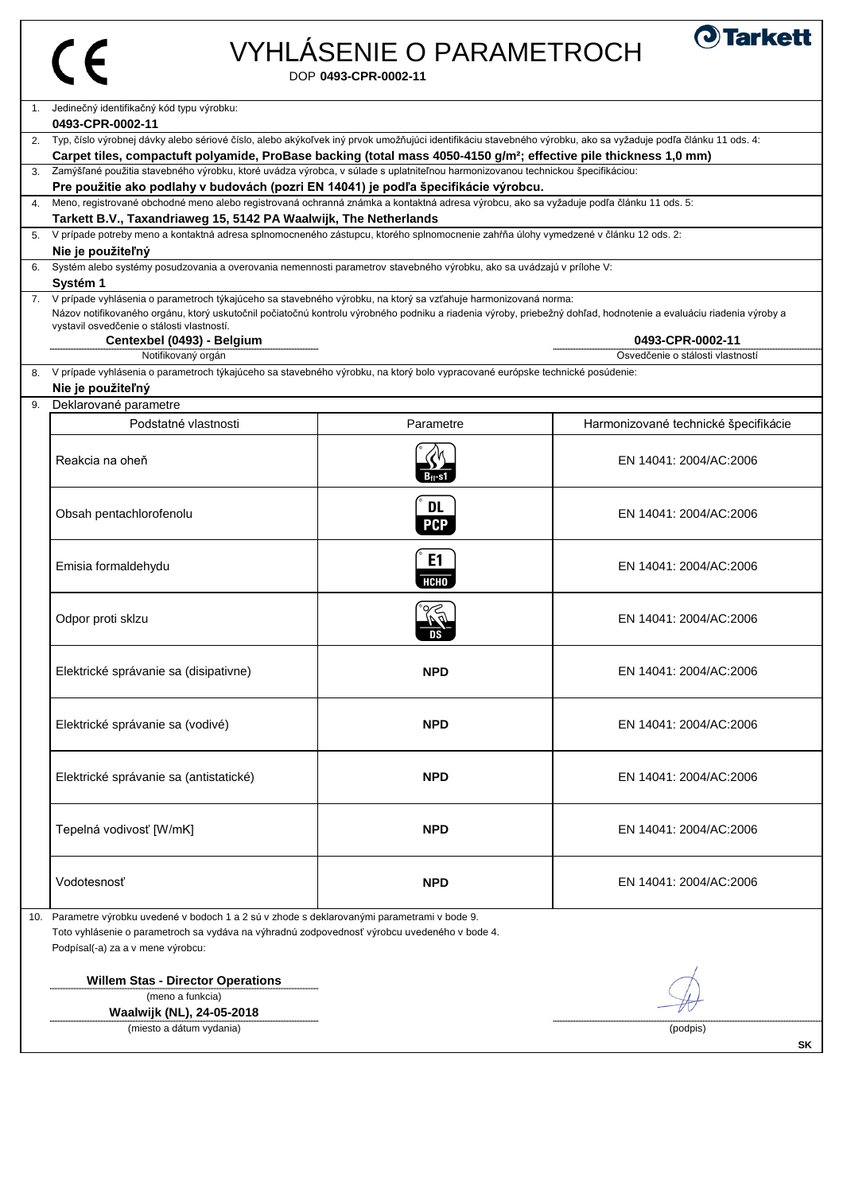# VYHLÁSENIE O PARAMETROCH

DOP **0493-CPR-0002-11**



| 3. Zamýšľané použitia stavebného výrobku, ktoré uvádza výrobca, v súlade s uplatniteľnou harmonizovanou technickou špecifikáciou:<br>Pre použitie ako podlahy v budovách (pozri EN 14041) je podľa špecifikácie výrobcu. |                                                                                                                                                                                                            |                         |                                                      |
|--------------------------------------------------------------------------------------------------------------------------------------------------------------------------------------------------------------------------|------------------------------------------------------------------------------------------------------------------------------------------------------------------------------------------------------------|-------------------------|------------------------------------------------------|
|                                                                                                                                                                                                                          | Meno, registrované obchodné meno alebo registrovaná ochranná známka a kontaktná adresa výrobcu, ako sa vyžaduje podľa článku 11 ods. 5:                                                                    |                         |                                                      |
|                                                                                                                                                                                                                          | Tarkett B.V., Taxandriaweg 15, 5142 PA Waalwijk, The Netherlands<br>5. V prípade potreby meno a kontaktná adresa splnomocneného zástupcu, ktorého splnomocnenie zahŕňa úlohy vymedzené v článku 12 ods. 2: |                         |                                                      |
|                                                                                                                                                                                                                          | Nie je použiteľný                                                                                                                                                                                          |                         |                                                      |
|                                                                                                                                                                                                                          | Systém alebo systémy posudzovania a overovania nemennosti parametrov stavebného výrobku, ako sa uvádzajú v prílohe V:                                                                                      |                         |                                                      |
|                                                                                                                                                                                                                          | Systém 1<br>7. V prípade vyhlásenia o parametroch týkajúceho sa stavebného výrobku, na ktorý sa vzťahuje harmonizovaná norma:                                                                              |                         |                                                      |
|                                                                                                                                                                                                                          | Názov notifikovaného orgánu, ktorý uskutočnil počiatočnú kontrolu výrobného podniku a riadenia výroby, priebežný dohľad, hodnotenie a evaluáciu riadenia výroby a                                          |                         |                                                      |
|                                                                                                                                                                                                                          | vystavil osvedčenie o stálosti vlastností.                                                                                                                                                                 |                         |                                                      |
|                                                                                                                                                                                                                          | Centexbel (0493) - Belgium<br>Notifikovaný orgán                                                                                                                                                           |                         | 0493-CPR-0002-11<br>Osvedčenie o stálosti vlastností |
| 8.                                                                                                                                                                                                                       | V prípade vyhlásenia o parametroch týkajúceho sa stavebného výrobku, na ktorý bolo vypracované európske technické posúdenie:                                                                               |                         |                                                      |
|                                                                                                                                                                                                                          | Nie je použiteľný                                                                                                                                                                                          |                         |                                                      |
|                                                                                                                                                                                                                          | Deklarované parametre                                                                                                                                                                                      |                         |                                                      |
|                                                                                                                                                                                                                          | Podstatné vlastnosti                                                                                                                                                                                       | Parametre               | Harmonizované technické špecifikácie                 |
|                                                                                                                                                                                                                          | Reakcia na oheň                                                                                                                                                                                            | Bn-s1                   | EN 14041: 2004/AC:2006                               |
|                                                                                                                                                                                                                          | Obsah pentachlorofenolu                                                                                                                                                                                    | <b>DL</b><br><b>PCP</b> | EN 14041: 2004/AC:2006                               |
|                                                                                                                                                                                                                          | Emisia formaldehydu                                                                                                                                                                                        | E1<br><b>НСНО</b>       | EN 14041: 2004/AC:2006                               |
|                                                                                                                                                                                                                          | Odpor proti sklzu                                                                                                                                                                                          |                         | EN 14041: 2004/AC:2006                               |
|                                                                                                                                                                                                                          | Elektrické správanie sa (disipativne)                                                                                                                                                                      | <b>NPD</b>              | EN 14041: 2004/AC:2006                               |
|                                                                                                                                                                                                                          | Elektrické správanie sa (vodivé)                                                                                                                                                                           | <b>NPD</b>              | EN 14041: 2004/AC:2006                               |
|                                                                                                                                                                                                                          | Elektrické správanie sa (antistatické)                                                                                                                                                                     | <b>NPD</b>              | EN 14041: 2004/AC:2006                               |
|                                                                                                                                                                                                                          | Tepelná vodivosť [W/mK]                                                                                                                                                                                    | <b>NPD</b>              | EN 14041: 2004/AC:2006                               |
|                                                                                                                                                                                                                          | Vodotesnosť                                                                                                                                                                                                | <b>NPD</b>              | EN 14041: 2004/AC:2006                               |

(meno a funkcia)

**Waalwijk (NL), 24-05-2018** (miesto a dátum vydania) (podpis)

 $\mathcal{L}$ 

**SK**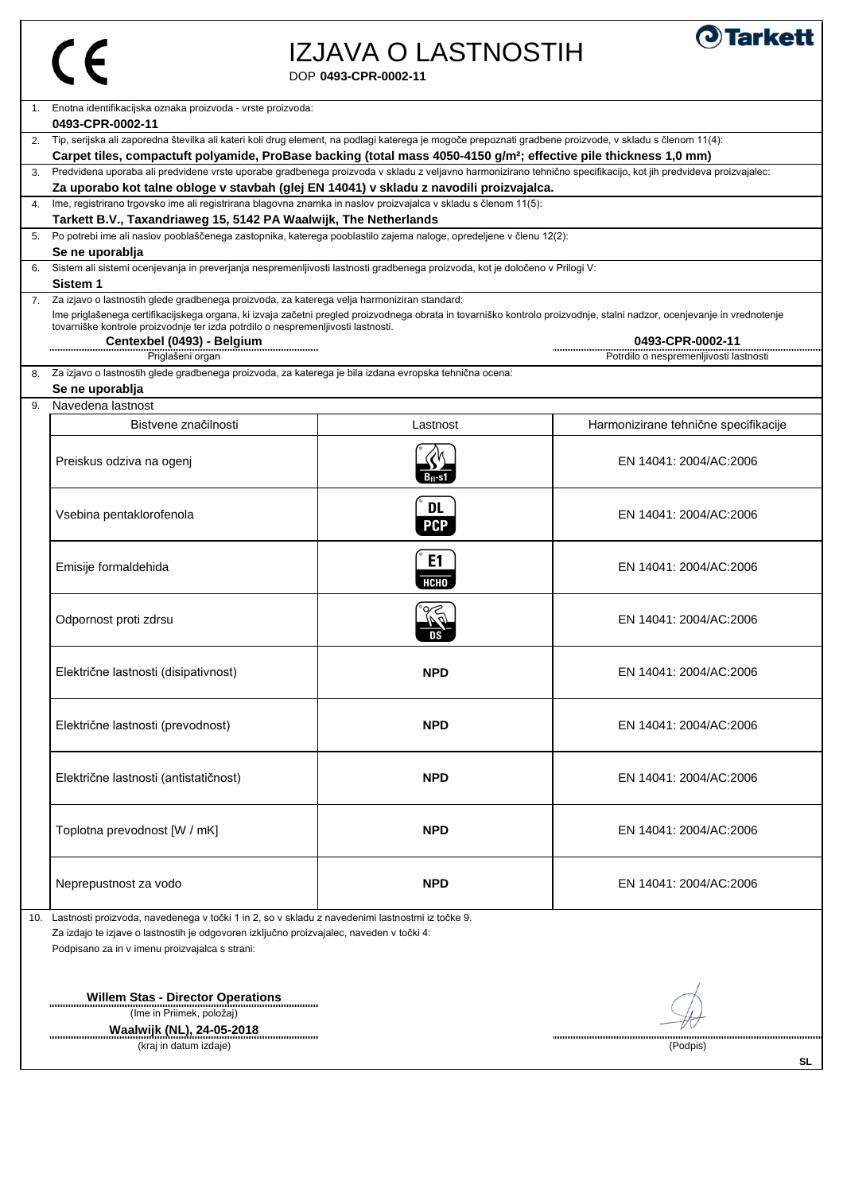#### DOP **0493-CPR-0002-11** IZJAVA O LASTNOSTIH



**SL**

| 1. Enotna identifikacijska oznaka proizvoda - vrste proizvoda:<br>0493-CPR-0002-11                                                                                                                                                                         |                                                                                                                                                                 |                                        |  |
|------------------------------------------------------------------------------------------------------------------------------------------------------------------------------------------------------------------------------------------------------------|-----------------------------------------------------------------------------------------------------------------------------------------------------------------|----------------------------------------|--|
| 2. Tip, serijska ali zaporedna številka ali kateri koli drug element, na podlagi katerega je mogoče prepoznati gradbene proizvode, v skladu s členom 11(4):                                                                                                |                                                                                                                                                                 |                                        |  |
| Carpet tiles, compactuft polyamide, ProBase backing (total mass 4050-4150 g/m <sup>2</sup> ; effective pile thickness 1,0 mm)                                                                                                                              |                                                                                                                                                                 |                                        |  |
| 3.                                                                                                                                                                                                                                                         | Predvidena uporaba ali predvidene vrste uporabe gradbenega proizvoda v skladu z veljavno harmonizirano tehnično specifikacijo, kot jih predvideva proizvajalec: |                                        |  |
| Za uporabo kot talne obloge v stavbah (glej EN 14041) v skladu z navodili proizvajalca.                                                                                                                                                                    |                                                                                                                                                                 |                                        |  |
| Ime, registrirano trgovsko ime ali registrirana blagovna znamka in naslov proizvajalca v skladu s členom 11(5):<br>Tarkett B.V., Taxandriaweg 15, 5142 PA Waalwijk, The Netherlands                                                                        |                                                                                                                                                                 |                                        |  |
| Po potrebi ime ali naslov pooblaščenega zastopnika, katerega pooblastilo zajema naloge, opredeljene v členu 12(2):<br>5.                                                                                                                                   |                                                                                                                                                                 |                                        |  |
| Se ne uporablja                                                                                                                                                                                                                                            |                                                                                                                                                                 |                                        |  |
| Sistem ali sistemi ocenjevanja in preverjanja nespremenljivosti lastnosti gradbenega proizvoda, kot je določeno v Prilogi V:                                                                                                                               |                                                                                                                                                                 |                                        |  |
| Sistem <sub>1</sub>                                                                                                                                                                                                                                        |                                                                                                                                                                 |                                        |  |
| Za izjavo o lastnostih glede gradbenega proizvoda, za katerega velja harmoniziran standard:<br>7.                                                                                                                                                          |                                                                                                                                                                 |                                        |  |
| Ime priglašenega certifikacijskega organa, ki izvaja začetni pregled proizvodnega obrata in tovarniško kontrolo proizvodnje, stalni nadzor, ocenjevanje in vrednotenje<br>tovarniške kontrole proizvodnje ter izda potrdilo o nespremenljivosti lastnosti. |                                                                                                                                                                 |                                        |  |
| Centexbel (0493) - Belgium                                                                                                                                                                                                                                 |                                                                                                                                                                 | 0493-CPR-0002-11                       |  |
| Priglašeni organ                                                                                                                                                                                                                                           |                                                                                                                                                                 | Potrdilo o nespremenljivosti lastnosti |  |
| Za izjavo o lastnostih glede gradbenega proizvoda, za katerega je bila izdana evropska tehnična ocena:<br>8.                                                                                                                                               |                                                                                                                                                                 |                                        |  |
| Se ne uporablja                                                                                                                                                                                                                                            |                                                                                                                                                                 |                                        |  |
| Navedena lastnost<br>9.                                                                                                                                                                                                                                    |                                                                                                                                                                 |                                        |  |
| Bistvene značilnosti                                                                                                                                                                                                                                       | Lastnost                                                                                                                                                        | Harmonizirane tehnične specifikacije   |  |
|                                                                                                                                                                                                                                                            |                                                                                                                                                                 |                                        |  |
| Preiskus odziva na ogenj                                                                                                                                                                                                                                   |                                                                                                                                                                 | EN 14041: 2004/AC:2006                 |  |
|                                                                                                                                                                                                                                                            |                                                                                                                                                                 |                                        |  |
|                                                                                                                                                                                                                                                            |                                                                                                                                                                 |                                        |  |
| Vsebina pentaklorofenola                                                                                                                                                                                                                                   | <b>DL</b>                                                                                                                                                       | EN 14041: 2004/AC:2006                 |  |
|                                                                                                                                                                                                                                                            | <b>PCP</b>                                                                                                                                                      |                                        |  |
|                                                                                                                                                                                                                                                            |                                                                                                                                                                 |                                        |  |
| Emisije formaldehida                                                                                                                                                                                                                                       | E <sub>1</sub>                                                                                                                                                  | EN 14041: 2004/AC:2006                 |  |
|                                                                                                                                                                                                                                                            | <b>НСНО</b>                                                                                                                                                     |                                        |  |
|                                                                                                                                                                                                                                                            |                                                                                                                                                                 |                                        |  |
| Odpornost proti zdrsu                                                                                                                                                                                                                                      |                                                                                                                                                                 | EN 14041: 2004/AC:2006                 |  |
|                                                                                                                                                                                                                                                            |                                                                                                                                                                 |                                        |  |
|                                                                                                                                                                                                                                                            |                                                                                                                                                                 |                                        |  |
| Električne lastnosti (disipativnost)                                                                                                                                                                                                                       | <b>NPD</b>                                                                                                                                                      | EN 14041: 2004/AC:2006                 |  |
|                                                                                                                                                                                                                                                            |                                                                                                                                                                 |                                        |  |
|                                                                                                                                                                                                                                                            |                                                                                                                                                                 |                                        |  |
| Električne lastnosti (prevodnost)                                                                                                                                                                                                                          | <b>NPD</b>                                                                                                                                                      | EN 14041: 2004/AC:2006                 |  |
|                                                                                                                                                                                                                                                            |                                                                                                                                                                 |                                        |  |
|                                                                                                                                                                                                                                                            |                                                                                                                                                                 |                                        |  |
| Električne lastnosti (antistatičnost)                                                                                                                                                                                                                      | <b>NPD</b>                                                                                                                                                      | EN 14041: 2004/AC:2006                 |  |
|                                                                                                                                                                                                                                                            |                                                                                                                                                                 |                                        |  |
|                                                                                                                                                                                                                                                            |                                                                                                                                                                 |                                        |  |
| Toplotna prevodnost [W / mK]                                                                                                                                                                                                                               | <b>NPD</b>                                                                                                                                                      | EN 14041: 2004/AC:2006                 |  |
|                                                                                                                                                                                                                                                            |                                                                                                                                                                 |                                        |  |
|                                                                                                                                                                                                                                                            |                                                                                                                                                                 |                                        |  |
| Neprepustnost za vodo                                                                                                                                                                                                                                      | <b>NPD</b>                                                                                                                                                      | EN 14041: 2004/AC:2006                 |  |
| Lastnosti proizvoda, navedenega v točki 1 in 2, so v skladu z navedenimi lastnostmi iz točke 9.                                                                                                                                                            |                                                                                                                                                                 |                                        |  |
| 10.<br>Za izdajo te izjave o lastnostih je odgovoren izključno proizvajalec, naveden v točki 4:                                                                                                                                                            |                                                                                                                                                                 |                                        |  |
| Podpisano za in v imenu proizvajalca s strani:                                                                                                                                                                                                             |                                                                                                                                                                 |                                        |  |
|                                                                                                                                                                                                                                                            |                                                                                                                                                                 |                                        |  |
|                                                                                                                                                                                                                                                            |                                                                                                                                                                 |                                        |  |
| <b>Willem Stas - Director Operations</b>                                                                                                                                                                                                                   |                                                                                                                                                                 |                                        |  |
| (Ime in Priimek, položaj)                                                                                                                                                                                                                                  |                                                                                                                                                                 |                                        |  |
| $M_{\odot}$ olwik (All ) 24 OF 2040                                                                                                                                                                                                                        |                                                                                                                                                                 |                                        |  |

(Ime in Priimek, položaj) **Waalwijk (NL), 24-05-2018**

(kraj in datum izdaje) (Podpis)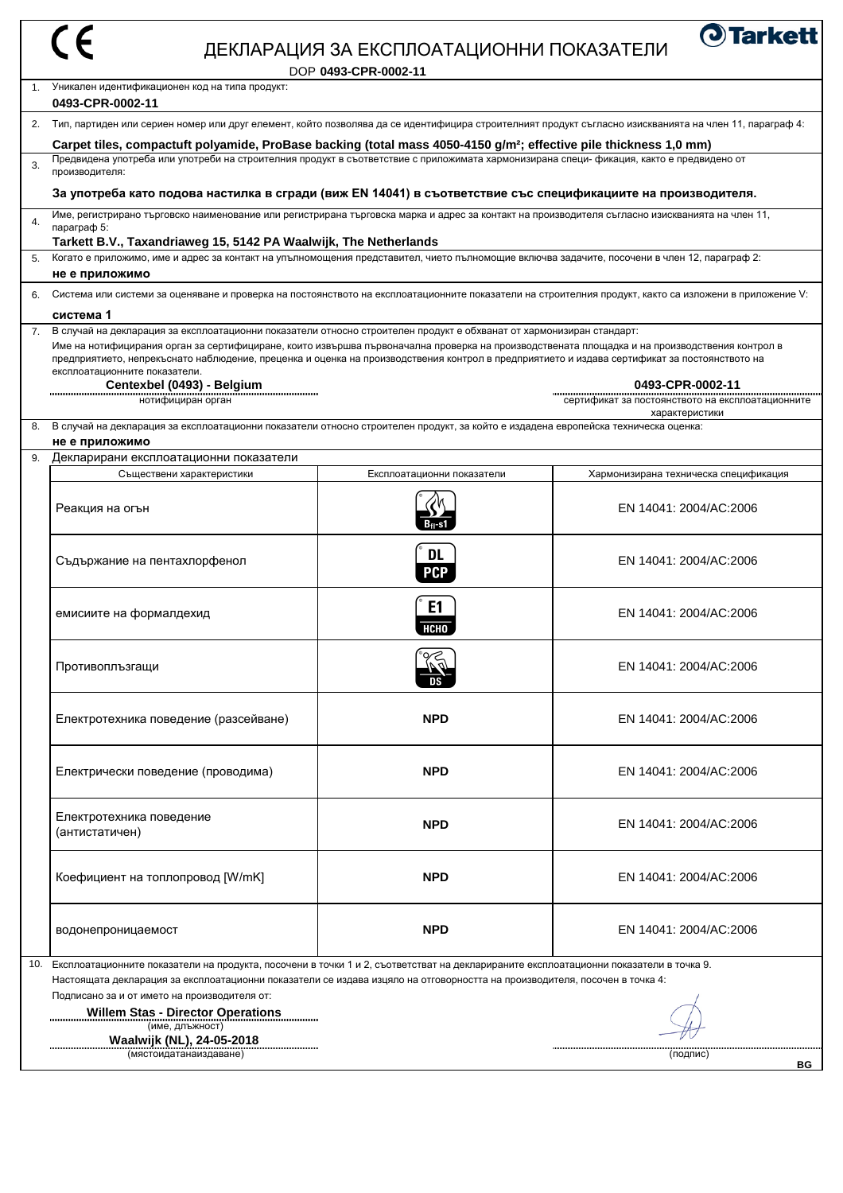|     |                                                                                                                                                                                                                                                                                                                                                                                                                                                        | ДЕКЛАРАЦИЯ ЗА ЕКСПЛОАТАЦИОННИ ПОКАЗАТЕЛИ<br>DOP 0493-CPR-0002-11 | <b>O</b> Tarkett                                                     |
|-----|--------------------------------------------------------------------------------------------------------------------------------------------------------------------------------------------------------------------------------------------------------------------------------------------------------------------------------------------------------------------------------------------------------------------------------------------------------|------------------------------------------------------------------|----------------------------------------------------------------------|
|     | Уникален идентификационен код на типа продукт:<br>0493-CPR-0002-11                                                                                                                                                                                                                                                                                                                                                                                     |                                                                  |                                                                      |
| 2.  | Тип, партиден или сериен номер или друг елемент, който позволява да се идентифицира строителният продукт съгласно изискванията на член 11, параграф 4:                                                                                                                                                                                                                                                                                                 |                                                                  |                                                                      |
|     | Carpet tiles, compactuft polyamide, ProBase backing (total mass 4050-4150 g/m <sup>2</sup> ; effective pile thickness 1,0 mm)                                                                                                                                                                                                                                                                                                                          |                                                                  |                                                                      |
| 3.  | Предвидена употреба или употреби на строителния продукт в съответствие с приложимата хармонизирана специ-фикация, както е предвидено от<br>производителя:                                                                                                                                                                                                                                                                                              |                                                                  |                                                                      |
|     | За употреба като подова настилка в сгради (виж EN 14041) в съответствие със спецификациите на производителя.                                                                                                                                                                                                                                                                                                                                           |                                                                  |                                                                      |
| 4.  | Име, регистрирано търговско наименование или регистрирана търговска марка и адрес за контакт на производителя съгласно изискванията на член 11,<br>параграф 5:<br>Tarkett B.V., Taxandriaweg 15, 5142 PA Waalwijk, The Netherlands                                                                                                                                                                                                                     |                                                                  |                                                                      |
| 5.  | Когато е приложимо, име и адрес за контакт на упълномощения представител, чието пълномощие включва задачите, посочени в член 12, параграф 2:<br>не е приложимо                                                                                                                                                                                                                                                                                         |                                                                  |                                                                      |
| 6.  | Система или системи за оценяване и проверка на постоянството на експлоатационните показатели на строителния продукт, както са изложени в приложение V:                                                                                                                                                                                                                                                                                                 |                                                                  |                                                                      |
|     | система 1                                                                                                                                                                                                                                                                                                                                                                                                                                              |                                                                  |                                                                      |
| 7.  | В случай на декларация за експлоатационни показатели относно строителен продукт е обхванат от хармонизиран стандарт:<br>Име на нотифицирания орган за сертифициране, които извършва първоначална проверка на производствената площадка и на производствения контрол в<br>предприятието, непрекъснато наблюдение, преценка и оценка на производствения контрол в предприятието и издава сертификат за постоянството на<br>експлоатационните показатели. |                                                                  |                                                                      |
|     | Centexbel (0493) - Belgium<br>нотифициран орган                                                                                                                                                                                                                                                                                                                                                                                                        |                                                                  | 0493-CPR-0002-11<br>сертификат за постоянството на експлоатационните |
| 8.  | В случай на декларация за експлоатационни показатели относно строителен продукт, за който е издадена европейска техническа оценка:                                                                                                                                                                                                                                                                                                                     |                                                                  | характеристики                                                       |
| 9.  | не е приложимо                                                                                                                                                                                                                                                                                                                                                                                                                                         |                                                                  |                                                                      |
|     | Декларирани експлоатационни показатели<br>Съществени характеристики                                                                                                                                                                                                                                                                                                                                                                                    | Експлоатационни показатели                                       | Хармонизирана техническа спецификация                                |
|     | Реакция на огън                                                                                                                                                                                                                                                                                                                                                                                                                                        | $B_{fl}$ -s1                                                     | EN 14041: 2004/AC:2006                                               |
|     | Съдържание на пентахлорфенол                                                                                                                                                                                                                                                                                                                                                                                                                           | <b>DL</b><br><b>PCP</b>                                          | EN 14041: 2004/AC:2006                                               |
|     | емисиите на формалдехид                                                                                                                                                                                                                                                                                                                                                                                                                                | E <sub>1</sub><br><b>НСНО</b>                                    | EN 14041: 2004/AC:2006                                               |
|     | Противоплъзгащи                                                                                                                                                                                                                                                                                                                                                                                                                                        |                                                                  | EN 14041: 2004/AC:2006                                               |
|     | Електротехника поведение (разсейване)                                                                                                                                                                                                                                                                                                                                                                                                                  | <b>NPD</b>                                                       | EN 14041: 2004/AC:2006                                               |
|     | Електрически поведение (проводима)                                                                                                                                                                                                                                                                                                                                                                                                                     | <b>NPD</b>                                                       | EN 14041: 2004/AC:2006                                               |
|     | Електротехника поведение<br>(антистатичен)                                                                                                                                                                                                                                                                                                                                                                                                             | <b>NPD</b>                                                       | EN 14041: 2004/AC:2006                                               |
|     | Коефициент на топлопровод [W/mK]                                                                                                                                                                                                                                                                                                                                                                                                                       | <b>NPD</b>                                                       | EN 14041: 2004/AC:2006                                               |
|     | водонепроницаемост                                                                                                                                                                                                                                                                                                                                                                                                                                     | <b>NPD</b>                                                       | EN 14041: 2004/AC:2006                                               |
| 10. | Експлоатационните показатели на продукта, посочени в точки 1 и 2, съответстват на декларираните експлоатационни показатели в точка 9.<br>Настоящата декларация за експлоатационни показатели се издава изцяло на отговорността на производителя, посочен в точка 4:<br>Подписано за и от името на производителя от:<br><b>Willem Stas - Director Operations</b>                                                                                        |                                                                  |                                                                      |
|     | (име, длъжност)<br>Waalwijk (NL), 24-05-2018<br>(мястоидатанаиздаване)<br>(подпис)<br><b>BG</b>                                                                                                                                                                                                                                                                                                                                                        |                                                                  |                                                                      |
|     |                                                                                                                                                                                                                                                                                                                                                                                                                                                        |                                                                  |                                                                      |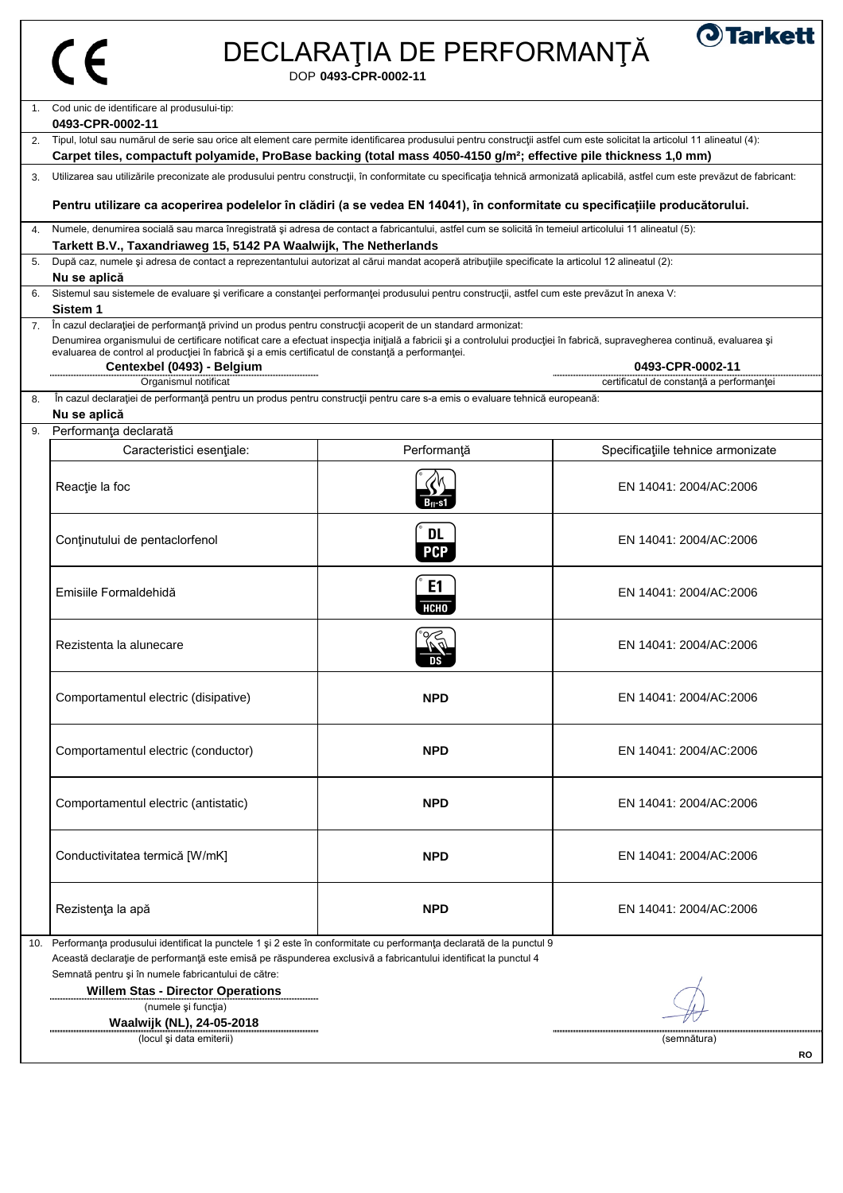# $|$  CE

# DECLARAŢIA DE PERFORMANŢĂ

**O**Tarkett

DOP **0493-CPR-0002-11**

|    | 1. Cod unic de identificare al produsului-tip:<br>0493-CPR-0002-11                                                                                                                                                                                                                                                                                                                                                                               |                               |                                          |  |  |
|----|--------------------------------------------------------------------------------------------------------------------------------------------------------------------------------------------------------------------------------------------------------------------------------------------------------------------------------------------------------------------------------------------------------------------------------------------------|-------------------------------|------------------------------------------|--|--|
|    |                                                                                                                                                                                                                                                                                                                                                                                                                                                  |                               |                                          |  |  |
|    | 2. Tipul, lotul sau numărul de serie sau orice alt element care permite identificarea produsului pentru construcții astfel cum este solicitat la articolul 11 alineatul (4):<br>Carpet tiles, compactuft polyamide, ProBase backing (total mass 4050-4150 g/m <sup>2</sup> ; effective pile thickness 1,0 mm)                                                                                                                                    |                               |                                          |  |  |
| 3. | Utilizarea sau utilizările preconizate ale produsului pentru construcții, în conformitate cu specificația tehnică armonizată aplicabilă, astfel cum este prevăzut de fabricant:                                                                                                                                                                                                                                                                  |                               |                                          |  |  |
|    | Pentru utilizare ca acoperirea podelelor în clădiri (a se vedea EN 14041), în conformitate cu specificațiile producătorului.                                                                                                                                                                                                                                                                                                                     |                               |                                          |  |  |
| 4. | Numele, denumirea socială sau marca înregistrată și adresa de contact a fabricantului, astfel cum se solicită în temeiul articolului 11 alineatul (5):<br>Tarkett B.V., Taxandriaweg 15, 5142 PA Waalwijk, The Netherlands                                                                                                                                                                                                                       |                               |                                          |  |  |
| 5. | După caz, numele și adresa de contact a reprezentantului autorizat al cărui mandat acoperă atribuțiile specificate la articolul 12 alineatul (2):                                                                                                                                                                                                                                                                                                |                               |                                          |  |  |
|    | Nu se aplică                                                                                                                                                                                                                                                                                                                                                                                                                                     |                               |                                          |  |  |
| 6. | Sistemul sau sistemele de evaluare și verificare a constanței performanței produsului pentru construcții, astfel cum este prevăzut în anexa V:                                                                                                                                                                                                                                                                                                   |                               |                                          |  |  |
|    | Sistem 1                                                                                                                                                                                                                                                                                                                                                                                                                                         |                               |                                          |  |  |
| 7. | În cazul declarației de performanță privind un produs pentru construcții acoperit de un standard armonizat:<br>Denumirea organismului de certificare notificat care a efectuat inspecția inițială a fabricii și a controlului producției în fabrică, supravegherea continuă, evaluarea și<br>evaluarea de control al producției în fabrică și a emis certificatul de constanță a performanței.<br>Centexbel (0493) - Belgium<br>0493-CPR-0002-11 |                               |                                          |  |  |
|    | Organismul notificat                                                                                                                                                                                                                                                                                                                                                                                                                             |                               | certificatul de constanță a performanței |  |  |
| 8. | În cazul declarației de performanță pentru un produs pentru construcții pentru care s-a emis o evaluare tehnică europeană:<br>Nu se aplică                                                                                                                                                                                                                                                                                                       |                               |                                          |  |  |
| 9. | Performanța declarată                                                                                                                                                                                                                                                                                                                                                                                                                            |                               |                                          |  |  |
|    | Caracteristici esențiale:                                                                                                                                                                                                                                                                                                                                                                                                                        | Performanță                   | Specificațiile tehnice armonizate        |  |  |
|    | Reacție la foc                                                                                                                                                                                                                                                                                                                                                                                                                                   |                               | EN 14041: 2004/AC:2006                   |  |  |
|    | Conținutului de pentaclorfenol                                                                                                                                                                                                                                                                                                                                                                                                                   | <b>DL</b><br><b>PCP</b>       | EN 14041: 2004/AC:2006                   |  |  |
|    | Emisiile Formaldehidă                                                                                                                                                                                                                                                                                                                                                                                                                            | E <sub>1</sub><br><b>HCHO</b> | EN 14041: 2004/AC:2006                   |  |  |
|    | Rezistenta la alunecare                                                                                                                                                                                                                                                                                                                                                                                                                          |                               | EN 14041: 2004/AC:2006                   |  |  |
|    | Comportamentul electric (disipative)                                                                                                                                                                                                                                                                                                                                                                                                             | <b>NPD</b>                    | EN 14041: 2004/AC:2006                   |  |  |
|    | Comportamentul electric (conductor)                                                                                                                                                                                                                                                                                                                                                                                                              | <b>NPD</b>                    | EN 14041: 2004/AC:2006                   |  |  |
|    | Comportamentul electric (antistatic)                                                                                                                                                                                                                                                                                                                                                                                                             | <b>NPD</b>                    | EN 14041: 2004/AC:2006                   |  |  |
|    | Conductivitatea termică [W/mK]                                                                                                                                                                                                                                                                                                                                                                                                                   | <b>NPD</b>                    | EN 14041: 2004/AC:2006                   |  |  |
|    | Rezistența la apă                                                                                                                                                                                                                                                                                                                                                                                                                                | <b>NPD</b>                    | EN 14041: 2004/AC:2006                   |  |  |
|    | 10. Performanța produsului identificat la punctele 1 și 2 este în conformitate cu performanța declarată de la punctul 9                                                                                                                                                                                                                                                                                                                          |                               |                                          |  |  |
|    | Această declarație de performanță este emisă pe răspunderea exclusivă a fabricantului identificat la punctul 4                                                                                                                                                                                                                                                                                                                                   |                               |                                          |  |  |
|    | Semnată pentru și în numele fabricantului de către:                                                                                                                                                                                                                                                                                                                                                                                              |                               |                                          |  |  |
|    | <b>Willem Stas - Director Operations</b>                                                                                                                                                                                                                                                                                                                                                                                                         |                               |                                          |  |  |
|    | (numele și funcția)                                                                                                                                                                                                                                                                                                                                                                                                                              |                               |                                          |  |  |
|    | Waalwijk (NL), 24-05-2018<br>(locul și data emiterii)                                                                                                                                                                                                                                                                                                                                                                                            |                               |                                          |  |  |
|    |                                                                                                                                                                                                                                                                                                                                                                                                                                                  |                               | (semnătura)<br><b>RO</b>                 |  |  |
|    |                                                                                                                                                                                                                                                                                                                                                                                                                                                  |                               |                                          |  |  |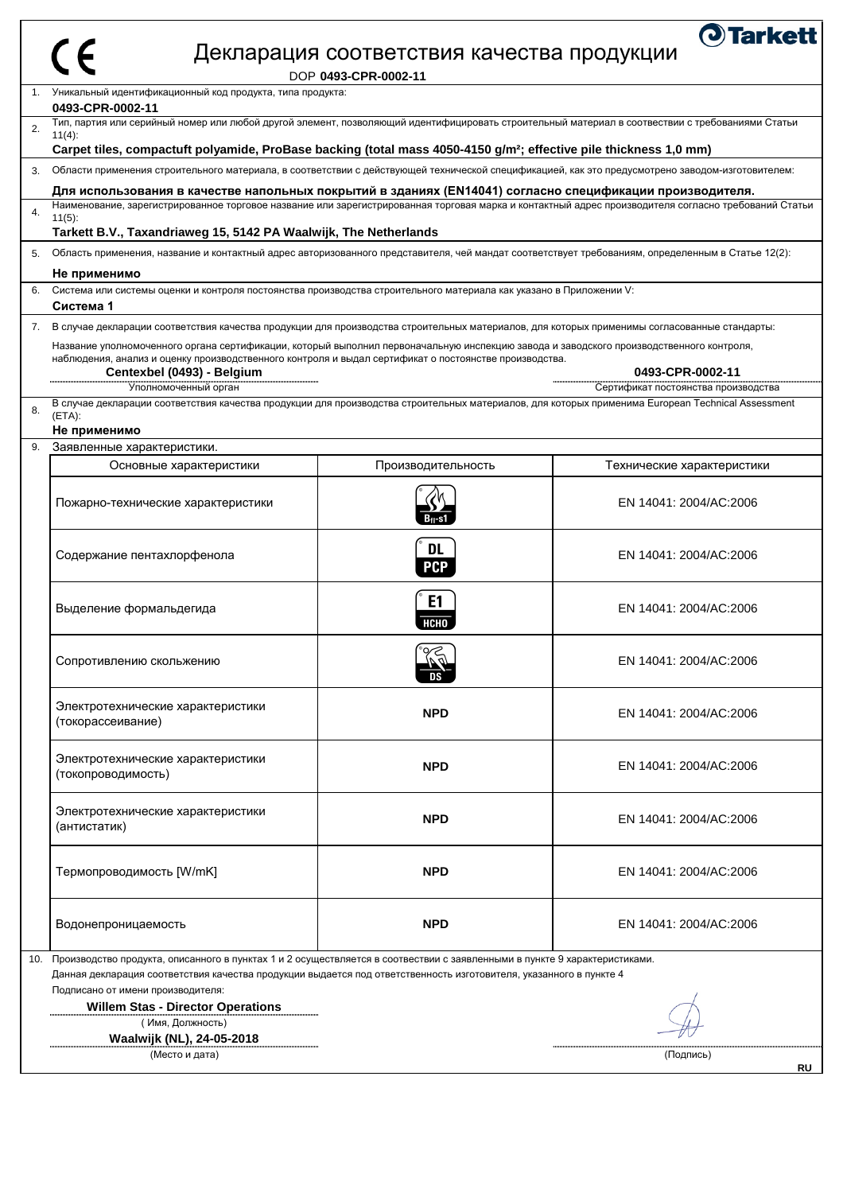| 1.<br>0493-CPR-0002-11<br>$11(4)$ :<br>3.<br>$11(5)$ :<br>5.<br>Не применимо<br>Система 1<br>7.<br>$(ETA)$ :<br>Не применимо<br>9.<br>(токорассеивание)<br>(антистатик) | Уникальный идентификационный код продукта, типа продукта:<br>Carpet tiles, compactuft polyamide, ProBase backing (total mass 4050-4150 g/m <sup>2</sup> ; effective pile thickness 1,0 mm)<br>Для использования в качестве напольных покрытий в зданиях (EN14041) согласно спецификации производителя.<br>Tarkett B.V., Taxandriaweg 15, 5142 PA Waalwijk, The Netherlands<br>Система или системы оценки и контроля постоянства производства строительного материала как указано в Приложении V:<br>Название уполномоченного органа сертификации, который выполнил первоначальную инспекцию завода и заводского производственного контроля,<br>наблюдения, анализ и оценку производственного контроля и выдал сертификат о постоянстве производства.<br>Centexbel (0493) - Belgium |                                                                                                                    | Тип, партия или серийный номер или любой другой элемент, позволяющий идентифицировать строительный материал в соотвествии с требованиями Статьи<br>Области применения строительного материала, в соответствии с действующей технической спецификацией, как это предусмотрено заводом-изготовителем:<br>Наименование, зарегистрированное торговое название или зарегистрированная торговая марка и контактный адрес производителя согласно требований Статьи<br>Область применения, название и контактный адрес авторизованного представителя, чей мандат соответствует требованиям, определенным в Статье 12(2):<br>В случае декларации соответствия качества продукции для производства строительных материалов, для которых применимы согласованные стандарты: |
|-------------------------------------------------------------------------------------------------------------------------------------------------------------------------|------------------------------------------------------------------------------------------------------------------------------------------------------------------------------------------------------------------------------------------------------------------------------------------------------------------------------------------------------------------------------------------------------------------------------------------------------------------------------------------------------------------------------------------------------------------------------------------------------------------------------------------------------------------------------------------------------------------------------------------------------------------------------------|--------------------------------------------------------------------------------------------------------------------|------------------------------------------------------------------------------------------------------------------------------------------------------------------------------------------------------------------------------------------------------------------------------------------------------------------------------------------------------------------------------------------------------------------------------------------------------------------------------------------------------------------------------------------------------------------------------------------------------------------------------------------------------------------------------------------------------------------------------------------------------------------|
|                                                                                                                                                                         |                                                                                                                                                                                                                                                                                                                                                                                                                                                                                                                                                                                                                                                                                                                                                                                    |                                                                                                                    |                                                                                                                                                                                                                                                                                                                                                                                                                                                                                                                                                                                                                                                                                                                                                                  |
|                                                                                                                                                                         |                                                                                                                                                                                                                                                                                                                                                                                                                                                                                                                                                                                                                                                                                                                                                                                    |                                                                                                                    |                                                                                                                                                                                                                                                                                                                                                                                                                                                                                                                                                                                                                                                                                                                                                                  |
|                                                                                                                                                                         |                                                                                                                                                                                                                                                                                                                                                                                                                                                                                                                                                                                                                                                                                                                                                                                    |                                                                                                                    |                                                                                                                                                                                                                                                                                                                                                                                                                                                                                                                                                                                                                                                                                                                                                                  |
|                                                                                                                                                                         |                                                                                                                                                                                                                                                                                                                                                                                                                                                                                                                                                                                                                                                                                                                                                                                    |                                                                                                                    |                                                                                                                                                                                                                                                                                                                                                                                                                                                                                                                                                                                                                                                                                                                                                                  |
|                                                                                                                                                                         |                                                                                                                                                                                                                                                                                                                                                                                                                                                                                                                                                                                                                                                                                                                                                                                    |                                                                                                                    |                                                                                                                                                                                                                                                                                                                                                                                                                                                                                                                                                                                                                                                                                                                                                                  |
|                                                                                                                                                                         |                                                                                                                                                                                                                                                                                                                                                                                                                                                                                                                                                                                                                                                                                                                                                                                    |                                                                                                                    |                                                                                                                                                                                                                                                                                                                                                                                                                                                                                                                                                                                                                                                                                                                                                                  |
|                                                                                                                                                                         |                                                                                                                                                                                                                                                                                                                                                                                                                                                                                                                                                                                                                                                                                                                                                                                    |                                                                                                                    |                                                                                                                                                                                                                                                                                                                                                                                                                                                                                                                                                                                                                                                                                                                                                                  |
|                                                                                                                                                                         |                                                                                                                                                                                                                                                                                                                                                                                                                                                                                                                                                                                                                                                                                                                                                                                    |                                                                                                                    |                                                                                                                                                                                                                                                                                                                                                                                                                                                                                                                                                                                                                                                                                                                                                                  |
|                                                                                                                                                                         |                                                                                                                                                                                                                                                                                                                                                                                                                                                                                                                                                                                                                                                                                                                                                                                    |                                                                                                                    |                                                                                                                                                                                                                                                                                                                                                                                                                                                                                                                                                                                                                                                                                                                                                                  |
|                                                                                                                                                                         |                                                                                                                                                                                                                                                                                                                                                                                                                                                                                                                                                                                                                                                                                                                                                                                    |                                                                                                                    |                                                                                                                                                                                                                                                                                                                                                                                                                                                                                                                                                                                                                                                                                                                                                                  |
|                                                                                                                                                                         |                                                                                                                                                                                                                                                                                                                                                                                                                                                                                                                                                                                                                                                                                                                                                                                    |                                                                                                                    |                                                                                                                                                                                                                                                                                                                                                                                                                                                                                                                                                                                                                                                                                                                                                                  |
|                                                                                                                                                                         |                                                                                                                                                                                                                                                                                                                                                                                                                                                                                                                                                                                                                                                                                                                                                                                    |                                                                                                                    | 0493-CPR-0002-11                                                                                                                                                                                                                                                                                                                                                                                                                                                                                                                                                                                                                                                                                                                                                 |
|                                                                                                                                                                         | Уполномоченный орган                                                                                                                                                                                                                                                                                                                                                                                                                                                                                                                                                                                                                                                                                                                                                               |                                                                                                                    | Сертификат постоянства производства                                                                                                                                                                                                                                                                                                                                                                                                                                                                                                                                                                                                                                                                                                                              |
|                                                                                                                                                                         |                                                                                                                                                                                                                                                                                                                                                                                                                                                                                                                                                                                                                                                                                                                                                                                    |                                                                                                                    | В случае декларации соответствия качества продукции для производства строительных материалов, для которых применима European Technical Assessment                                                                                                                                                                                                                                                                                                                                                                                                                                                                                                                                                                                                                |
|                                                                                                                                                                         |                                                                                                                                                                                                                                                                                                                                                                                                                                                                                                                                                                                                                                                                                                                                                                                    |                                                                                                                    |                                                                                                                                                                                                                                                                                                                                                                                                                                                                                                                                                                                                                                                                                                                                                                  |
|                                                                                                                                                                         | Заявленные характеристики.                                                                                                                                                                                                                                                                                                                                                                                                                                                                                                                                                                                                                                                                                                                                                         |                                                                                                                    |                                                                                                                                                                                                                                                                                                                                                                                                                                                                                                                                                                                                                                                                                                                                                                  |
|                                                                                                                                                                         | Основные характеристики                                                                                                                                                                                                                                                                                                                                                                                                                                                                                                                                                                                                                                                                                                                                                            | Производительность                                                                                                 | Технические характеристики                                                                                                                                                                                                                                                                                                                                                                                                                                                                                                                                                                                                                                                                                                                                       |
|                                                                                                                                                                         |                                                                                                                                                                                                                                                                                                                                                                                                                                                                                                                                                                                                                                                                                                                                                                                    |                                                                                                                    |                                                                                                                                                                                                                                                                                                                                                                                                                                                                                                                                                                                                                                                                                                                                                                  |
|                                                                                                                                                                         | Пожарно-технические характеристики                                                                                                                                                                                                                                                                                                                                                                                                                                                                                                                                                                                                                                                                                                                                                 | D <sub>fl</sub> -SI                                                                                                | EN 14041: 2004/AC:2006                                                                                                                                                                                                                                                                                                                                                                                                                                                                                                                                                                                                                                                                                                                                           |
|                                                                                                                                                                         | Содержание пентахлорфенола                                                                                                                                                                                                                                                                                                                                                                                                                                                                                                                                                                                                                                                                                                                                                         | <b>DL</b><br><b>PCP</b>                                                                                            | EN 14041: 2004/AC:2006                                                                                                                                                                                                                                                                                                                                                                                                                                                                                                                                                                                                                                                                                                                                           |
|                                                                                                                                                                         | Выделение формальдегида                                                                                                                                                                                                                                                                                                                                                                                                                                                                                                                                                                                                                                                                                                                                                            | E1<br><b>НСНО</b>                                                                                                  | EN 14041: 2004/AC:2006                                                                                                                                                                                                                                                                                                                                                                                                                                                                                                                                                                                                                                                                                                                                           |
|                                                                                                                                                                         | Сопротивлению скольжению                                                                                                                                                                                                                                                                                                                                                                                                                                                                                                                                                                                                                                                                                                                                                           |                                                                                                                    | EN 14041: 2004/AC:2006                                                                                                                                                                                                                                                                                                                                                                                                                                                                                                                                                                                                                                                                                                                                           |
|                                                                                                                                                                         | Электротехнические характеристики                                                                                                                                                                                                                                                                                                                                                                                                                                                                                                                                                                                                                                                                                                                                                  | <b>NPD</b>                                                                                                         | EN 14041: 2004/AC:2006                                                                                                                                                                                                                                                                                                                                                                                                                                                                                                                                                                                                                                                                                                                                           |
|                                                                                                                                                                         | Электротехнические характеристики<br>(токопроводимость)                                                                                                                                                                                                                                                                                                                                                                                                                                                                                                                                                                                                                                                                                                                            | <b>NPD</b>                                                                                                         | EN 14041: 2004/AC:2006                                                                                                                                                                                                                                                                                                                                                                                                                                                                                                                                                                                                                                                                                                                                           |
|                                                                                                                                                                         | Электротехнические характеристики                                                                                                                                                                                                                                                                                                                                                                                                                                                                                                                                                                                                                                                                                                                                                  | <b>NPD</b>                                                                                                         | EN 14041: 2004/AC:2006                                                                                                                                                                                                                                                                                                                                                                                                                                                                                                                                                                                                                                                                                                                                           |
|                                                                                                                                                                         | Термопроводимость [W/mK]                                                                                                                                                                                                                                                                                                                                                                                                                                                                                                                                                                                                                                                                                                                                                           | <b>NPD</b>                                                                                                         | EN 14041: 2004/AC:2006                                                                                                                                                                                                                                                                                                                                                                                                                                                                                                                                                                                                                                                                                                                                           |
|                                                                                                                                                                         | Водонепроницаемость                                                                                                                                                                                                                                                                                                                                                                                                                                                                                                                                                                                                                                                                                                                                                                | <b>NPD</b>                                                                                                         | EN 14041: 2004/AC:2006                                                                                                                                                                                                                                                                                                                                                                                                                                                                                                                                                                                                                                                                                                                                           |
| 10.                                                                                                                                                                     | Производство продукта, описанного в пунктах 1 и 2 осуществляется в соотвествии с заявленными в пункте 9 характеристиками.                                                                                                                                                                                                                                                                                                                                                                                                                                                                                                                                                                                                                                                          | Данная декларация соответствия качества продукции выдается под ответственность изготовителя, указанного в пункте 4 |                                                                                                                                                                                                                                                                                                                                                                                                                                                                                                                                                                                                                                                                                                                                                                  |
|                                                                                                                                                                         |                                                                                                                                                                                                                                                                                                                                                                                                                                                                                                                                                                                                                                                                                                                                                                                    |                                                                                                                    |                                                                                                                                                                                                                                                                                                                                                                                                                                                                                                                                                                                                                                                                                                                                                                  |
|                                                                                                                                                                         | Подписано от имени производителя:<br><b>Willem Stas - Director Operations</b><br>(Имя, Должность)<br>Waalwijk (NL), 24-05-2018                                                                                                                                                                                                                                                                                                                                                                                                                                                                                                                                                                                                                                                     |                                                                                                                    |                                                                                                                                                                                                                                                                                                                                                                                                                                                                                                                                                                                                                                                                                                                                                                  |